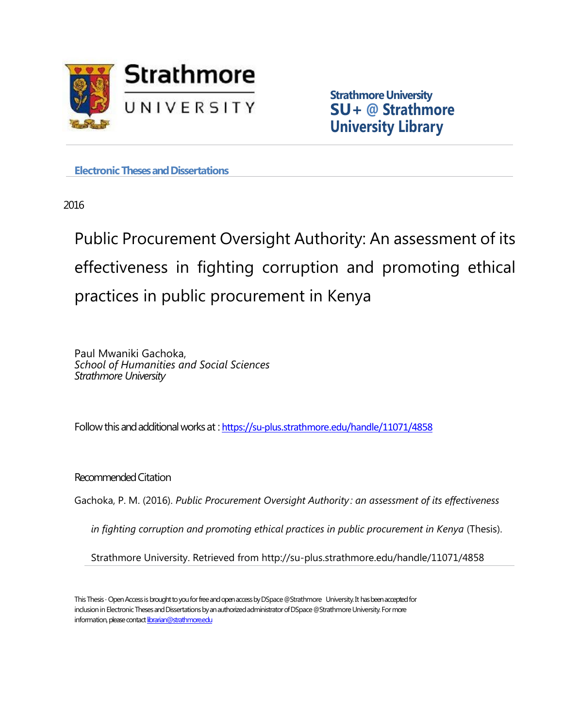

**Strathmore University SU+ @ Strathmore University Library**

**Electronic Theses and Dissertations** 

2016

Public Procurement Oversight Authority: An assessment of its effectiveness in fighting corruption and promoting ethical practices in public procurement in Kenya

Paul Mwaniki Gachoka, *School of Humanities and Social Sciences Strathmore University*

Followthisandadditionalworksat : <https://su-plus.strathmore.edu/handle/11071/4858>

Recommended Citation

Gachoka, P. M. (2016). *Public Procurement Oversight Authority : an assessment of its effectiveness* 

*in fighting corruption and promoting ethical practices in public procurement in Kenya* (Thesis).

Strathmore University. Retrieved from http://su-plus.strathmore.edu/handle/11071/4858

This Thesis - Open Access is brought to you for free and open access by DSpace @Strathmore University. It has been accepted for inclusion in Electronic Theses and Dissertations by an authorized administrator of DSpace @Strathmore University. For more information, please contact librarian@strathmore.edu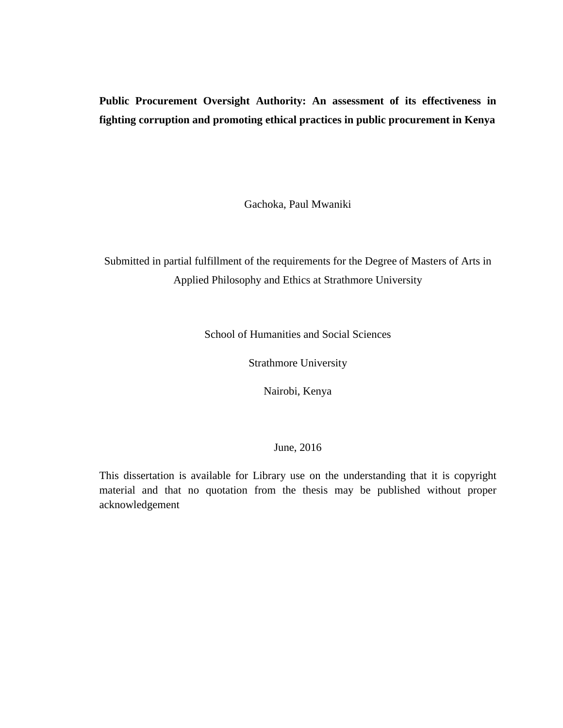# **Public Procurement Oversight Authority: An assessment of its effectiveness in fighting corruption and promoting ethical practices in public procurement in Kenya**

Gachoka, Paul Mwaniki

Submitted in partial fulfillment of the requirements for the Degree of Masters of Arts in Applied Philosophy and Ethics at Strathmore University

School of Humanities and Social Sciences

Strathmore University

Nairobi, Kenya

## June, 2016

This dissertation is available for Library use on the understanding that it is copyright material and that no quotation from the thesis may be published without proper acknowledgement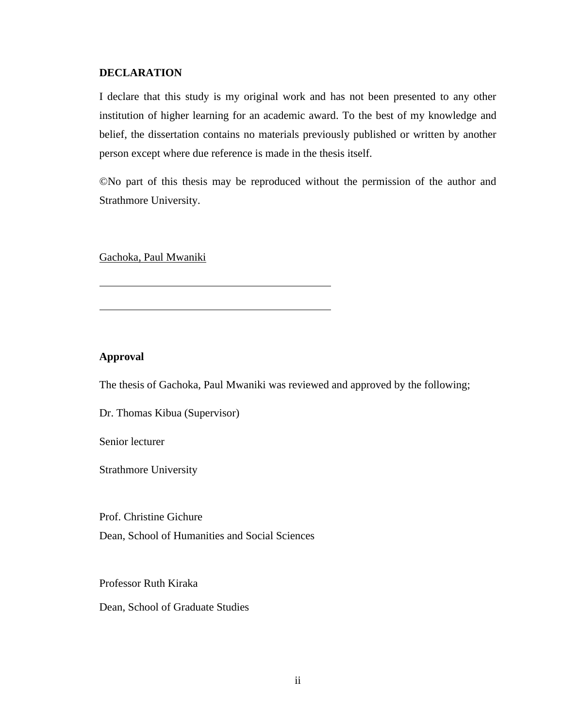## **DECLARATION**

I declare that this study is my original work and has not been presented to any other institution of higher learning for an academic award. To the best of my knowledge and belief, the dissertation contains no materials previously published or written by another person except where due reference is made in the thesis itself.

©No part of this thesis may be reproduced without the permission of the author and Strathmore University.

Gachoka, Paul Mwaniki

## **Approval**

The thesis of Gachoka, Paul Mwaniki was reviewed and approved by the following;

Dr. Thomas Kibua (Supervisor)

Senior lecturer

Strathmore University

Prof. Christine Gichure

Dean, School of Humanities and Social Sciences

Professor Ruth Kiraka

Dean, School of Graduate Studies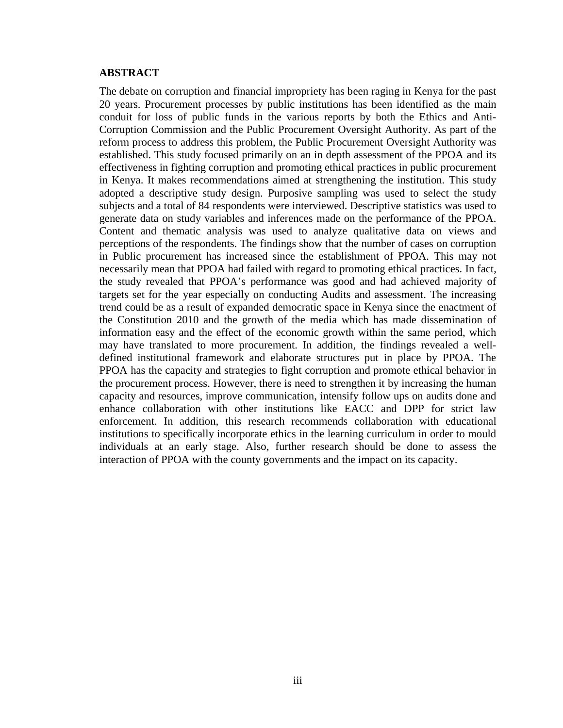## <span id="page-3-0"></span>**ABSTRACT**

The debate on corruption and financial impropriety has been raging in Kenya for the past 20 years. Procurement processes by public institutions has been identified as the main conduit for loss of public funds in the various reports by both the Ethics and Anti-Corruption Commission and the Public Procurement Oversight Authority. As part of the reform process to address this problem, the Public Procurement Oversight Authority was established. This study focused primarily on an in depth assessment of the PPOA and its effectiveness in fighting corruption and promoting ethical practices in public procurement in Kenya. It makes recommendations aimed at strengthening the institution. This study adopted a descriptive study design. Purposive sampling was used to select the study subjects and a total of 84 respondents were interviewed. Descriptive statistics was used to generate data on study variables and inferences made on the performance of the PPOA. Content and thematic analysis was used to analyze qualitative data on views and perceptions of the respondents. The findings show that the number of cases on corruption in Public procurement has increased since the establishment of PPOA. This may not necessarily mean that PPOA had failed with regard to promoting ethical practices. In fact, the study revealed that PPOA's performance was good and had achieved majority of targets set for the year especially on conducting Audits and assessment. The increasing trend could be as a result of expanded democratic space in Kenya since the enactment of the Constitution 2010 and the growth of the media which has made dissemination of information easy and the effect of the economic growth within the same period, which may have translated to more procurement. In addition, the findings revealed a welldefined institutional framework and elaborate structures put in place by PPOA. The PPOA has the capacity and strategies to fight corruption and promote ethical behavior in the procurement process. However, there is need to strengthen it by increasing the human capacity and resources, improve communication, intensify follow ups on audits done and enhance collaboration with other institutions like EACC and DPP for strict law enforcement. In addition, this research recommends collaboration with educational institutions to specifically incorporate ethics in the learning curriculum in order to mould individuals at an early stage. Also, further research should be done to assess the interaction of PPOA with the county governments and the impact on its capacity.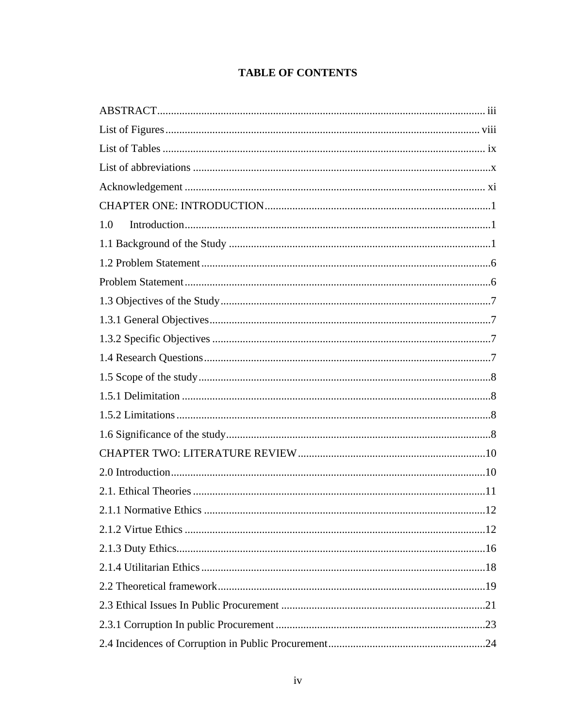# **TABLE OF CONTENTS**

| $\label{eq:1} Introduction \dots 1$<br>1.0 |  |  |  |  |
|--------------------------------------------|--|--|--|--|
|                                            |  |  |  |  |
|                                            |  |  |  |  |
|                                            |  |  |  |  |
|                                            |  |  |  |  |
|                                            |  |  |  |  |
|                                            |  |  |  |  |
|                                            |  |  |  |  |
|                                            |  |  |  |  |
|                                            |  |  |  |  |
|                                            |  |  |  |  |
|                                            |  |  |  |  |
|                                            |  |  |  |  |
|                                            |  |  |  |  |
|                                            |  |  |  |  |
|                                            |  |  |  |  |
|                                            |  |  |  |  |
|                                            |  |  |  |  |
|                                            |  |  |  |  |
|                                            |  |  |  |  |
|                                            |  |  |  |  |
|                                            |  |  |  |  |
|                                            |  |  |  |  |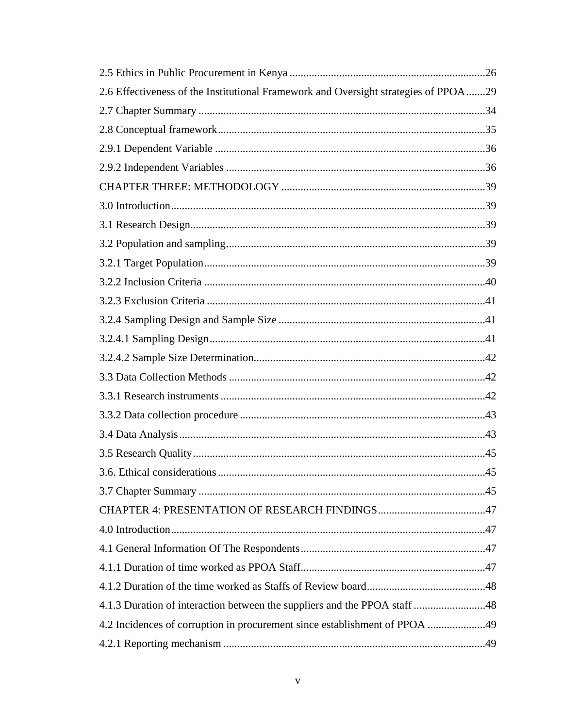| 2.6 Effectiveness of the Institutional Framework and Oversight strategies of PPOA29 |  |
|-------------------------------------------------------------------------------------|--|
|                                                                                     |  |
|                                                                                     |  |
|                                                                                     |  |
|                                                                                     |  |
|                                                                                     |  |
|                                                                                     |  |
|                                                                                     |  |
|                                                                                     |  |
|                                                                                     |  |
|                                                                                     |  |
|                                                                                     |  |
|                                                                                     |  |
|                                                                                     |  |
|                                                                                     |  |
|                                                                                     |  |
|                                                                                     |  |
|                                                                                     |  |
|                                                                                     |  |
|                                                                                     |  |
|                                                                                     |  |
|                                                                                     |  |
|                                                                                     |  |
|                                                                                     |  |
|                                                                                     |  |
|                                                                                     |  |
|                                                                                     |  |
|                                                                                     |  |
| 4.2 Incidences of corruption in procurement since establishment of PPOA 49          |  |
|                                                                                     |  |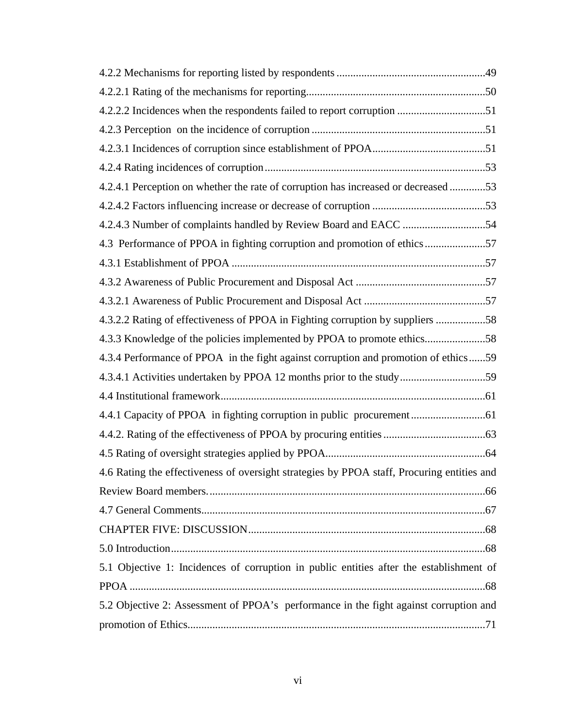| 4.2.2.2 Incidences when the respondents failed to report corruption 51                     |
|--------------------------------------------------------------------------------------------|
|                                                                                            |
|                                                                                            |
|                                                                                            |
| 4.2.4.1 Perception on whether the rate of corruption has increased or decreased 53         |
|                                                                                            |
|                                                                                            |
| 4.3 Performance of PPOA in fighting corruption and promotion of ethics57                   |
|                                                                                            |
|                                                                                            |
|                                                                                            |
| 4.3.2.2 Rating of effectiveness of PPOA in Fighting corruption by suppliers 58             |
| 4.3.3 Knowledge of the policies implemented by PPOA to promote ethics58                    |
| 4.3.4 Performance of PPOA in the fight against corruption and promotion of ethics59        |
| 4.3.4.1 Activities undertaken by PPOA 12 months prior to the study59                       |
|                                                                                            |
|                                                                                            |
|                                                                                            |
|                                                                                            |
| 4.6 Rating the effectiveness of oversight strategies by PPOA staff, Procuring entities and |
|                                                                                            |
|                                                                                            |
|                                                                                            |
|                                                                                            |
| 5.1 Objective 1: Incidences of corruption in public entities after the establishment of    |
|                                                                                            |
| 5.2 Objective 2: Assessment of PPOA's performance in the fight against corruption and      |
|                                                                                            |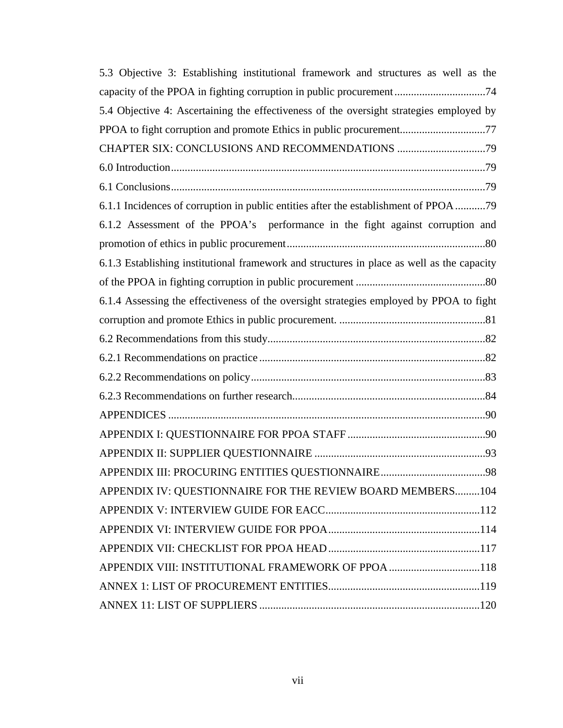| 5.3 Objective 3: Establishing institutional framework and structures as well as the        |
|--------------------------------------------------------------------------------------------|
| capacity of the PPOA in fighting corruption in public procurement74                        |
| 5.4 Objective 4: Ascertaining the effectiveness of the oversight strategies employed by    |
| PPOA to fight corruption and promote Ethics in public procurement77                        |
|                                                                                            |
|                                                                                            |
|                                                                                            |
| 6.1.1 Incidences of corruption in public entities after the establishment of PPOA 79       |
| 6.1.2 Assessment of the PPOA's performance in the fight against corruption and             |
|                                                                                            |
| 6.1.3 Establishing institutional framework and structures in place as well as the capacity |
|                                                                                            |
| 6.1.4 Assessing the effectiveness of the oversight strategies employed by PPOA to fight    |
|                                                                                            |
|                                                                                            |
|                                                                                            |
|                                                                                            |
|                                                                                            |
|                                                                                            |
|                                                                                            |
|                                                                                            |
|                                                                                            |
| APPENDIX IV: QUESTIONNAIRE FOR THE REVIEW BOARD MEMBERS104                                 |
|                                                                                            |
|                                                                                            |
|                                                                                            |
|                                                                                            |
|                                                                                            |
|                                                                                            |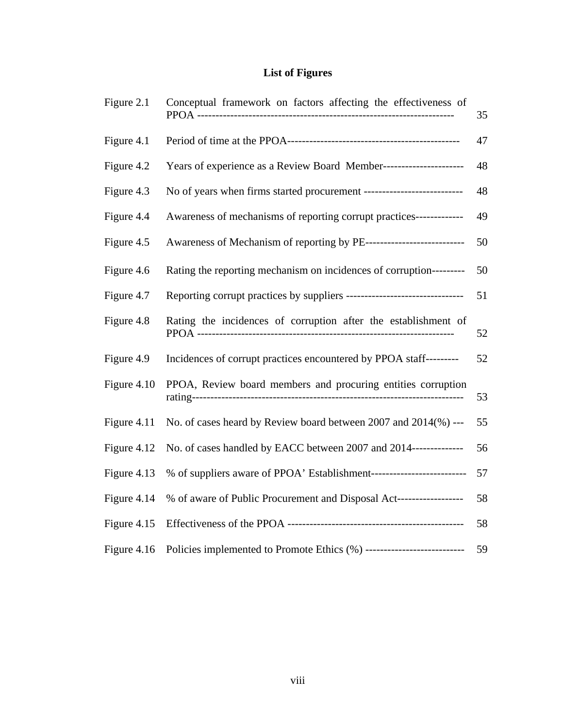# **List of Figures**

<span id="page-8-0"></span>

| Figure 2.1  | Conceptual framework on factors affecting the effectiveness of          | 35 |
|-------------|-------------------------------------------------------------------------|----|
| Figure 4.1  |                                                                         | 47 |
| Figure 4.2  | Years of experience as a Review Board Member----------------------      | 48 |
| Figure 4.3  | No of years when firms started procurement ---------------------------- | 48 |
| Figure 4.4  | Awareness of mechanisms of reporting corrupt practices-------------     | 49 |
| Figure 4.5  | Awareness of Mechanism of reporting by PE----------------------------   | 50 |
| Figure 4.6  | Rating the reporting mechanism on incidences of corruption---------     | 50 |
| Figure 4.7  |                                                                         | 51 |
| Figure 4.8  | Rating the incidences of corruption after the establishment of          | 52 |
| Figure 4.9  | Incidences of corrupt practices encountered by PPOA staff---------      | 52 |
| Figure 4.10 | PPOA, Review board members and procuring entities corruption            | 53 |
| Figure 4.11 | No. of cases heard by Review board between 2007 and 2014(%) ---         | 55 |
| Figure 4.12 | No. of cases handled by EACC between 2007 and 2014--------------        | 56 |
| Figure 4.13 | % of suppliers aware of PPOA' Establishment---------------------------- | 57 |
| Figure 4.14 | % of aware of Public Procurement and Disposal Act-------------------    | 58 |
| Figure 4.15 |                                                                         | 58 |
| Figure 4.16 | Policies implemented to Promote Ethics (%) ---------------------------  | 59 |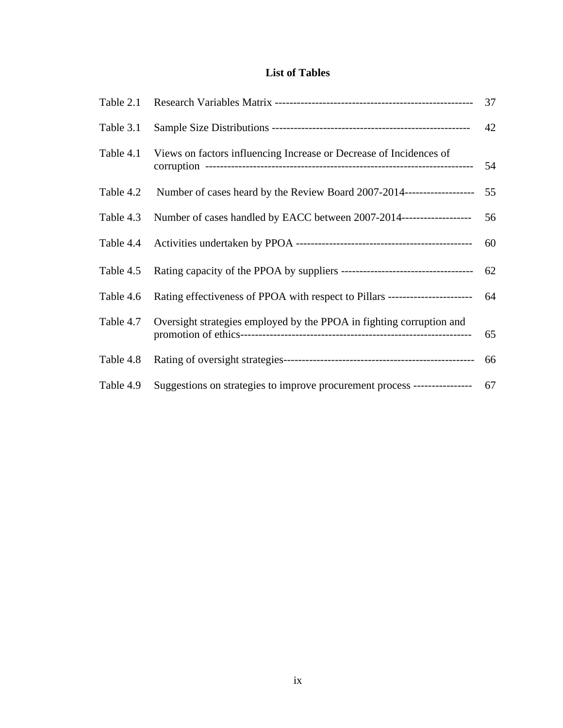## **List of Tables**

<span id="page-9-0"></span>

| Table 2.1 |                                                                               | 37  |
|-----------|-------------------------------------------------------------------------------|-----|
| Table 3.1 |                                                                               | 42  |
| Table 4.1 | Views on factors influencing Increase or Decrease of Incidences of            | 54  |
| Table 4.2 | Number of cases heard by the Review Board 2007-2014--------------------       | 55  |
| Table 4.3 | Number of cases handled by EACC between 2007-2014-------------------          | 56  |
| Table 4.4 |                                                                               | 60  |
| Table 4.5 |                                                                               | 62  |
| Table 4.6 | Rating effectiveness of PPOA with respect to Pillars ------------------------ | 64  |
| Table 4.7 | Oversight strategies employed by the PPOA in fighting corruption and          | 65  |
| Table 4.8 |                                                                               | 66  |
| Table 4.9 | Suggestions on strategies to improve procurement process -----------------    | -67 |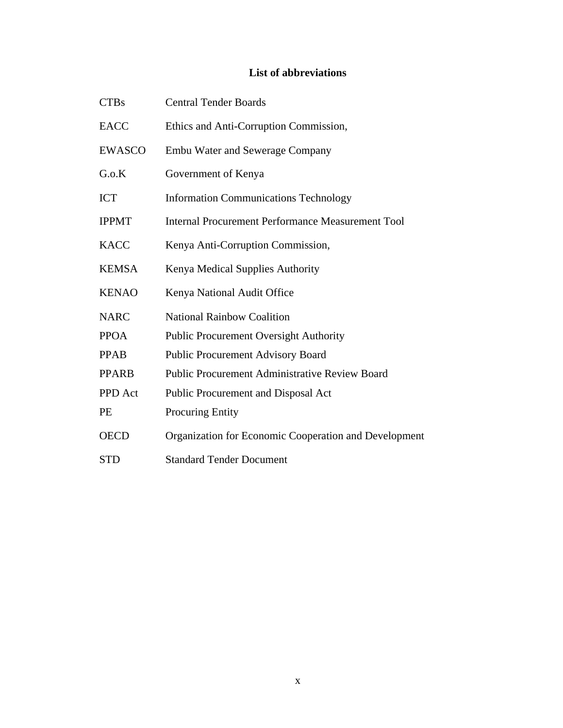## **List of abbreviations**

<span id="page-10-0"></span>

| <b>CTBs</b>   | <b>Central Tender Boards</b>                             |
|---------------|----------------------------------------------------------|
| <b>EACC</b>   | Ethics and Anti-Corruption Commission,                   |
| <b>EWASCO</b> | <b>Embu Water and Sewerage Company</b>                   |
| G.o.K         | Government of Kenya                                      |
| <b>ICT</b>    | <b>Information Communications Technology</b>             |
| <b>IPPMT</b>  | <b>Internal Procurement Performance Measurement Tool</b> |
| <b>KACC</b>   | Kenya Anti-Corruption Commission,                        |
| <b>KEMSA</b>  | Kenya Medical Supplies Authority                         |
| <b>KENAO</b>  | Kenya National Audit Office                              |
| <b>NARC</b>   | <b>National Rainbow Coalition</b>                        |
| <b>PPOA</b>   | <b>Public Procurement Oversight Authority</b>            |
| <b>PPAB</b>   | <b>Public Procurement Advisory Board</b>                 |
| <b>PPARB</b>  | <b>Public Procurement Administrative Review Board</b>    |
| PPD Act       | Public Procurement and Disposal Act                      |
| PE            | <b>Procuring Entity</b>                                  |
| <b>OECD</b>   | Organization for Economic Cooperation and Development    |
| <b>STD</b>    | <b>Standard Tender Document</b>                          |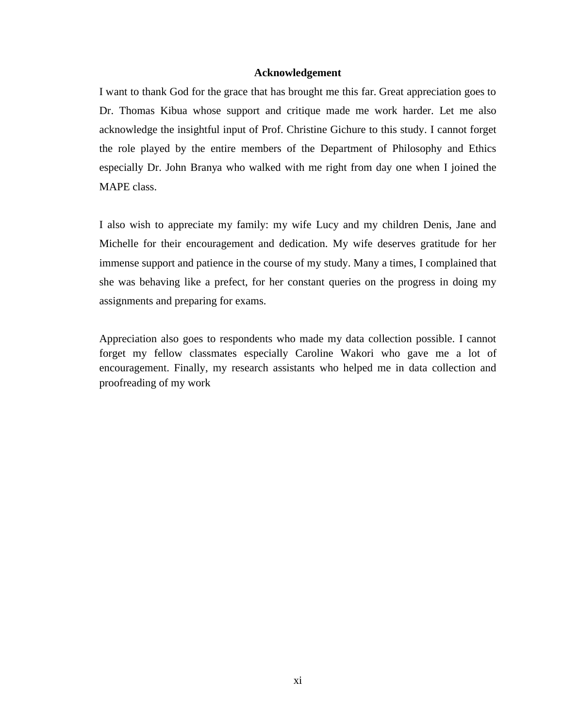## **Acknowledgement**

<span id="page-11-0"></span>I want to thank God for the grace that has brought me this far. Great appreciation goes to Dr. Thomas Kibua whose support and critique made me work harder. Let me also acknowledge the insightful input of Prof. Christine Gichure to this study. I cannot forget the role played by the entire members of the Department of Philosophy and Ethics especially Dr. John Branya who walked with me right from day one when I joined the MAPE class.

I also wish to appreciate my family: my wife Lucy and my children Denis, Jane and Michelle for their encouragement and dedication. My wife deserves gratitude for her immense support and patience in the course of my study. Many a times, I complained that she was behaving like a prefect, for her constant queries on the progress in doing my assignments and preparing for exams.

Appreciation also goes to respondents who made my data collection possible. I cannot forget my fellow classmates especially Caroline Wakori who gave me a lot of encouragement. Finally, my research assistants who helped me in data collection and proofreading of my work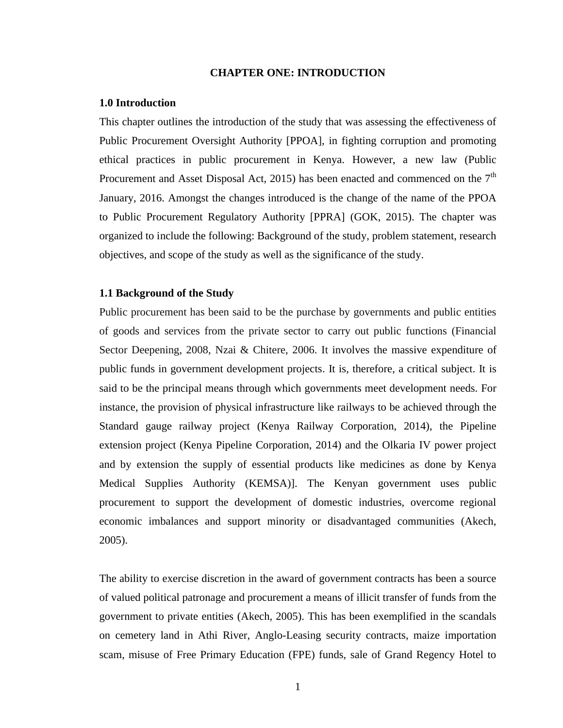## **CHAPTER ONE: INTRODUCTION**

#### <span id="page-12-1"></span><span id="page-12-0"></span>**1.0 Introduction**

This chapter outlines the introduction of the study that was assessing the effectiveness of Public Procurement Oversight Authority [PPOA], in fighting corruption and promoting ethical practices in public procurement in Kenya. However, a new law (Public Procurement and Asset Disposal Act, 2015) has been enacted and commenced on the  $7<sup>th</sup>$ January, 2016. Amongst the changes introduced is the change of the name of the PPOA to Public Procurement Regulatory Authority [PPRA] (GOK, 2015). The chapter was organized to include the following: Background of the study, problem statement, research objectives, and scope of the study as well as the significance of the study.

## <span id="page-12-2"></span>**1.1 Background of the Study**

Public procurement has been said to be the purchase by governments and public entities of goods and services from the private sector to carry out public functions (Financial Sector Deepening, 2008, Nzai & Chitere, 2006. It involves the massive expenditure of public funds in government development projects. It is, therefore, a critical subject. It is said to be the principal means through which governments meet development needs. For instance, the provision of physical infrastructure like railways to be achieved through the Standard gauge railway project (Kenya Railway Corporation, 2014), the Pipeline extension project (Kenya Pipeline Corporation, 2014) and the Olkaria IV power project and by extension the supply of essential products like medicines as done by Kenya Medical Supplies Authority (KEMSA)]. The Kenyan government uses public procurement to support the development of domestic industries, overcome regional economic imbalances and support minority or disadvantaged communities (Akech, 2005).

The ability to exercise discretion in the award of government contracts has been a source of valued political patronage and procurement a means of illicit transfer of funds from the government to private entities (Akech, 2005). This has been exemplified in the scandals on cemetery land in Athi River, Anglo-Leasing security contracts, maize importation scam, misuse of Free Primary Education (FPE) funds, sale of Grand Regency Hotel to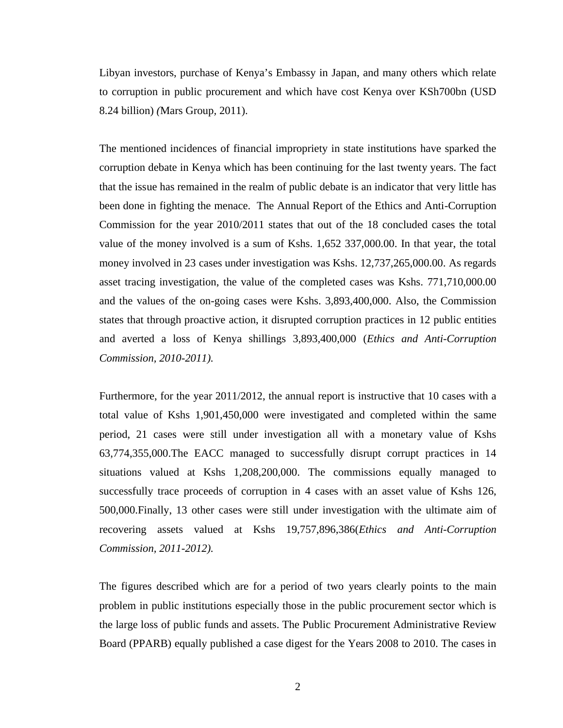Libyan investors, purchase of Kenya's Embassy in Japan, and many others which relate to corruption in public procurement and which have cost Kenya over KSh700bn (USD 8.24 billion) *(*Mars Group*,* 2011).

The mentioned incidences of financial impropriety in state institutions have sparked the corruption debate in Kenya which has been continuing for the last twenty years. The fact that the issue has remained in the realm of public debate is an indicator that very little has been done in fighting the menace. The Annual Report of the Ethics and Anti-Corruption Commission for the year 2010/2011 states that out of the 18 concluded cases the total value of the money involved is a sum of Kshs. 1,652 337,000.00. In that year, the total money involved in 23 cases under investigation was Kshs. 12,737,265,000.00. As regards asset tracing investigation, the value of the completed cases was Kshs. 771,710,000.00 and the values of the on-going cases were Kshs. 3,893,400,000. Also, the Commission states that through proactive action, it disrupted corruption practices in 12 public entities and averted a loss of Kenya shillings 3,893,400,000 (*Ethics and Anti-Corruption Commission, 2010-2011).*

Furthermore, for the year 2011/2012, the annual report is instructive that 10 cases with a total value of Kshs 1,901,450,000 were investigated and completed within the same period, 21 cases were still under investigation all with a monetary value of Kshs 63,774,355,000.The EACC managed to successfully disrupt corrupt practices in 14 situations valued at Kshs 1,208,200,000. The commissions equally managed to successfully trace proceeds of corruption in 4 cases with an asset value of Kshs 126, 500,000.Finally, 13 other cases were still under investigation with the ultimate aim of recovering assets valued at Kshs 19,757,896,386(*Ethics and Anti-Corruption Commission, 2011-2012).*

The figures described which are for a period of two years clearly points to the main problem in public institutions especially those in the public procurement sector which is the large loss of public funds and assets. The Public Procurement Administrative Review Board (PPARB) equally published a case digest for the Years 2008 to 2010. The cases in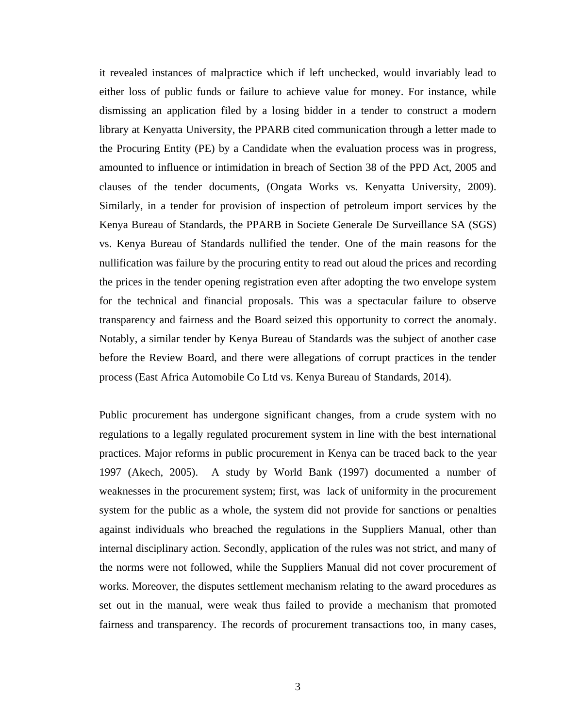it revealed instances of malpractice which if left unchecked, would invariably lead to either loss of public funds or failure to achieve value for money. For instance, while dismissing an application filed by a losing bidder in a tender to construct a modern library at Kenyatta University, the PPARB cited communication through a letter made to the Procuring Entity (PE) by a Candidate when the evaluation process was in progress, amounted to influence or intimidation in breach of Section 38 of the PPD Act, 2005 and clauses of the tender documents, (Ongata Works vs. Kenyatta University, 2009). Similarly, in a tender for provision of inspection of petroleum import services by the Kenya Bureau of Standards, the PPARB in Societe Generale De Surveillance SA (SGS) vs. Kenya Bureau of Standards nullified the tender. One of the main reasons for the nullification was failure by the procuring entity to read out aloud the prices and recording the prices in the tender opening registration even after adopting the two envelope system for the technical and financial proposals. This was a spectacular failure to observe transparency and fairness and the Board seized this opportunity to correct the anomaly. Notably, a similar tender by Kenya Bureau of Standards was the subject of another case before the Review Board, and there were allegations of corrupt practices in the tender process (East Africa Automobile Co Ltd vs. Kenya Bureau of Standards, 2014).

Public procurement has undergone significant changes, from a crude system with no regulations to a legally regulated procurement system in line with the best international practices. Major reforms in public procurement in Kenya can be traced back to the year 1997 (Akech, 2005). A study by World Bank (1997) documented a number of weaknesses in the procurement system; first, was lack of uniformity in the procurement system for the public as a whole, the system did not provide for sanctions or penalties against individuals who breached the regulations in the Suppliers Manual, other than internal disciplinary action. Secondly, application of the rules was not strict, and many of the norms were not followed, while the Suppliers Manual did not cover procurement of works. Moreover, the disputes settlement mechanism relating to the award procedures as set out in the manual, were weak thus failed to provide a mechanism that promoted fairness and transparency. The records of procurement transactions too, in many cases,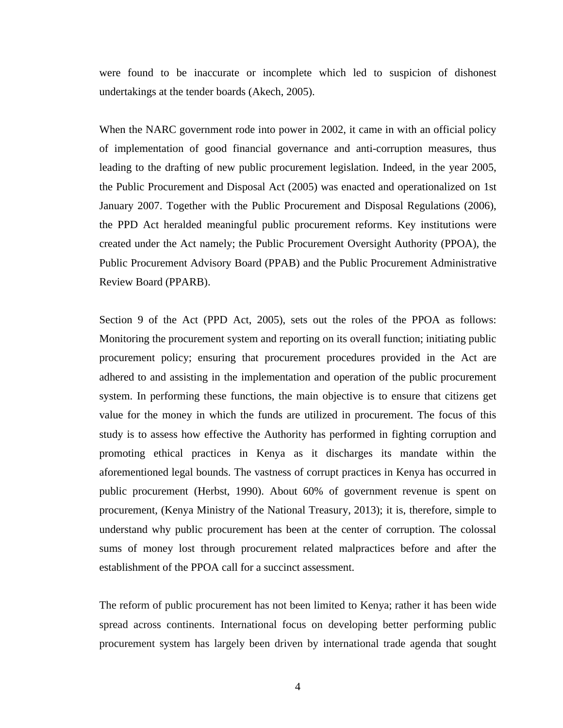were found to be inaccurate or incomplete which led to suspicion of dishonest undertakings at the tender boards (Akech, 2005).

When the NARC government rode into power in 2002, it came in with an official policy of implementation of good financial governance and anti-corruption measures, thus leading to the drafting of new public procurement legislation. Indeed, in the year 2005, the Public Procurement and Disposal Act (2005) was enacted and operationalized on 1st January 2007. Together with the Public Procurement and Disposal Regulations (2006), the PPD Act heralded meaningful public procurement reforms. Key institutions were created under the Act namely; the Public Procurement Oversight Authority (PPOA), the Public Procurement Advisory Board (PPAB) and the Public Procurement Administrative Review Board (PPARB).

Section 9 of the Act (PPD Act, 2005), sets out the roles of the PPOA as follows: Monitoring the procurement system and reporting on its overall function; initiating public procurement policy; ensuring that procurement procedures provided in the Act are adhered to and assisting in the implementation and operation of the public procurement system. In performing these functions, the main objective is to ensure that citizens get value for the money in which the funds are utilized in procurement. The focus of this study is to assess how effective the Authority has performed in fighting corruption and promoting ethical practices in Kenya as it discharges its mandate within the aforementioned legal bounds. The vastness of corrupt practices in Kenya has occurred in public procurement (Herbst, 1990). About 60% of government revenue is spent on procurement, (Kenya Ministry of the National Treasury, 2013); it is, therefore, simple to understand why public procurement has been at the center of corruption. The colossal sums of money lost through procurement related malpractices before and after the establishment of the PPOA call for a succinct assessment.

The reform of public procurement has not been limited to Kenya; rather it has been wide spread across continents. International focus on developing better performing public procurement system has largely been driven by international trade agenda that sought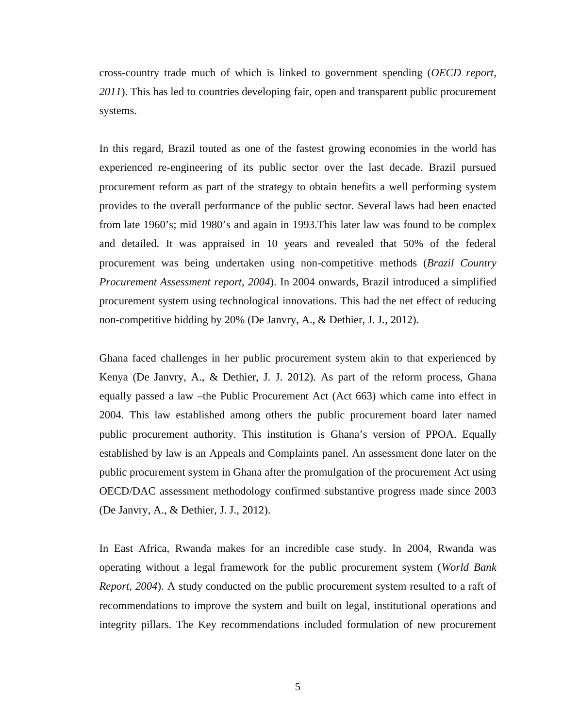cross-country trade much of which is linked to government spending (*OECD report, 2011*). This has led to countries developing fair, open and transparent public procurement systems.

In this regard, Brazil touted as one of the fastest growing economies in the world has experienced re-engineering of its public sector over the last decade. Brazil pursued procurement reform as part of the strategy to obtain benefits a well performing system provides to the overall performance of the public sector. Several laws had been enacted from late 1960's; mid 1980's and again in 1993.This later law was found to be complex and detailed. It was appraised in 10 years and revealed that 50% of the federal procurement was being undertaken using non-competitive methods (*Brazil Country Procurement Assessment report, 2004*). In 2004 onwards, Brazil introduced a simplified procurement system using technological innovations. This had the net effect of reducing non-competitive bidding by 20% (De Janvry, A., & Dethier, J. J., 2012).

Ghana faced challenges in her public procurement system akin to that experienced by Kenya (De Janvry, A., & Dethier, J. J. 2012). As part of the reform process, Ghana equally passed a law –the Public Procurement Act (Act 663) which came into effect in 2004. This law established among others the public procurement board later named public procurement authority. This institution is Ghana's version of PPOA. Equally established by law is an Appeals and Complaints panel. An assessment done later on the public procurement system in Ghana after the promulgation of the procurement Act using OECD/DAC assessment methodology confirmed substantive progress made since 2003 (De Janvry, A., & Dethier, J. J., 2012).

In East Africa, Rwanda makes for an incredible case study. In 2004, Rwanda was operating without a legal framework for the public procurement system (*World Bank Report, 2004*). A study conducted on the public procurement system resulted to a raft of recommendations to improve the system and built on legal, institutional operations and integrity pillars. The Key recommendations included formulation of new procurement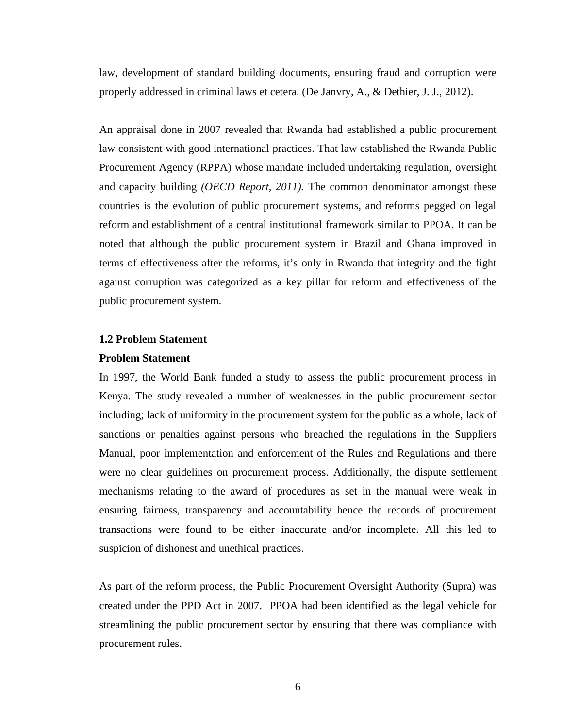law, development of standard building documents, ensuring fraud and corruption were properly addressed in criminal laws et cetera. (De Janvry, A., & Dethier, J. J., 2012).

An appraisal done in 2007 revealed that Rwanda had established a public procurement law consistent with good international practices. That law established the Rwanda Public Procurement Agency (RPPA) whose mandate included undertaking regulation, oversight and capacity building *(OECD Report, 2011).* The common denominator amongst these countries is the evolution of public procurement systems, and reforms pegged on legal reform and establishment of a central institutional framework similar to PPOA. It can be noted that although the public procurement system in Brazil and Ghana improved in terms of effectiveness after the reforms, it's only in Rwanda that integrity and the fight against corruption was categorized as a key pillar for reform and effectiveness of the public procurement system.

## <span id="page-17-0"></span>**1.2 Problem Statement**

#### <span id="page-17-1"></span>**Problem Statement**

In 1997, the World Bank funded a study to assess the public procurement process in Kenya. The study revealed a number of weaknesses in the public procurement sector including; lack of uniformity in the procurement system for the public as a whole, lack of sanctions or penalties against persons who breached the regulations in the Suppliers Manual, poor implementation and enforcement of the Rules and Regulations and there were no clear guidelines on procurement process. Additionally, the dispute settlement mechanisms relating to the award of procedures as set in the manual were weak in ensuring fairness, transparency and accountability hence the records of procurement transactions were found to be either inaccurate and/or incomplete. All this led to suspicion of dishonest and unethical practices.

As part of the reform process, the Public Procurement Oversight Authority (Supra) was created under the PPD Act in 2007. PPOA had been identified as the legal vehicle for streamlining the public procurement sector by ensuring that there was compliance with procurement rules.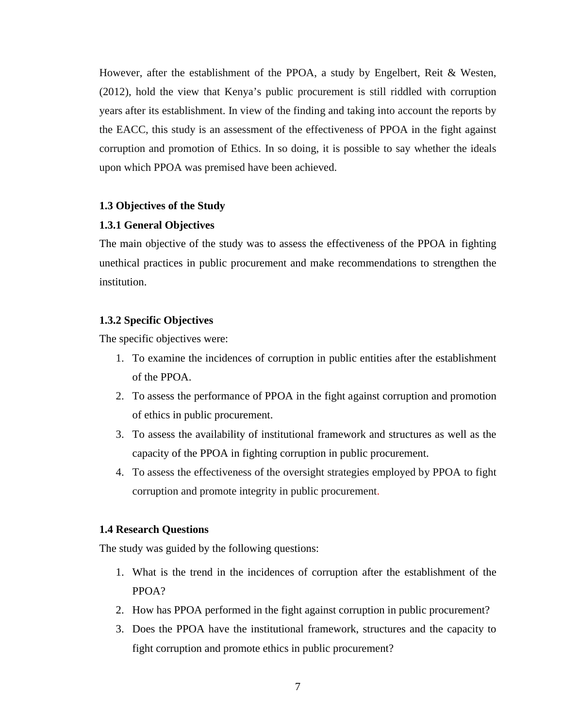However, after the establishment of the PPOA, a study by Engelbert, Reit & Westen, (2012), hold the view that Kenya's public procurement is still riddled with corruption years after its establishment. In view of the finding and taking into account the reports by the EACC, this study is an assessment of the effectiveness of PPOA in the fight against corruption and promotion of Ethics. In so doing, it is possible to say whether the ideals upon which PPOA was premised have been achieved.

## <span id="page-18-0"></span>**1.3 Objectives of the Study**

#### <span id="page-18-1"></span>**1.3.1 General Objectives**

The main objective of the study was to assess the effectiveness of the PPOA in fighting unethical practices in public procurement and make recommendations to strengthen the institution.

## <span id="page-18-2"></span>**1.3.2 Specific Objectives**

The specific objectives were:

- 1. To examine the incidences of corruption in public entities after the establishment of the PPOA.
- 2. To assess the performance of PPOA in the fight against corruption and promotion of ethics in public procurement.
- 3. To assess the availability of institutional framework and structures as well as the capacity of the PPOA in fighting corruption in public procurement.
- 4. To assess the effectiveness of the oversight strategies employed by PPOA to fight corruption and promote integrity in public procurement.

#### <span id="page-18-3"></span>**1.4 Research Questions**

The study was guided by the following questions:

- 1. What is the trend in the incidences of corruption after the establishment of the PPOA?
- 2. How has PPOA performed in the fight against corruption in public procurement?
- 3. Does the PPOA have the institutional framework, structures and the capacity to fight corruption and promote ethics in public procurement?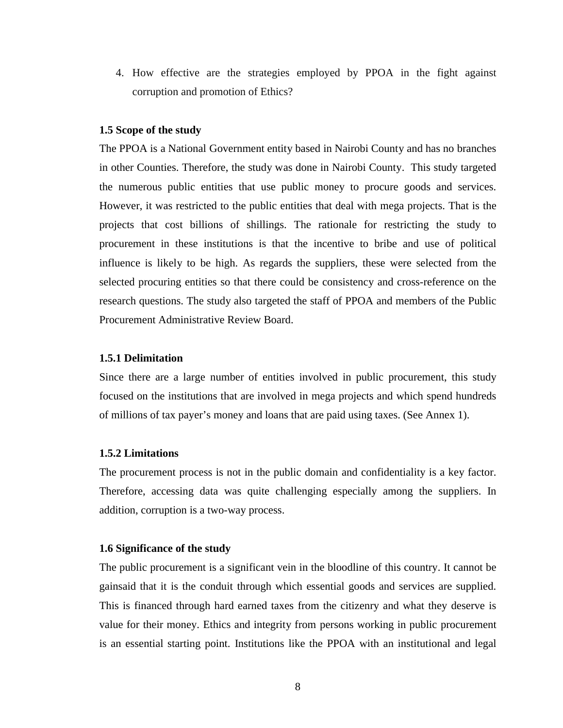4. How effective are the strategies employed by PPOA in the fight against corruption and promotion of Ethics?

#### <span id="page-19-0"></span>**1.5 Scope of the study**

The PPOA is a National Government entity based in Nairobi County and has no branches in other Counties. Therefore, the study was done in Nairobi County. This study targeted the numerous public entities that use public money to procure goods and services. However, it was restricted to the public entities that deal with mega projects. That is the projects that cost billions of shillings. The rationale for restricting the study to procurement in these institutions is that the incentive to bribe and use of political influence is likely to be high. As regards the suppliers, these were selected from the selected procuring entities so that there could be consistency and cross-reference on the research questions. The study also targeted the staff of PPOA and members of the Public Procurement Administrative Review Board.

## <span id="page-19-1"></span>**1.5.1 Delimitation**

Since there are a large number of entities involved in public procurement, this study focused on the institutions that are involved in mega projects and which spend hundreds of millions of tax payer's money and loans that are paid using taxes. (See Annex 1).

## <span id="page-19-2"></span>**1.5.2 Limitations**

The procurement process is not in the public domain and confidentiality is a key factor. Therefore, accessing data was quite challenging especially among the suppliers. In addition, corruption is a two-way process.

## <span id="page-19-3"></span>**1.6 Significance of the study**

The public procurement is a significant vein in the bloodline of this country. It cannot be gainsaid that it is the conduit through which essential goods and services are supplied. This is financed through hard earned taxes from the citizenry and what they deserve is value for their money. Ethics and integrity from persons working in public procurement is an essential starting point. Institutions like the PPOA with an institutional and legal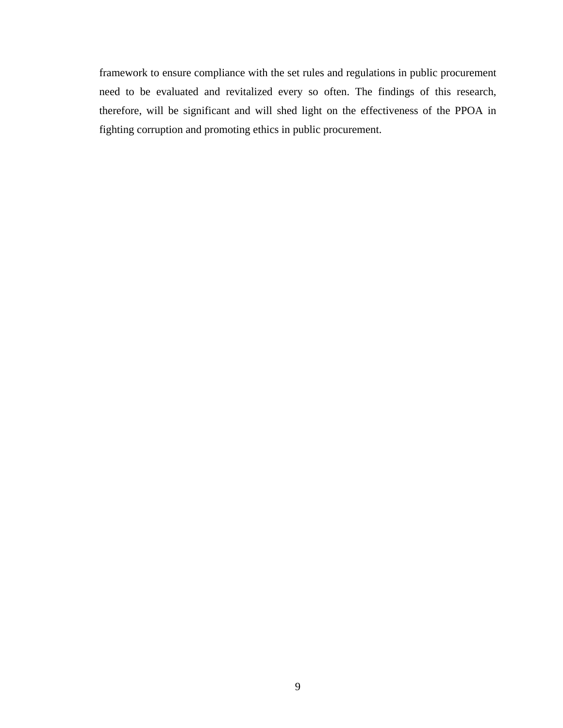framework to ensure compliance with the set rules and regulations in public procurement need to be evaluated and revitalized every so often. The findings of this research, therefore, will be significant and will shed light on the effectiveness of the PPOA in fighting corruption and promoting ethics in public procurement.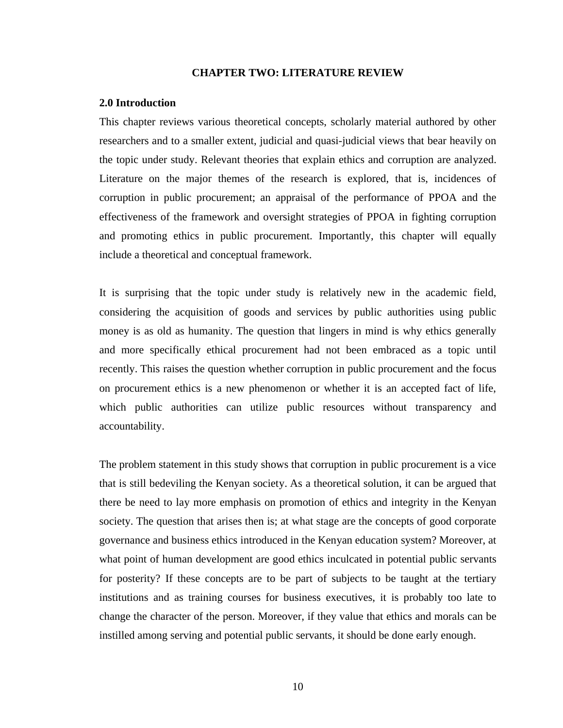### **CHAPTER TWO: LITERATURE REVIEW**

#### <span id="page-21-1"></span><span id="page-21-0"></span>**2.0 Introduction**

This chapter reviews various theoretical concepts, scholarly material authored by other researchers and to a smaller extent, judicial and quasi-judicial views that bear heavily on the topic under study. Relevant theories that explain ethics and corruption are analyzed. Literature on the major themes of the research is explored, that is, incidences of corruption in public procurement; an appraisal of the performance of PPOA and the effectiveness of the framework and oversight strategies of PPOA in fighting corruption and promoting ethics in public procurement. Importantly, this chapter will equally include a theoretical and conceptual framework.

It is surprising that the topic under study is relatively new in the academic field, considering the acquisition of goods and services by public authorities using public money is as old as humanity. The question that lingers in mind is why ethics generally and more specifically ethical procurement had not been embraced as a topic until recently. This raises the question whether corruption in public procurement and the focus on procurement ethics is a new phenomenon or whether it is an accepted fact of life, which public authorities can utilize public resources without transparency and accountability.

The problem statement in this study shows that corruption in public procurement is a vice that is still bedeviling the Kenyan society. As a theoretical solution, it can be argued that there be need to lay more emphasis on promotion of ethics and integrity in the Kenyan society. The question that arises then is; at what stage are the concepts of good corporate governance and business ethics introduced in the Kenyan education system? Moreover, at what point of human development are good ethics inculcated in potential public servants for posterity? If these concepts are to be part of subjects to be taught at the tertiary institutions and as training courses for business executives, it is probably too late to change the character of the person. Moreover, if they value that ethics and morals can be instilled among serving and potential public servants, it should be done early enough.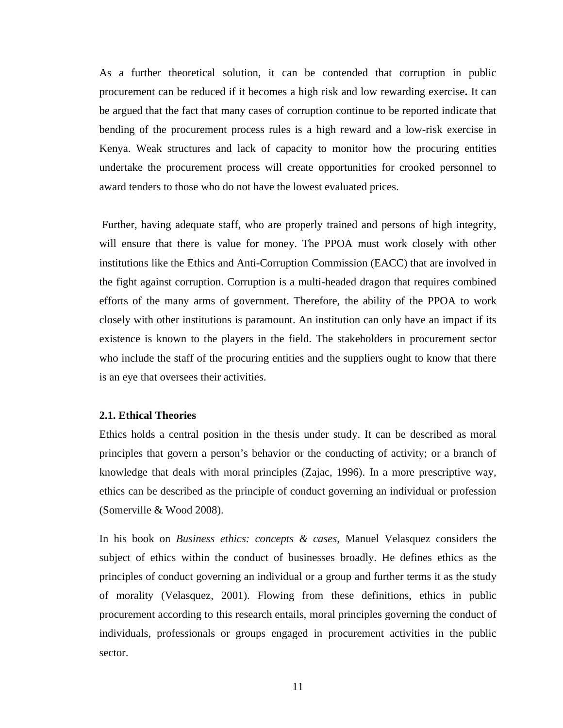As a further theoretical solution, it can be contended that corruption in public procurement can be reduced if it becomes a high risk and low rewarding exercise**.** It can be argued that the fact that many cases of corruption continue to be reported indicate that bending of the procurement process rules is a high reward and a low-risk exercise in Kenya. Weak structures and lack of capacity to monitor how the procuring entities undertake the procurement process will create opportunities for crooked personnel to award tenders to those who do not have the lowest evaluated prices.

Further, having adequate staff, who are properly trained and persons of high integrity, will ensure that there is value for money. The PPOA must work closely with other institutions like the Ethics and Anti-Corruption Commission (EACC) that are involved in the fight against corruption. Corruption is a multi-headed dragon that requires combined efforts of the many arms of government. Therefore, the ability of the PPOA to work closely with other institutions is paramount. An institution can only have an impact if its existence is known to the players in the field. The stakeholders in procurement sector who include the staff of the procuring entities and the suppliers ought to know that there is an eye that oversees their activities.

## <span id="page-22-0"></span>**2.1. Ethical Theories**

Ethics holds a central position in the thesis under study. It can be described as moral principles that govern a person's behavior or the conducting of activity; or a branch of knowledge that deals with moral principles (Zajac, 1996). In a more prescriptive way, ethics can be described as the principle of conduct governing an individual or profession (Somerville & Wood 2008).

In his book on *Business ethics: concepts & cases,* Manuel Velasquez considers the subject of ethics within the conduct of businesses broadly. He defines ethics as the principles of conduct governing an individual or a group and further terms it as the study of morality (Velasquez, 2001). Flowing from these definitions, ethics in public procurement according to this research entails, moral principles governing the conduct of individuals, professionals or groups engaged in procurement activities in the public sector.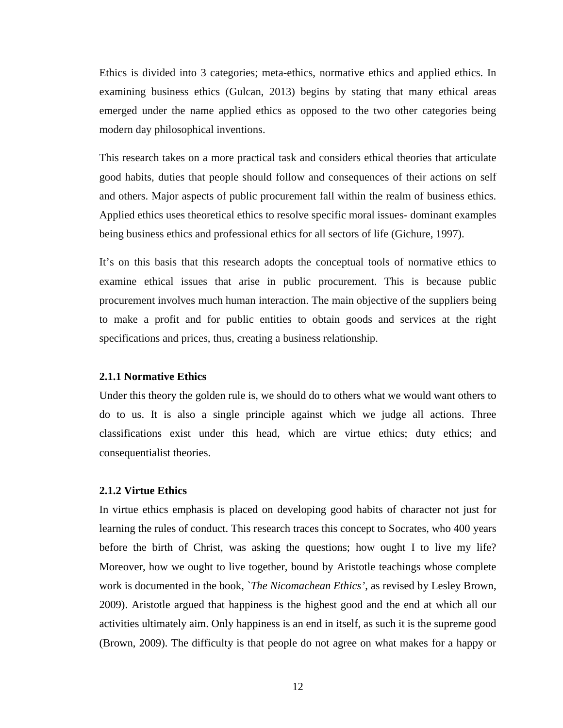Ethics is divided into 3 categories; meta-ethics, normative ethics and applied ethics. In examining business ethics (Gulcan, 2013) begins by stating that many ethical areas emerged under the name applied ethics as opposed to the two other categories being modern day philosophical inventions.

This research takes on a more practical task and considers ethical theories that articulate good habits, duties that people should follow and consequences of their actions on self and others. Major aspects of public procurement fall within the realm of business ethics. Applied ethics uses theoretical ethics to resolve specific moral issues- dominant examples being business ethics and professional ethics for all sectors of life (Gichure, 1997).

It's on this basis that this research adopts the conceptual tools of normative ethics to examine ethical issues that arise in public procurement. This is because public procurement involves much human interaction. The main objective of the suppliers being to make a profit and for public entities to obtain goods and services at the right specifications and prices, thus, creating a business relationship.

### <span id="page-23-0"></span>**2.1.1 Normative Ethics**

Under this theory the golden rule is, we should do to others what we would want others to do to us. It is also a single principle against which we judge all actions. Three classifications exist under this head, which are virtue ethics; duty ethics; and consequentialist theories.

## <span id="page-23-1"></span>**2.1.2 Virtue Ethics**

In virtue ethics emphasis is placed on developing good habits of character not just for learning the rules of conduct. This research traces this concept to Socrates, who 400 years before the birth of Christ, was asking the questions; how ought I to live my life? Moreover, how we ought to live together*,* bound by Aristotle teachings whose complete work is documented in the book, `*The Nicomachean Ethics'*, as revised by Lesley Brown, 2009). Aristotle argued that happiness is the highest good and the end at which all our activities ultimately aim. Only happiness is an end in itself, as such it is the supreme good (Brown, 2009). The difficulty is that people do not agree on what makes for a happy or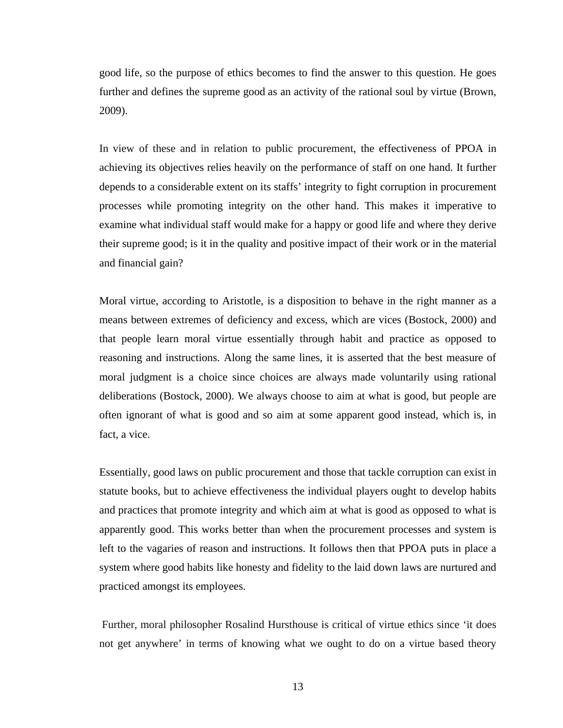good life, so the purpose of ethics becomes to find the answer to this question. He goes further and defines the supreme good as an activity of the rational soul by virtue (Brown, 2009).

In view of these and in relation to public procurement, the effectiveness of PPOA in achieving its objectives relies heavily on the performance of staff on one hand. It further depends to a considerable extent on its staffs' integrity to fight corruption in procurement processes while promoting integrity on the other hand. This makes it imperative to examine what individual staff would make for a happy or good life and where they derive their supreme good; is it in the quality and positive impact of their work or in the material and financial gain?

Moral virtue, according to Aristotle, is a disposition to behave in the right manner as a means between extremes of deficiency and excess, which are vices (Bostock, 2000) and that people learn moral virtue essentially through habit and practice as opposed to reasoning and instructions. Along the same lines, it is asserted that the best measure of moral judgment is a choice since choices are always made voluntarily using rational deliberations (Bostock, 2000). We always choose to aim at what is good, but people are often ignorant of what is good and so aim at some apparent good instead, which is, in fact, a vice.

Essentially, good laws on public procurement and those that tackle corruption can exist in statute books, but to achieve effectiveness the individual players ought to develop habits and practices that promote integrity and which aim at what is good as opposed to what is apparently good. This works better than when the procurement processes and system is left to the vagaries of reason and instructions. It follows then that PPOA puts in place a system where good habits like honesty and fidelity to the laid down laws are nurtured and practiced amongst its employees.

Further, moral philosopher Rosalind Hursthouse is critical of virtue ethics since 'it does not get anywhere' in terms of knowing what we ought to do on a virtue based theory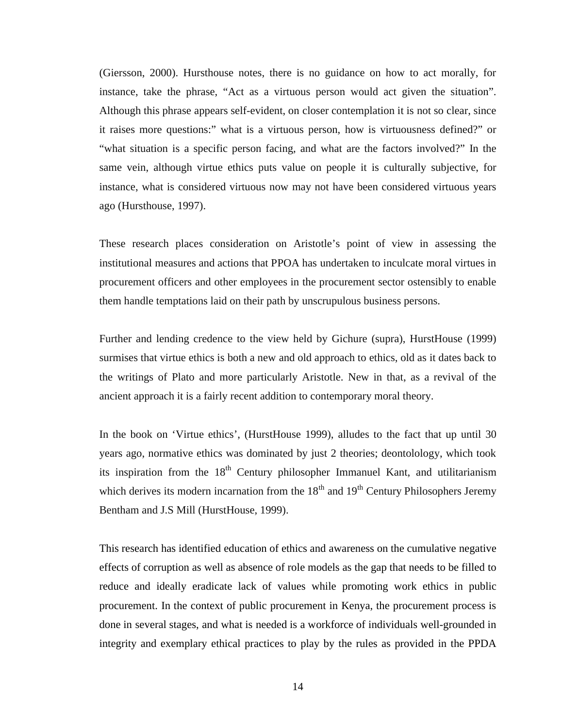(Giersson, 2000). Hursthouse notes, there is no guidance on how to act morally, for instance, take the phrase, "Act as a virtuous person would act given the situation". Although this phrase appears self-evident, on closer contemplation it is not so clear, since it raises more questions:" what is a virtuous person, how is virtuousness defined?" or "what situation is a specific person facing, and what are the factors involved?" In the same vein, although virtue ethics puts value on people it is culturally subjective, for instance, what is considered virtuous now may not have been considered virtuous years ago (Hursthouse, 1997).

These research places consideration on Aristotle's point of view in assessing the institutional measures and actions that PPOA has undertaken to inculcate moral virtues in procurement officers and other employees in the procurement sector ostensibly to enable them handle temptations laid on their path by unscrupulous business persons.

Further and lending credence to the view held by Gichure (supra), HurstHouse (1999) surmises that virtue ethics is both a new and old approach to ethics, old as it dates back to the writings of Plato and more particularly Aristotle. New in that, as a revival of the ancient approach it is a fairly recent addition to contemporary moral theory.

In the book on 'Virtue ethics', (HurstHouse 1999), alludes to the fact that up until 30 years ago, normative ethics was dominated by just 2 theories; deontolology, which took its inspiration from the  $18<sup>th</sup>$  Century philosopher Immanuel Kant, and utilitarianism which derives its modern incarnation from the  $18<sup>th</sup>$  and  $19<sup>th</sup>$  Century Philosophers Jeremy Bentham and J.S Mill (HurstHouse, 1999).

This research has identified education of ethics and awareness on the cumulative negative effects of corruption as well as absence of role models as the gap that needs to be filled to reduce and ideally eradicate lack of values while promoting work ethics in public procurement. In the context of public procurement in Kenya, the procurement process is done in several stages, and what is needed is a workforce of individuals well-grounded in integrity and exemplary ethical practices to play by the rules as provided in the PPDA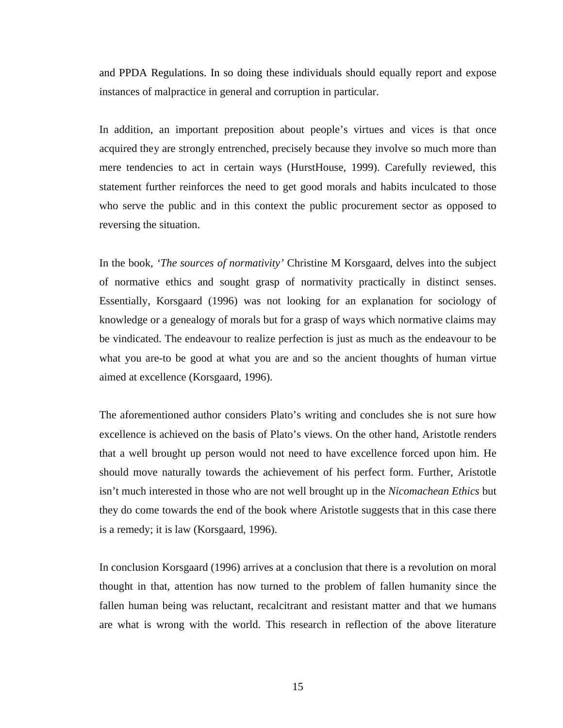and PPDA Regulations. In so doing these individuals should equally report and expose instances of malpractice in general and corruption in particular.

In addition, an important preposition about people's virtues and vices is that once acquired they are strongly entrenched, precisely because they involve so much more than mere tendencies to act in certain ways (HurstHouse, 1999). Carefully reviewed, this statement further reinforces the need to get good morals and habits inculcated to those who serve the public and in this context the public procurement sector as opposed to reversing the situation.

In the book, *'The sources of normativity'* Christine M Korsgaard, delves into the subject of normative ethics and sought grasp of normativity practically in distinct senses. Essentially, Korsgaard (1996) was not looking for an explanation for sociology of knowledge or a genealogy of morals but for a grasp of ways which normative claims may be vindicated. The endeavour to realize perfection is just as much as the endeavour to be what you are-to be good at what you are and so the ancient thoughts of human virtue aimed at excellence (Korsgaard, 1996).

The aforementioned author considers Plato's writing and concludes she is not sure how excellence is achieved on the basis of Plato's views. On the other hand, Aristotle renders that a well brought up person would not need to have excellence forced upon him. He should move naturally towards the achievement of his perfect form. Further, Aristotle isn't much interested in those who are not well brought up in the *Nicomachean Ethics* but they do come towards the end of the book where Aristotle suggests that in this case there is a remedy; it is law (Korsgaard, 1996).

In conclusion Korsgaard (1996) arrives at a conclusion that there is a revolution on moral thought in that, attention has now turned to the problem of fallen humanity since the fallen human being was reluctant, recalcitrant and resistant matter and that we humans are what is wrong with the world. This research in reflection of the above literature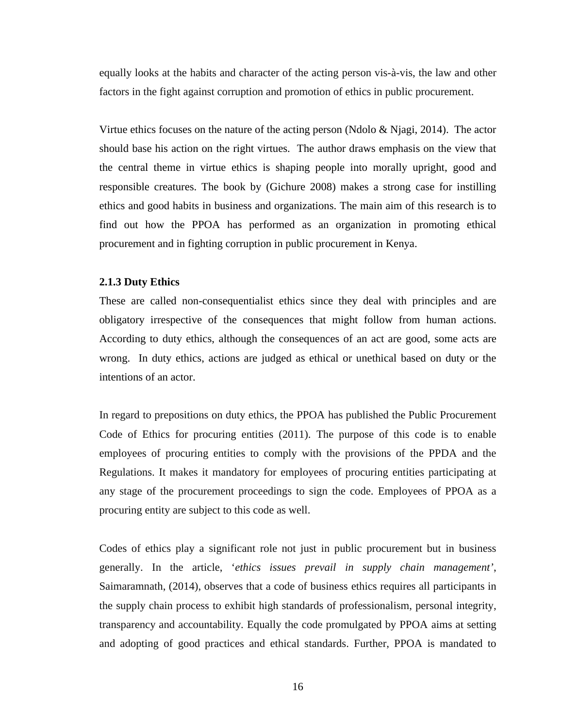equally looks at the habits and character of the acting person vis-à-vis, the law and other factors in the fight against corruption and promotion of ethics in public procurement.

Virtue ethics focuses on the nature of the acting person (Ndolo  $\&$  Njagi, 2014). The actor should base his action on the right virtues. The author draws emphasis on the view that the central theme in virtue ethics is shaping people into morally upright, good and responsible creatures. The book by (Gichure 2008) makes a strong case for instilling ethics and good habits in business and organizations. The main aim of this research is to find out how the PPOA has performed as an organization in promoting ethical procurement and in fighting corruption in public procurement in Kenya.

#### <span id="page-27-0"></span>**2.1.3 Duty Ethics**

These are called non-consequentialist ethics since they deal with principles and are obligatory irrespective of the consequences that might follow from human actions. According to duty ethics, although the consequences of an act are good, some acts are wrong. In duty ethics, actions are judged as ethical or unethical based on duty or the intentions of an actor.

In regard to prepositions on duty ethics, the PPOA has published the Public Procurement Code of Ethics for procuring entities (2011). The purpose of this code is to enable employees of procuring entities to comply with the provisions of the PPDA and the Regulations. It makes it mandatory for employees of procuring entities participating at any stage of the procurement proceedings to sign the code. Employees of PPOA as a procuring entity are subject to this code as well.

Codes of ethics play a significant role not just in public procurement but in business generally. In the article, '*ethics issues prevail in supply chain management'*, Saimaramnath, (2014), observes that a code of business ethics requires all participants in the supply chain process to exhibit high standards of professionalism, personal integrity, transparency and accountability. Equally the code promulgated by PPOA aims at setting and adopting of good practices and ethical standards. Further, PPOA is mandated to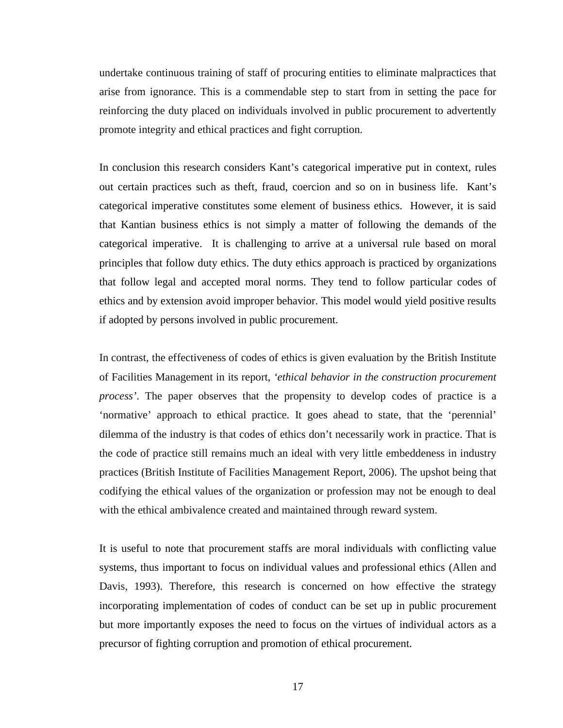undertake continuous training of staff of procuring entities to eliminate malpractices that arise from ignorance. This is a commendable step to start from in setting the pace for reinforcing the duty placed on individuals involved in public procurement to advertently promote integrity and ethical practices and fight corruption.

In conclusion this research considers Kant's categorical imperative put in context, rules out certain practices such as theft, fraud, coercion and so on in business life. Kant's categorical imperative constitutes some element of business ethics. However, it is said that Kantian business ethics is not simply a matter of following the demands of the categorical imperative. It is challenging to arrive at a universal rule based on moral principles that follow duty ethics. The duty ethics approach is practiced by organizations that follow legal and accepted moral norms. They tend to follow particular codes of ethics and by extension avoid improper behavior. This model would yield positive results if adopted by persons involved in public procurement.

In contrast, the effectiveness of codes of ethics is given evaluation by the British Institute of Facilities Management in its report, *'ethical behavior in the construction procurement process'*. The paper observes that the propensity to develop codes of practice is a 'normative' approach to ethical practice. It goes ahead to state, that the 'perennial' dilemma of the industry is that codes of ethics don't necessarily work in practice. That is the code of practice still remains much an ideal with very little embeddeness in industry practices (British Institute of Facilities Management Report, 2006). The upshot being that codifying the ethical values of the organization or profession may not be enough to deal with the ethical ambivalence created and maintained through reward system.

It is useful to note that procurement staffs are moral individuals with conflicting value systems, thus important to focus on individual values and professional ethics (Allen and Davis, 1993). Therefore, this research is concerned on how effective the strategy incorporating implementation of codes of conduct can be set up in public procurement but more importantly exposes the need to focus on the virtues of individual actors as a precursor of fighting corruption and promotion of ethical procurement.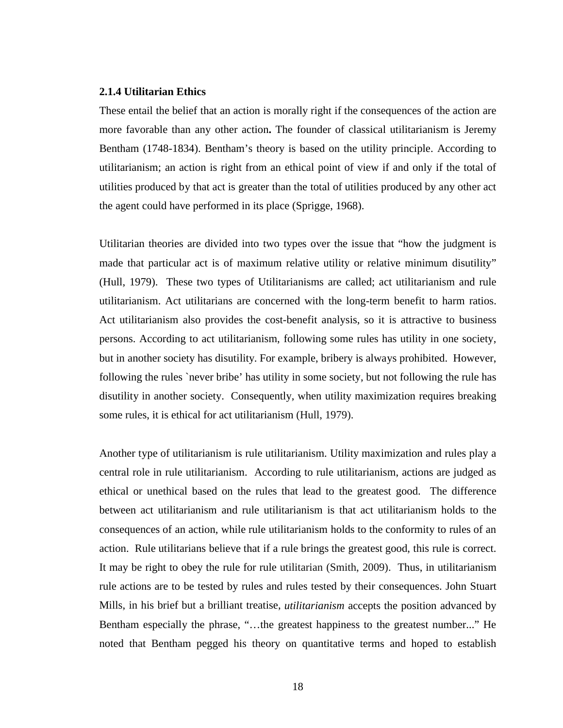## <span id="page-29-0"></span>**2.1.4 Utilitarian Ethics**

These entail the belief that an action is morally right if the consequences of the action are more favorable than any other action**.** The founder of classical utilitarianism is Jeremy Bentham (1748-1834). Bentham's theory is based on the utility principle. According to utilitarianism; an action is right from an ethical point of view if and only if the total of utilities produced by that act is greater than the total of utilities produced by any other act the agent could have performed in its place (Sprigge, 1968).

Utilitarian theories are divided into two types over the issue that "how the judgment is made that particular act is of maximum relative utility or relative minimum disutility" (Hull, 1979). These two types of Utilitarianisms are called; act utilitarianism and rule utilitarianism. Act utilitarians are concerned with the long-term benefit to harm ratios. Act utilitarianism also provides the cost-benefit analysis, so it is attractive to business persons. According to act utilitarianism, following some rules has utility in one society, but in another society has disutility. For example, bribery is always prohibited. However, following the rules `never bribe' has utility in some society, but not following the rule has disutility in another society. Consequently, when utility maximization requires breaking some rules, it is ethical for act utilitarianism (Hull, 1979).

Another type of utilitarianism is rule utilitarianism. Utility maximization and rules play a central role in rule utilitarianism. According to rule utilitarianism, actions are judged as ethical or unethical based on the rules that lead to the greatest good. The difference between act utilitarianism and rule utilitarianism is that act utilitarianism holds to the consequences of an action, while rule utilitarianism holds to the conformity to rules of an action. Rule utilitarians believe that if a rule brings the greatest good, this rule is correct. It may be right to obey the rule for rule utilitarian (Smith, 2009). Thus, in utilitarianism rule actions are to be tested by rules and rules tested by their consequences. John Stuart Mills, in his brief but a brilliant treatise, *utilitarianism* accepts the position advanced by Bentham especially the phrase, "…the greatest happiness to the greatest number..." He noted that Bentham pegged his theory on quantitative terms and hoped to establish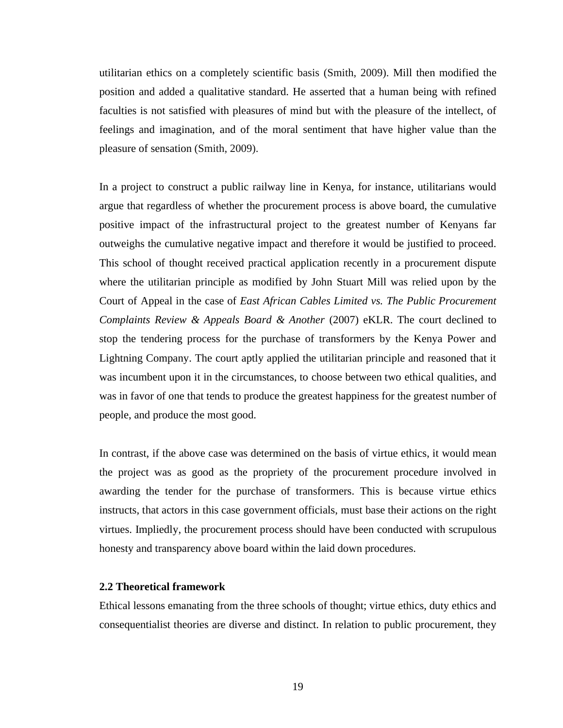utilitarian ethics on a completely scientific basis (Smith, 2009). Mill then modified the position and added a qualitative standard. He asserted that a human being with refined faculties is not satisfied with pleasures of mind but with the pleasure of the intellect, of feelings and imagination, and of the moral sentiment that have higher value than the pleasure of sensation (Smith, 2009).

In a project to construct a public railway line in Kenya, for instance, utilitarians would argue that regardless of whether the procurement process is above board, the cumulative positive impact of the infrastructural project to the greatest number of Kenyans far outweighs the cumulative negative impact and therefore it would be justified to proceed. This school of thought received practical application recently in a procurement dispute where the utilitarian principle as modified by John Stuart Mill was relied upon by the Court of Appeal in the case of *East African Cables Limited vs. The Public Procurement Complaints Review & Appeals Board & Another* (2007) eKLR. The court declined to stop the tendering process for the purchase of transformers by the Kenya Power and Lightning Company. The court aptly applied the utilitarian principle and reasoned that it was incumbent upon it in the circumstances, to choose between two ethical qualities, and was in favor of one that tends to produce the greatest happiness for the greatest number of people, and produce the most good.

In contrast, if the above case was determined on the basis of virtue ethics, it would mean the project was as good as the propriety of the procurement procedure involved in awarding the tender for the purchase of transformers. This is because virtue ethics instructs, that actors in this case government officials, must base their actions on the right virtues. Impliedly, the procurement process should have been conducted with scrupulous honesty and transparency above board within the laid down procedures.

## <span id="page-30-0"></span>**2.2 Theoretical framework**

Ethical lessons emanating from the three schools of thought; virtue ethics, duty ethics and consequentialist theories are diverse and distinct. In relation to public procurement, they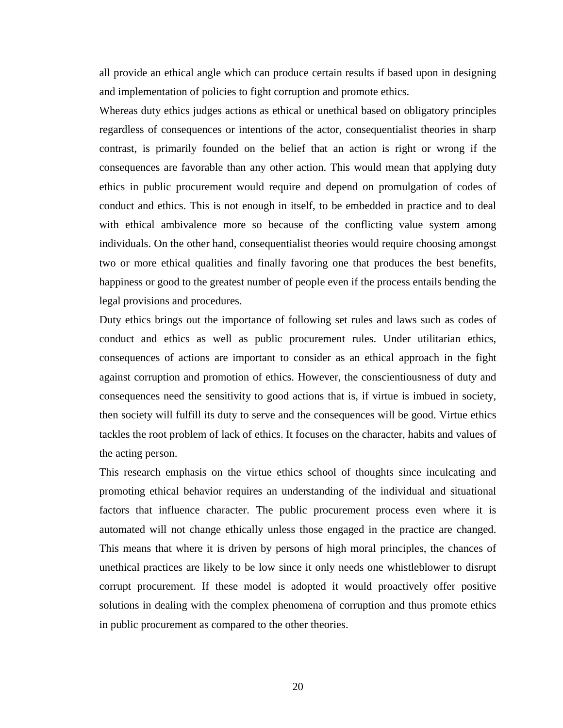all provide an ethical angle which can produce certain results if based upon in designing and implementation of policies to fight corruption and promote ethics.

Whereas duty ethics judges actions as ethical or unethical based on obligatory principles regardless of consequences or intentions of the actor, consequentialist theories in sharp contrast, is primarily founded on the belief that an action is right or wrong if the consequences are favorable than any other action. This would mean that applying duty ethics in public procurement would require and depend on promulgation of codes of conduct and ethics. This is not enough in itself, to be embedded in practice and to deal with ethical ambivalence more so because of the conflicting value system among individuals. On the other hand, consequentialist theories would require choosing amongst two or more ethical qualities and finally favoring one that produces the best benefits, happiness or good to the greatest number of people even if the process entails bending the legal provisions and procedures.

Duty ethics brings out the importance of following set rules and laws such as codes of conduct and ethics as well as public procurement rules. Under utilitarian ethics, consequences of actions are important to consider as an ethical approach in the fight against corruption and promotion of ethics. However, the conscientiousness of duty and consequences need the sensitivity to good actions that is, if virtue is imbued in society, then society will fulfill its duty to serve and the consequences will be good. Virtue ethics tackles the root problem of lack of ethics. It focuses on the character, habits and values of the acting person.

This research emphasis on the virtue ethics school of thoughts since inculcating and promoting ethical behavior requires an understanding of the individual and situational factors that influence character. The public procurement process even where it is automated will not change ethically unless those engaged in the practice are changed. This means that where it is driven by persons of high moral principles, the chances of unethical practices are likely to be low since it only needs one whistleblower to disrupt corrupt procurement. If these model is adopted it would proactively offer positive solutions in dealing with the complex phenomena of corruption and thus promote ethics in public procurement as compared to the other theories.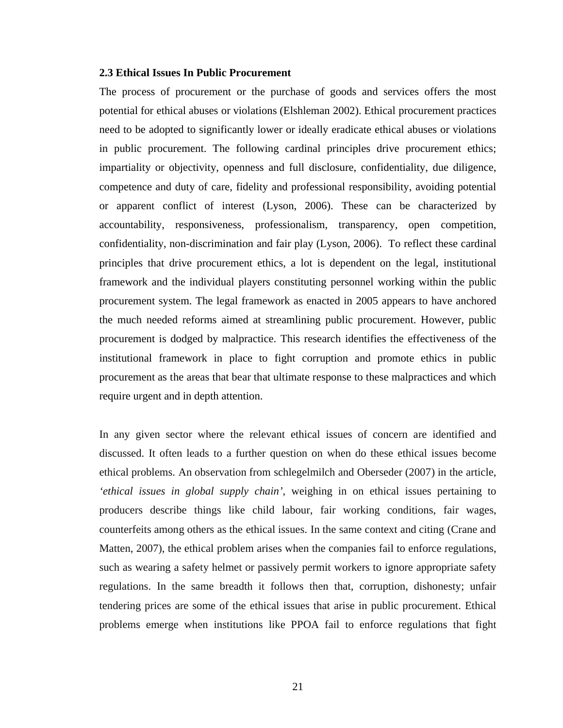## <span id="page-32-0"></span>**2.3 Ethical Issues In Public Procurement**

The process of procurement or the purchase of goods and services offers the most potential for ethical abuses or violations (Elshleman 2002). Ethical procurement practices need to be adopted to significantly lower or ideally eradicate ethical abuses or violations in public procurement. The following cardinal principles drive procurement ethics; impartiality or objectivity, openness and full disclosure, confidentiality, due diligence, competence and duty of care, fidelity and professional responsibility, avoiding potential or apparent conflict of interest (Lyson, 2006). These can be characterized by accountability, responsiveness, professionalism, transparency, open competition, confidentiality, non-discrimination and fair play (Lyson, 2006). To reflect these cardinal principles that drive procurement ethics, a lot is dependent on the legal, institutional framework and the individual players constituting personnel working within the public procurement system. The legal framework as enacted in 2005 appears to have anchored the much needed reforms aimed at streamlining public procurement. However, public procurement is dodged by malpractice. This research identifies the effectiveness of the institutional framework in place to fight corruption and promote ethics in public procurement as the areas that bear that ultimate response to these malpractices and which require urgent and in depth attention.

In any given sector where the relevant ethical issues of concern are identified and discussed. It often leads to a further question on when do these ethical issues become ethical problems. An observation from schlegelmilch and Oberseder (2007) in the article, *'ethical issues in global supply chain'*, weighing in on ethical issues pertaining to producers describe things like child labour, fair working conditions, fair wages, counterfeits among others as the ethical issues. In the same context and citing (Crane and Matten, 2007), the ethical problem arises when the companies fail to enforce regulations, such as wearing a safety helmet or passively permit workers to ignore appropriate safety regulations. In the same breadth it follows then that, corruption, dishonesty; unfair tendering prices are some of the ethical issues that arise in public procurement. Ethical problems emerge when institutions like PPOA fail to enforce regulations that fight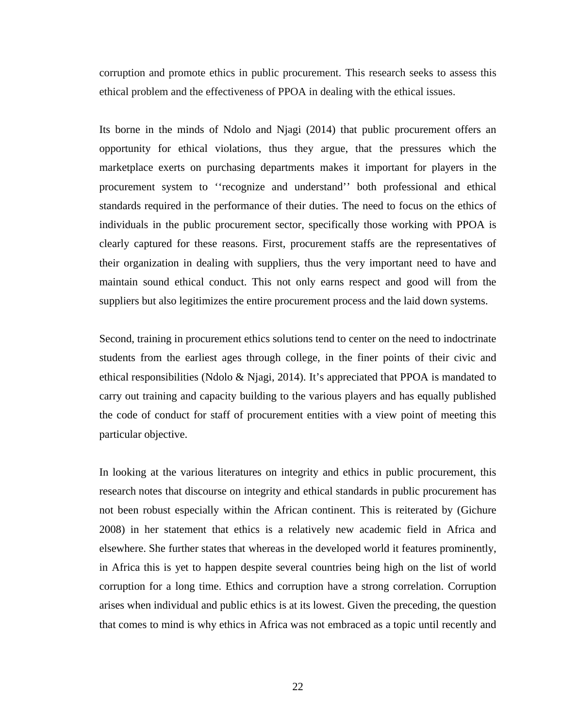corruption and promote ethics in public procurement. This research seeks to assess this ethical problem and the effectiveness of PPOA in dealing with the ethical issues.

Its borne in the minds of Ndolo and Njagi (2014) that public procurement offers an opportunity for ethical violations, thus they argue, that the pressures which the marketplace exerts on purchasing departments makes it important for players in the procurement system to ''recognize and understand'' both professional and ethical standards required in the performance of their duties. The need to focus on the ethics of individuals in the public procurement sector, specifically those working with PPOA is clearly captured for these reasons. First, procurement staffs are the representatives of their organization in dealing with suppliers, thus the very important need to have and maintain sound ethical conduct. This not only earns respect and good will from the suppliers but also legitimizes the entire procurement process and the laid down systems.

Second, training in procurement ethics solutions tend to center on the need to indoctrinate students from the earliest ages through college, in the finer points of their civic and ethical responsibilities (Ndolo & Njagi, 2014). It's appreciated that PPOA is mandated to carry out training and capacity building to the various players and has equally published the code of conduct for staff of procurement entities with a view point of meeting this particular objective.

In looking at the various literatures on integrity and ethics in public procurement, this research notes that discourse on integrity and ethical standards in public procurement has not been robust especially within the African continent. This is reiterated by (Gichure 2008) in her statement that ethics is a relatively new academic field in Africa and elsewhere. She further states that whereas in the developed world it features prominently, in Africa this is yet to happen despite several countries being high on the list of world corruption for a long time. Ethics and corruption have a strong correlation. Corruption arises when individual and public ethics is at its lowest. Given the preceding, the question that comes to mind is why ethics in Africa was not embraced as a topic until recently and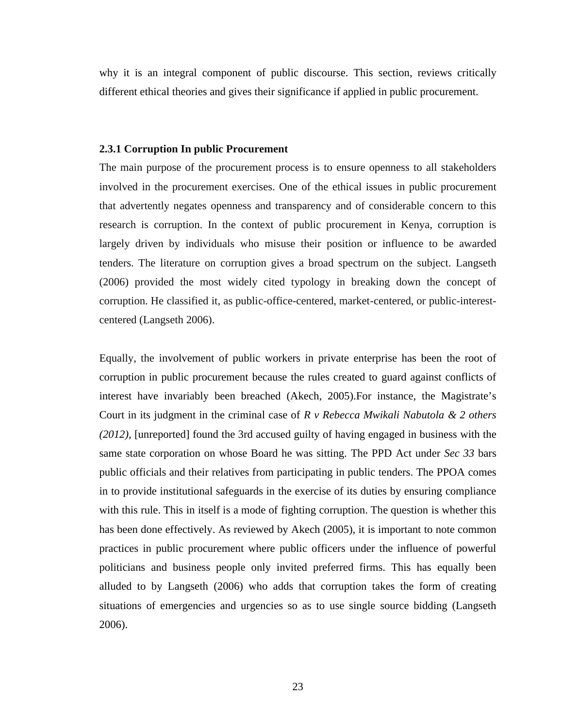why it is an integral component of public discourse. This section, reviews critically different ethical theories and gives their significance if applied in public procurement.

## <span id="page-34-0"></span>**2.3.1 Corruption In public Procurement**

The main purpose of the procurement process is to ensure openness to all stakeholders involved in the procurement exercises. One of the ethical issues in public procurement that advertently negates openness and transparency and of considerable concern to this research is corruption. In the context of public procurement in Kenya, corruption is largely driven by individuals who misuse their position or influence to be awarded tenders. The literature on corruption gives a broad spectrum on the subject. Langseth (2006) provided the most widely cited typology in breaking down the concept of corruption. He classified it, as public-office-centered, market-centered, or public-interestcentered (Langseth 2006).

Equally, the involvement of public workers in private enterprise has been the root of corruption in public procurement because the rules created to guard against conflicts of interest have invariably been breached (Akech, 2005).For instance, the Magistrate's Court in its judgment in the criminal case of *R v Rebecca Mwikali Nabutola & 2 others (2012),* [unreported] found the 3rd accused guilty of having engaged in business with the same state corporation on whose Board he was sitting. The PPD Act under *Sec 33* bars public officials and their relatives from participating in public tenders. The PPOA comes in to provide institutional safeguards in the exercise of its duties by ensuring compliance with this rule. This in itself is a mode of fighting corruption. The question is whether this has been done effectively. As reviewed by Akech (2005), it is important to note common practices in public procurement where public officers under the influence of powerful politicians and business people only invited preferred firms. This has equally been alluded to by Langseth (2006) who adds that corruption takes the form of creating situations of emergencies and urgencies so as to use single source bidding (Langseth 2006).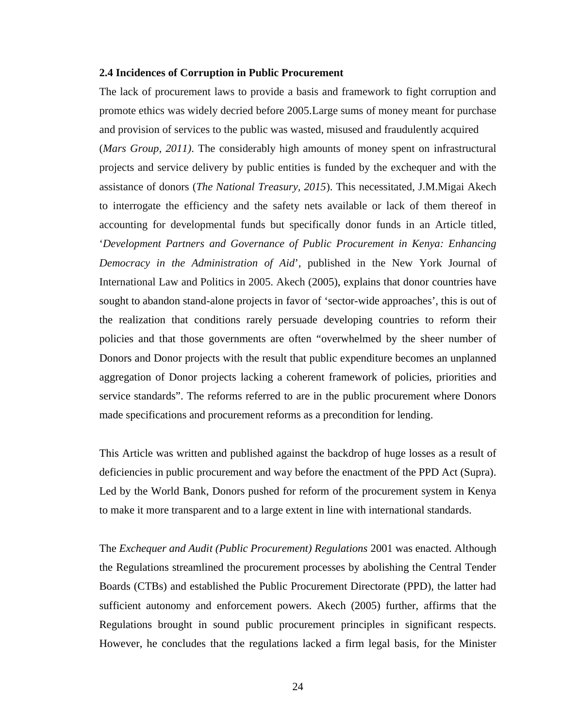#### <span id="page-35-0"></span>**2.4 Incidences of Corruption in Public Procurement**

The lack of procurement laws to provide a basis and framework to fight corruption and promote ethics was widely decried before 2005.Large sums of money meant for purchase and provision of services to the public was wasted, misused and fraudulently acquired (*Mars Group, 2011)*. The considerably high amounts of money spent on infrastructural projects and service delivery by public entities is funded by the exchequer and with the assistance of donors (*The National Treasury, 2015*). This necessitated, J.M.Migai Akech to interrogate the efficiency and the safety nets available or lack of them thereof in accounting for developmental funds but specifically donor funds in an Article titled, '*Development Partners and Governance of Public Procurement in Kenya: Enhancing Democracy in the Administration of Aid*', published in the New York Journal of International Law and Politics in 2005. Akech (2005), explains that donor countries have sought to abandon stand-alone projects in favor of 'sector-wide approaches', this is out of the realization that conditions rarely persuade developing countries to reform their policies and that those governments are often "overwhelmed by the sheer number of Donors and Donor projects with the result that public expenditure becomes an unplanned aggregation of Donor projects lacking a coherent framework of policies, priorities and service standards". The reforms referred to are in the public procurement where Donors made specifications and procurement reforms as a precondition for lending.

This Article was written and published against the backdrop of huge losses as a result of deficiencies in public procurement and way before the enactment of the PPD Act (Supra). Led by the World Bank, Donors pushed for reform of the procurement system in Kenya to make it more transparent and to a large extent in line with international standards.

The *Exchequer and Audit (Public Procurement) Regulations* 2001 was enacted. Although the Regulations streamlined the procurement processes by abolishing the Central Tender Boards (CTBs) and established the Public Procurement Directorate (PPD), the latter had sufficient autonomy and enforcement powers. Akech (2005) further, affirms that the Regulations brought in sound public procurement principles in significant respects. However, he concludes that the regulations lacked a firm legal basis, for the Minister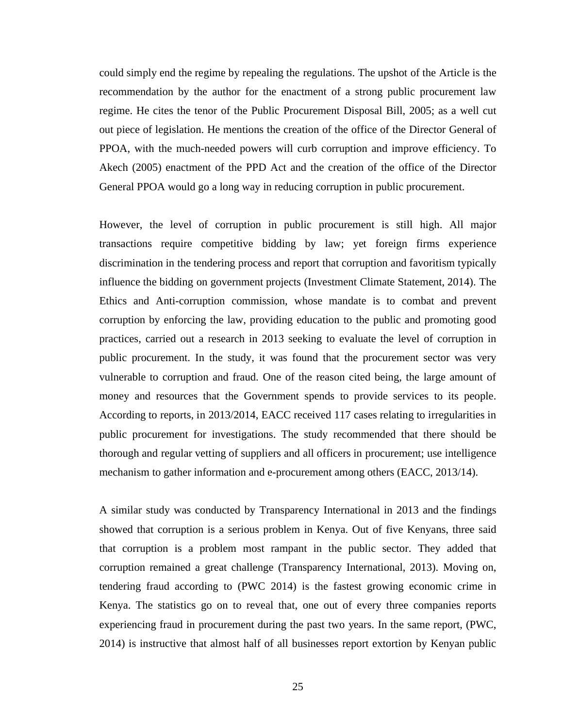could simply end the regime by repealing the regulations. The upshot of the Article is the recommendation by the author for the enactment of a strong public procurement law regime. He cites the tenor of the Public Procurement Disposal Bill, 2005; as a well cut out piece of legislation. He mentions the creation of the office of the Director General of PPOA, with the much-needed powers will curb corruption and improve efficiency. To Akech (2005) enactment of the PPD Act and the creation of the office of the Director General PPOA would go a long way in reducing corruption in public procurement.

However, the level of corruption in public procurement is still high. All major transactions require competitive bidding by law; yet foreign firms experience discrimination in the tendering process and report that corruption and favoritism typically influence the bidding on government projects (Investment Climate Statement, 2014). The Ethics and Anti-corruption commission, whose mandate is to combat and prevent corruption by enforcing the law, providing education to the public and promoting good practices, carried out a research in 2013 seeking to evaluate the level of corruption in public procurement. In the study, it was found that the procurement sector was very vulnerable to corruption and fraud. One of the reason cited being, the large amount of money and resources that the Government spends to provide services to its people. According to reports, in 2013/2014, EACC received 117 cases relating to irregularities in public procurement for investigations. The study recommended that there should be thorough and regular vetting of suppliers and all officers in procurement; use intelligence mechanism to gather information and e-procurement among others (EACC, 2013/14).

A similar study was conducted by Transparency International in 2013 and the findings showed that corruption is a serious problem in Kenya. Out of five Kenyans, three said that corruption is a problem most rampant in the public sector. They added that corruption remained a great challenge (Transparency International, 2013). Moving on, tendering fraud according to (PWC 2014) is the fastest growing economic crime in Kenya. The statistics go on to reveal that, one out of every three companies reports experiencing fraud in procurement during the past two years. In the same report, (PWC, 2014) is instructive that almost half of all businesses report extortion by Kenyan public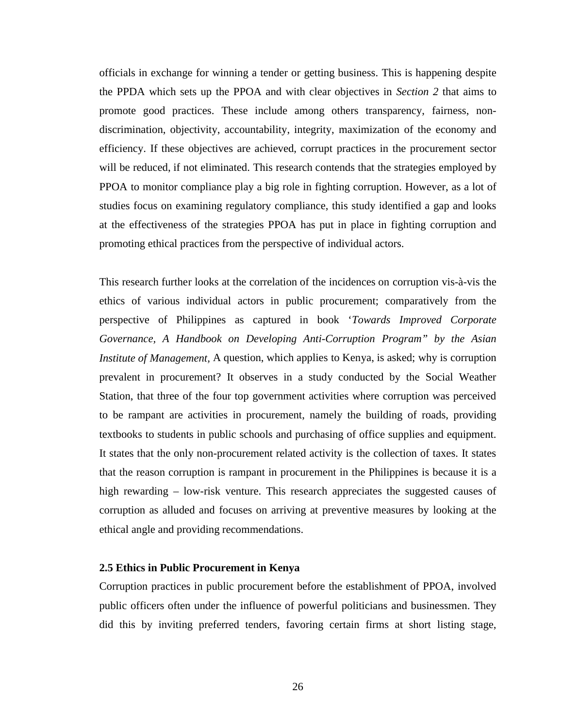officials in exchange for winning a tender or getting business. This is happening despite the PPDA which sets up the PPOA and with clear objectives in *Section 2* that aims to promote good practices. These include among others transparency, fairness, nondiscrimination, objectivity, accountability, integrity, maximization of the economy and efficiency. If these objectives are achieved, corrupt practices in the procurement sector will be reduced, if not eliminated. This research contends that the strategies employed by PPOA to monitor compliance play a big role in fighting corruption. However, as a lot of studies focus on examining regulatory compliance, this study identified a gap and looks at the effectiveness of the strategies PPOA has put in place in fighting corruption and promoting ethical practices from the perspective of individual actors.

This research further looks at the correlation of the incidences on corruption vis-à-vis the ethics of various individual actors in public procurement; comparatively from the perspective of Philippines as captured in book '*Towards Improved Corporate Governance, A Handbook on Developing Anti-Corruption Program" by the Asian Institute of Management,* A question, which applies to Kenya, is asked; why is corruption prevalent in procurement? It observes in a study conducted by the Social Weather Station, that three of the four top government activities where corruption was perceived to be rampant are activities in procurement, namely the building of roads, providing textbooks to students in public schools and purchasing of office supplies and equipment. It states that the only non-procurement related activity is the collection of taxes. It states that the reason corruption is rampant in procurement in the Philippines is because it is a high rewarding – low-risk venture. This research appreciates the suggested causes of corruption as alluded and focuses on arriving at preventive measures by looking at the ethical angle and providing recommendations.

### **2.5 Ethics in Public Procurement in Kenya**

Corruption practices in public procurement before the establishment of PPOA, involved public officers often under the influence of powerful politicians and businessmen. They did this by inviting preferred tenders, favoring certain firms at short listing stage,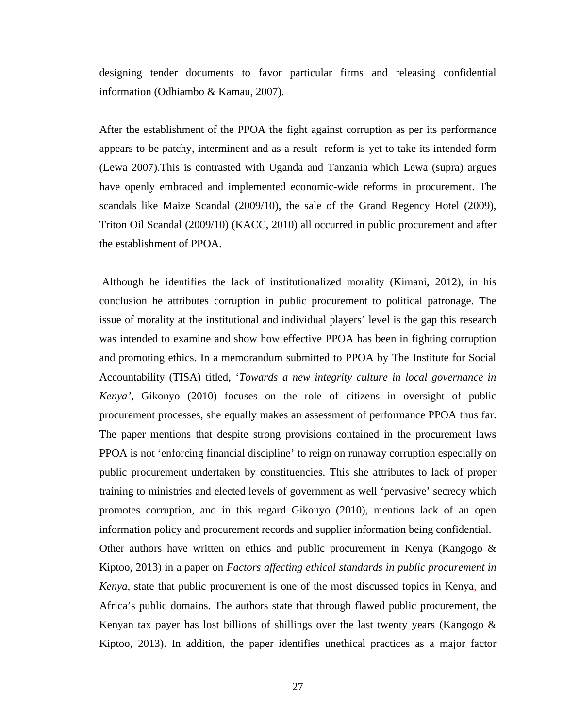designing tender documents to favor particular firms and releasing confidential information (Odhiambo & Kamau, 2007).

After the establishment of the PPOA the fight against corruption as per its performance appears to be patchy, interminent and as a result reform is yet to take its intended form (Lewa 2007).This is contrasted with Uganda and Tanzania which Lewa (supra) argues have openly embraced and implemented economic-wide reforms in procurement. The scandals like Maize Scandal (2009/10), the sale of the Grand Regency Hotel (2009), Triton Oil Scandal (2009/10) (KACC, 2010) all occurred in public procurement and after the establishment of PPOA.

Although he identifies the lack of institutionalized morality (Kimani, 2012), in his conclusion he attributes corruption in public procurement to political patronage. The issue of morality at the institutional and individual players' level is the gap this research was intended to examine and show how effective PPOA has been in fighting corruption and promoting ethics. In a memorandum submitted to PPOA by The Institute for Social Accountability (TISA) titled, '*Towards a new integrity culture in local governance in Kenya'*, Gikonyo (2010) focuses on the role of citizens in oversight of public procurement processes, she equally makes an assessment of performance PPOA thus far. The paper mentions that despite strong provisions contained in the procurement laws PPOA is not 'enforcing financial discipline' to reign on runaway corruption especially on public procurement undertaken by constituencies. This she attributes to lack of proper training to ministries and elected levels of government as well 'pervasive' secrecy which promotes corruption, and in this regard Gikonyo (2010), mentions lack of an open information policy and procurement records and supplier information being confidential. Other authors have written on ethics and public procurement in Kenya (Kangogo & Kiptoo, 2013) in a paper on *Factors affecting ethical standards in public procurement in Kenya,* state that public procurement is one of the most discussed topics in Kenya, and Africa's public domains. The authors state that through flawed public procurement, the Kenyan tax payer has lost billions of shillings over the last twenty years (Kangogo & Kiptoo, 2013). In addition, the paper identifies unethical practices as a major factor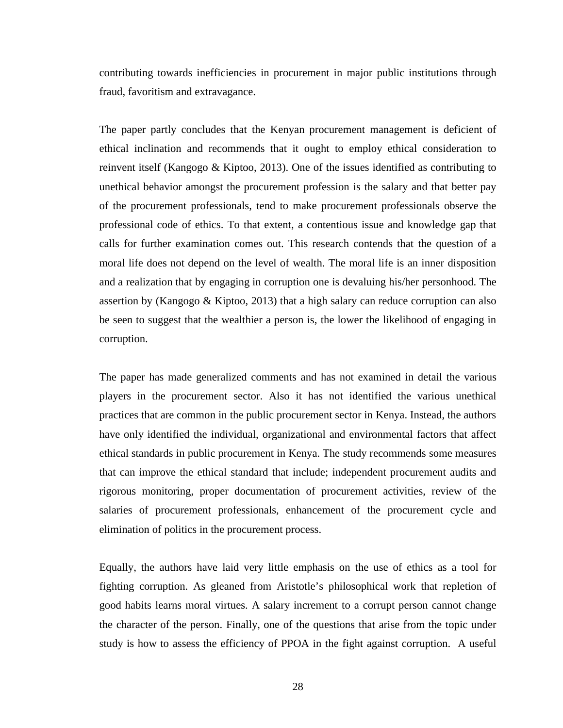contributing towards inefficiencies in procurement in major public institutions through fraud, favoritism and extravagance.

The paper partly concludes that the Kenyan procurement management is deficient of ethical inclination and recommends that it ought to employ ethical consideration to reinvent itself (Kangogo & Kiptoo, 2013). One of the issues identified as contributing to unethical behavior amongst the procurement profession is the salary and that better pay of the procurement professionals, tend to make procurement professionals observe the professional code of ethics. To that extent, a contentious issue and knowledge gap that calls for further examination comes out. This research contends that the question of a moral life does not depend on the level of wealth. The moral life is an inner disposition and a realization that by engaging in corruption one is devaluing his/her personhood. The assertion by (Kangogo & Kiptoo, 2013) that a high salary can reduce corruption can also be seen to suggest that the wealthier a person is, the lower the likelihood of engaging in corruption.

The paper has made generalized comments and has not examined in detail the various players in the procurement sector. Also it has not identified the various unethical practices that are common in the public procurement sector in Kenya. Instead, the authors have only identified the individual, organizational and environmental factors that affect ethical standards in public procurement in Kenya. The study recommends some measures that can improve the ethical standard that include; independent procurement audits and rigorous monitoring, proper documentation of procurement activities, review of the salaries of procurement professionals, enhancement of the procurement cycle and elimination of politics in the procurement process.

Equally, the authors have laid very little emphasis on the use of ethics as a tool for fighting corruption. As gleaned from Aristotle's philosophical work that repletion of good habits learns moral virtues. A salary increment to a corrupt person cannot change the character of the person. Finally, one of the questions that arise from the topic under study is how to assess the efficiency of PPOA in the fight against corruption. A useful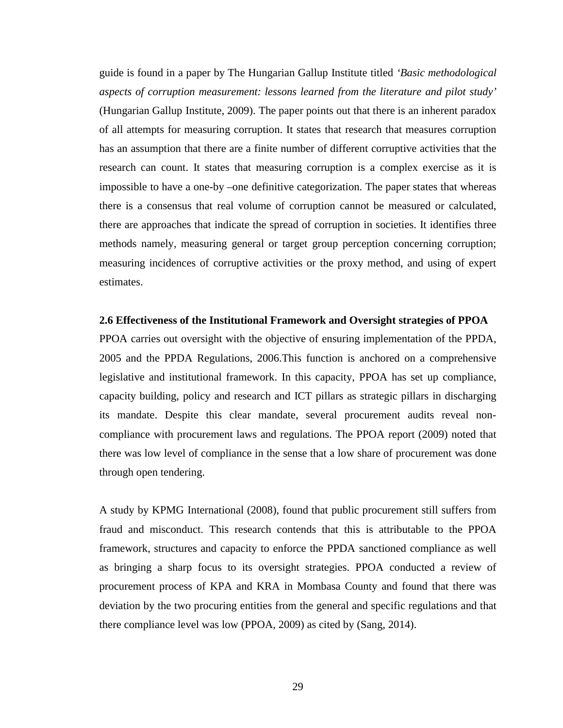guide is found in a paper by The Hungarian Gallup Institute titled *'Basic methodological aspects of corruption measurement: lessons learned from the literature and pilot study'*  (Hungarian Gallup Institute, 2009). The paper points out that there is an inherent paradox of all attempts for measuring corruption. It states that research that measures corruption has an assumption that there are a finite number of different corruptive activities that the research can count. It states that measuring corruption is a complex exercise as it is impossible to have a one-by –one definitive categorization. The paper states that whereas there is a consensus that real volume of corruption cannot be measured or calculated, there are approaches that indicate the spread of corruption in societies. It identifies three methods namely, measuring general or target group perception concerning corruption; measuring incidences of corruptive activities or the proxy method, and using of expert estimates.

#### **2.6 Effectiveness of the Institutional Framework and Oversight strategies of PPOA**

PPOA carries out oversight with the objective of ensuring implementation of the PPDA, 2005 and the PPDA Regulations, 2006.This function is anchored on a comprehensive legislative and institutional framework. In this capacity, PPOA has set up compliance, capacity building, policy and research and ICT pillars as strategic pillars in discharging its mandate. Despite this clear mandate, several procurement audits reveal noncompliance with procurement laws and regulations. The PPOA report (2009) noted that there was low level of compliance in the sense that a low share of procurement was done through open tendering.

A study by KPMG International (2008), found that public procurement still suffers from fraud and misconduct. This research contends that this is attributable to the PPOA framework, structures and capacity to enforce the PPDA sanctioned compliance as well as bringing a sharp focus to its oversight strategies. PPOA conducted a review of procurement process of KPA and KRA in Mombasa County and found that there was deviation by the two procuring entities from the general and specific regulations and that there compliance level was low (PPOA, 2009) as cited by (Sang, 2014).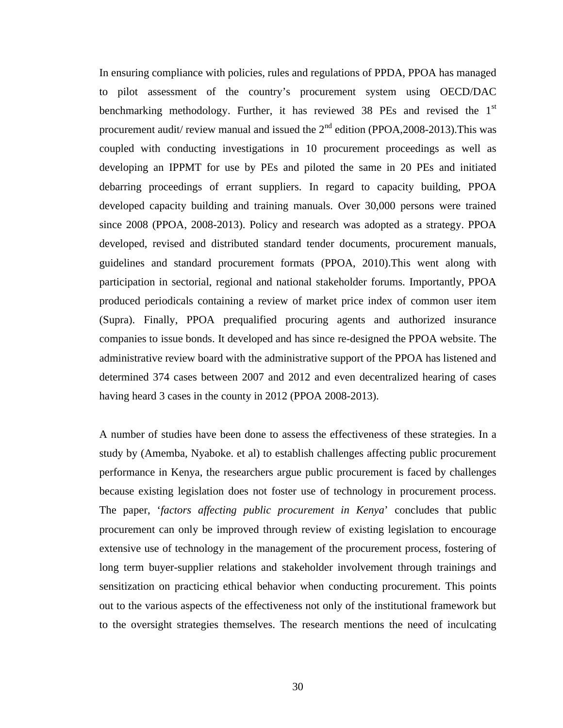In ensuring compliance with policies, rules and regulations of PPDA, PPOA has managed to pilot assessment of the country's procurement system using OECD/DAC benchmarking methodology. Further, it has reviewed 38 PEs and revised the  $1<sup>st</sup>$ procurement audit/ review manual and issued the  $2<sup>nd</sup>$  edition (PPOA, 2008-2013). This was coupled with conducting investigations in 10 procurement proceedings as well as developing an IPPMT for use by PEs and piloted the same in 20 PEs and initiated debarring proceedings of errant suppliers. In regard to capacity building, PPOA developed capacity building and training manuals. Over 30,000 persons were trained since 2008 (PPOA, 2008-2013). Policy and research was adopted as a strategy. PPOA developed, revised and distributed standard tender documents, procurement manuals, guidelines and standard procurement formats (PPOA, 2010).This went along with participation in sectorial, regional and national stakeholder forums. Importantly, PPOA produced periodicals containing a review of market price index of common user item (Supra). Finally, PPOA prequalified procuring agents and authorized insurance companies to issue bonds. It developed and has since re-designed the PPOA website. The administrative review board with the administrative support of the PPOA has listened and determined 374 cases between 2007 and 2012 and even decentralized hearing of cases having heard 3 cases in the county in 2012 (PPOA 2008-2013).

A number of studies have been done to assess the effectiveness of these strategies. In a study by (Amemba, Nyaboke. et al) to establish challenges affecting public procurement performance in Kenya, the researchers argue public procurement is faced by challenges because existing legislation does not foster use of technology in procurement process. The paper, '*factors affecting public procurement in Kenya*' concludes that public procurement can only be improved through review of existing legislation to encourage extensive use of technology in the management of the procurement process, fostering of long term buyer-supplier relations and stakeholder involvement through trainings and sensitization on practicing ethical behavior when conducting procurement. This points out to the various aspects of the effectiveness not only of the institutional framework but to the oversight strategies themselves. The research mentions the need of inculcating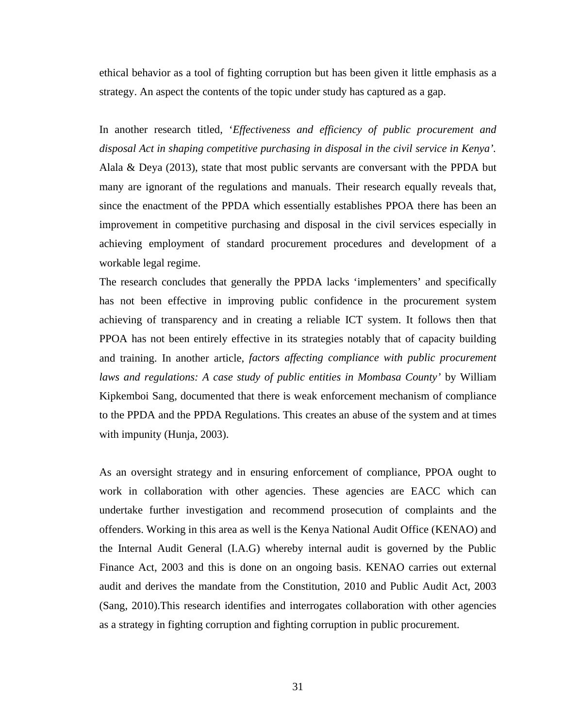ethical behavior as a tool of fighting corruption but has been given it little emphasis as a strategy. An aspect the contents of the topic under study has captured as a gap.

In another research titled, '*Effectiveness and efficiency of public procurement and disposal Act in shaping competitive purchasing in disposal in the civil service in Kenya'.* Alala & Deya (2013), state that most public servants are conversant with the PPDA but many are ignorant of the regulations and manuals. Their research equally reveals that, since the enactment of the PPDA which essentially establishes PPOA there has been an improvement in competitive purchasing and disposal in the civil services especially in achieving employment of standard procurement procedures and development of a workable legal regime.

The research concludes that generally the PPDA lacks 'implementers' and specifically has not been effective in improving public confidence in the procurement system achieving of transparency and in creating a reliable ICT system. It follows then that PPOA has not been entirely effective in its strategies notably that of capacity building and training. In another article, *factors affecting compliance with public procurement laws and regulations: A case study of public entities in Mombasa County'* by William Kipkemboi Sang, documented that there is weak enforcement mechanism of compliance to the PPDA and the PPDA Regulations. This creates an abuse of the system and at times with impunity (Hunja, 2003).

As an oversight strategy and in ensuring enforcement of compliance, PPOA ought to work in collaboration with other agencies. These agencies are EACC which can undertake further investigation and recommend prosecution of complaints and the offenders. Working in this area as well is the Kenya National Audit Office (KENAO) and the Internal Audit General (I.A.G) whereby internal audit is governed by the Public Finance Act, 2003 and this is done on an ongoing basis. KENAO carries out external audit and derives the mandate from the Constitution, 2010 and Public Audit Act, 2003 (Sang, 2010).This research identifies and interrogates collaboration with other agencies as a strategy in fighting corruption and fighting corruption in public procurement.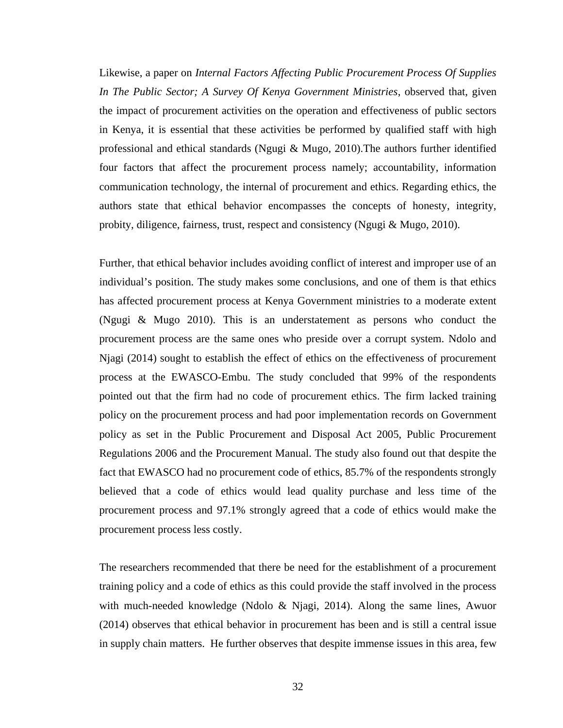Likewise, a paper on *Internal Factors Affecting Public Procurement Process Of Supplies In The Public Sector; A Survey Of Kenya Government Ministries*, observed that, given the impact of procurement activities on the operation and effectiveness of public sectors in Kenya, it is essential that these activities be performed by qualified staff with high professional and ethical standards (Ngugi & Mugo, 2010).The authors further identified four factors that affect the procurement process namely; accountability, information communication technology, the internal of procurement and ethics. Regarding ethics, the authors state that ethical behavior encompasses the concepts of honesty, integrity, probity, diligence, fairness, trust, respect and consistency (Ngugi & Mugo, 2010).

Further, that ethical behavior includes avoiding conflict of interest and improper use of an individual's position. The study makes some conclusions, and one of them is that ethics has affected procurement process at Kenya Government ministries to a moderate extent (Ngugi & Mugo 2010). This is an understatement as persons who conduct the procurement process are the same ones who preside over a corrupt system. Ndolo and Njagi (2014) sought to establish the effect of ethics on the effectiveness of procurement process at the EWASCO-Embu. The study concluded that 99% of the respondents pointed out that the firm had no code of procurement ethics. The firm lacked training policy on the procurement process and had poor implementation records on Government policy as set in the Public Procurement and Disposal Act 2005, Public Procurement Regulations 2006 and the Procurement Manual. The study also found out that despite the fact that EWASCO had no procurement code of ethics, 85.7% of the respondents strongly believed that a code of ethics would lead quality purchase and less time of the procurement process and 97.1% strongly agreed that a code of ethics would make the procurement process less costly.

The researchers recommended that there be need for the establishment of a procurement training policy and a code of ethics as this could provide the staff involved in the process with much-needed knowledge (Ndolo & Njagi, 2014). Along the same lines, Awuor (2014) observes that ethical behavior in procurement has been and is still a central issue in supply chain matters. He further observes that despite immense issues in this area, few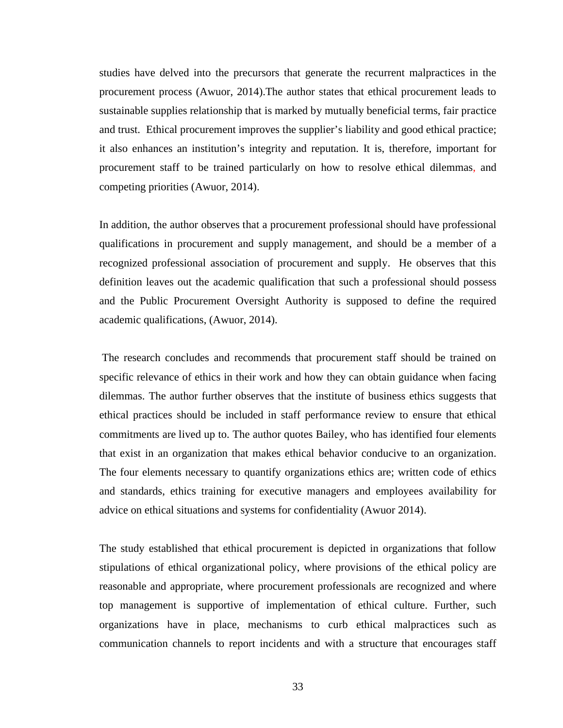studies have delved into the precursors that generate the recurrent malpractices in the procurement process (Awuor, 2014).The author states that ethical procurement leads to sustainable supplies relationship that is marked by mutually beneficial terms, fair practice and trust. Ethical procurement improves the supplier's liability and good ethical practice; it also enhances an institution's integrity and reputation. It is, therefore, important for procurement staff to be trained particularly on how to resolve ethical dilemmas, and competing priorities (Awuor, 2014).

In addition, the author observes that a procurement professional should have professional qualifications in procurement and supply management, and should be a member of a recognized professional association of procurement and supply. He observes that this definition leaves out the academic qualification that such a professional should possess and the Public Procurement Oversight Authority is supposed to define the required academic qualifications, (Awuor, 2014).

The research concludes and recommends that procurement staff should be trained on specific relevance of ethics in their work and how they can obtain guidance when facing dilemmas. The author further observes that the institute of business ethics suggests that ethical practices should be included in staff performance review to ensure that ethical commitments are lived up to. The author quotes Bailey, who has identified four elements that exist in an organization that makes ethical behavior conducive to an organization. The four elements necessary to quantify organizations ethics are; written code of ethics and standards, ethics training for executive managers and employees availability for advice on ethical situations and systems for confidentiality (Awuor 2014).

The study established that ethical procurement is depicted in organizations that follow stipulations of ethical organizational policy, where provisions of the ethical policy are reasonable and appropriate, where procurement professionals are recognized and where top management is supportive of implementation of ethical culture. Further, such organizations have in place, mechanisms to curb ethical malpractices such as communication channels to report incidents and with a structure that encourages staff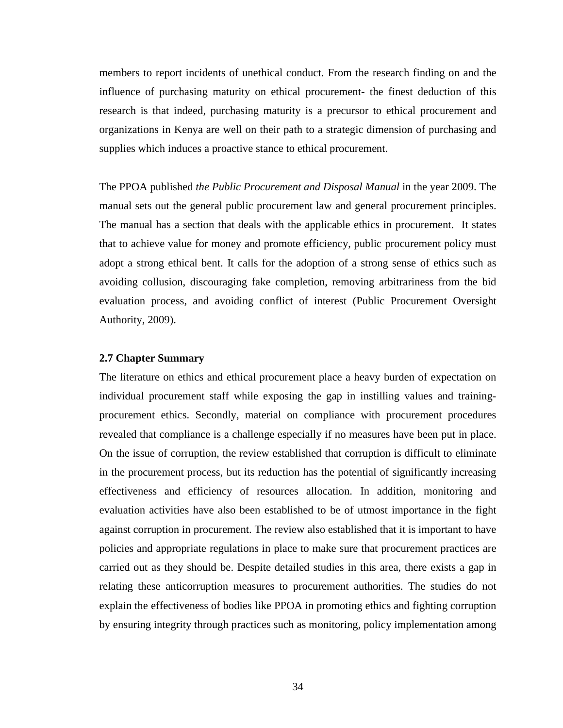members to report incidents of unethical conduct. From the research finding on and the influence of purchasing maturity on ethical procurement- the finest deduction of this research is that indeed, purchasing maturity is a precursor to ethical procurement and organizations in Kenya are well on their path to a strategic dimension of purchasing and supplies which induces a proactive stance to ethical procurement.

The PPOA published *the Public Procurement and Disposal Manual* in the year 2009. The manual sets out the general public procurement law and general procurement principles. The manual has a section that deals with the applicable ethics in procurement. It states that to achieve value for money and promote efficiency, public procurement policy must adopt a strong ethical bent. It calls for the adoption of a strong sense of ethics such as avoiding collusion, discouraging fake completion, removing arbitrariness from the bid evaluation process, and avoiding conflict of interest (Public Procurement Oversight Authority, 2009).

#### **2.7 Chapter Summary**

The literature on ethics and ethical procurement place a heavy burden of expectation on individual procurement staff while exposing the gap in instilling values and trainingprocurement ethics. Secondly, material on compliance with procurement procedures revealed that compliance is a challenge especially if no measures have been put in place. On the issue of corruption, the review established that corruption is difficult to eliminate in the procurement process, but its reduction has the potential of significantly increasing effectiveness and efficiency of resources allocation. In addition, monitoring and evaluation activities have also been established to be of utmost importance in the fight against corruption in procurement. The review also established that it is important to have policies and appropriate regulations in place to make sure that procurement practices are carried out as they should be. Despite detailed studies in this area, there exists a gap in relating these anticorruption measures to procurement authorities. The studies do not explain the effectiveness of bodies like PPOA in promoting ethics and fighting corruption by ensuring integrity through practices such as monitoring, policy implementation among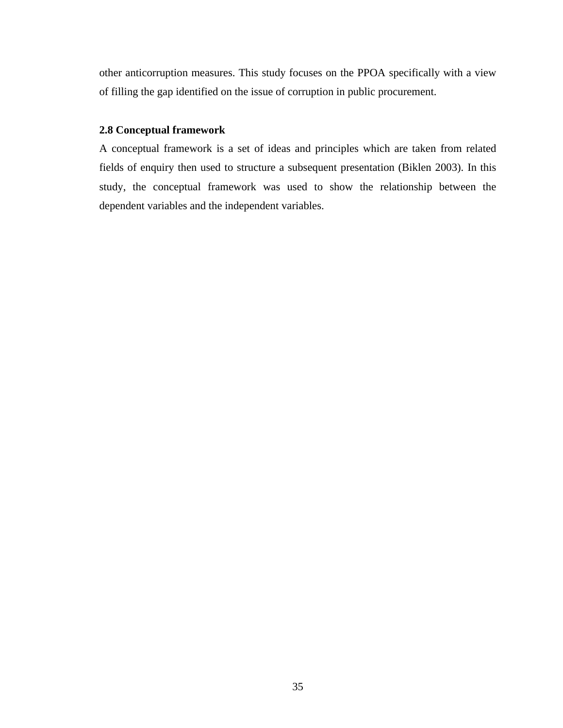other anticorruption measures. This study focuses on the PPOA specifically with a view of filling the gap identified on the issue of corruption in public procurement.

### **2.8 Conceptual framework**

A conceptual framework is a set of ideas and principles which are taken from related fields of enquiry then used to structure a subsequent presentation (Biklen 2003). In this study, the conceptual framework was used to show the relationship between the dependent variables and the independent variables.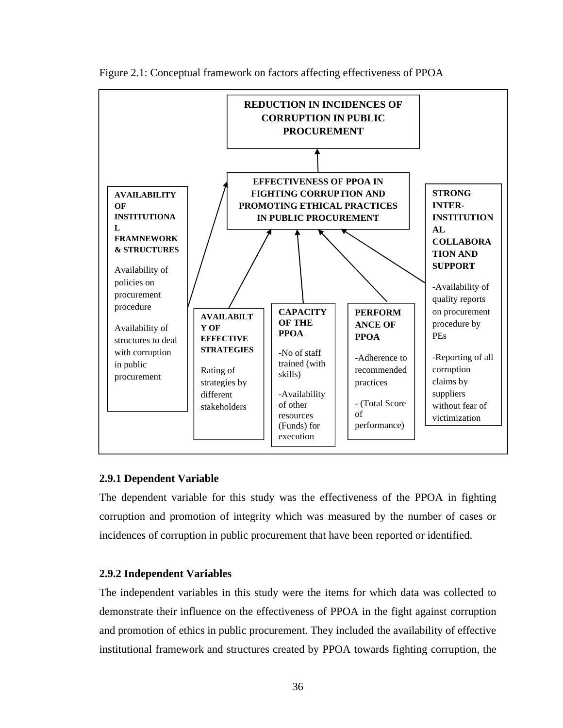

Figure 2.1: Conceptual framework on factors affecting effectiveness of PPOA

# **2.9.1 Dependent Variable**

The dependent variable for this study was the effectiveness of the PPOA in fighting corruption and promotion of integrity which was measured by the number of cases or incidences of corruption in public procurement that have been reported or identified.

# **2.9.2 Independent Variables**

The independent variables in this study were the items for which data was collected to demonstrate their influence on the effectiveness of PPOA in the fight against corruption and promotion of ethics in public procurement. They included the availability of effective institutional framework and structures created by PPOA towards fighting corruption, the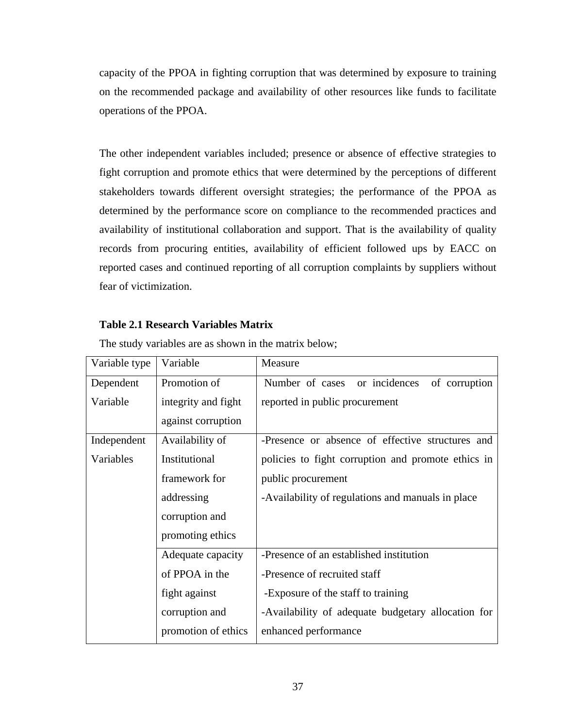capacity of the PPOA in fighting corruption that was determined by exposure to training on the recommended package and availability of other resources like funds to facilitate operations of the PPOA.

The other independent variables included; presence or absence of effective strategies to fight corruption and promote ethics that were determined by the perceptions of different stakeholders towards different oversight strategies; the performance of the PPOA as determined by the performance score on compliance to the recommended practices and availability of institutional collaboration and support. That is the availability of quality records from procuring entities, availability of efficient followed ups by EACC on reported cases and continued reporting of all corruption complaints by suppliers without fear of victimization.

# **Table 2.1 Research Variables Matrix**

| Variable type | Variable            | Measure                                            |
|---------------|---------------------|----------------------------------------------------|
| Dependent     | Promotion of        | or incidences<br>Number of cases<br>of corruption  |
| Variable      | integrity and fight | reported in public procurement                     |
|               | against corruption  |                                                    |
| Independent   | Availability of     | -Presence or absence of effective structures and   |
| Variables     | Institutional       | policies to fight corruption and promote ethics in |
|               | framework for       | public procurement                                 |
|               | addressing          | -Availability of regulations and manuals in place  |
|               | corruption and      |                                                    |
|               | promoting ethics    |                                                    |
|               | Adequate capacity   | -Presence of an established institution            |
|               | of PPOA in the      | -Presence of recruited staff                       |
|               | fight against       | -Exposure of the staff to training                 |
|               | corruption and      | -Availability of adequate budgetary allocation for |
|               | promotion of ethics | enhanced performance                               |

The study variables are as shown in the matrix below;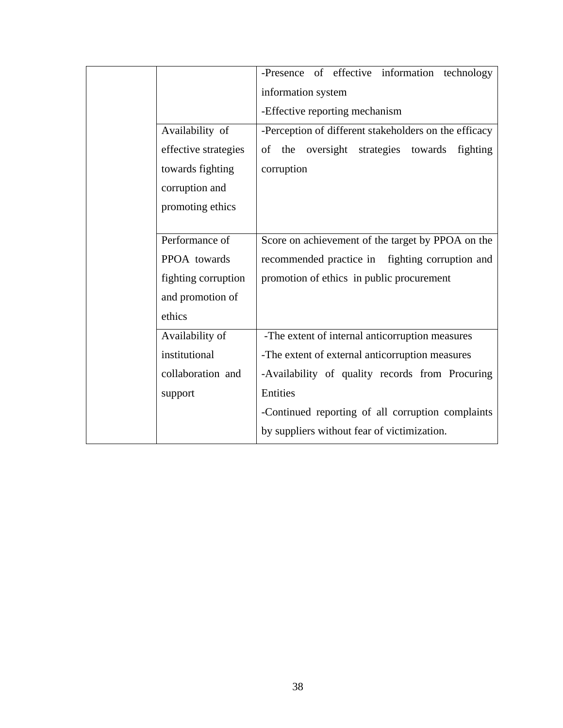|                      | -Presence of effective information technology         |
|----------------------|-------------------------------------------------------|
|                      | information system                                    |
|                      | -Effective reporting mechanism                        |
| Availability of      | -Perception of different stakeholders on the efficacy |
| effective strategies | the oversight strategies towards<br>of<br>fighting    |
| towards fighting     | corruption                                            |
| corruption and       |                                                       |
| promoting ethics     |                                                       |
|                      |                                                       |
| Performance of       | Score on achievement of the target by PPOA on the     |
| PPOA towards         | recommended practice in fighting corruption and       |
| fighting corruption  | promotion of ethics in public procurement             |
| and promotion of     |                                                       |
| ethics               |                                                       |
| Availability of      | -The extent of internal anticorruption measures       |
| institutional        | -The extent of external anticorruption measures       |
| collaboration and    | -Availability of quality records from Procuring       |
| support              | Entities                                              |
|                      | -Continued reporting of all corruption complaints     |
|                      | by suppliers without fear of victimization.           |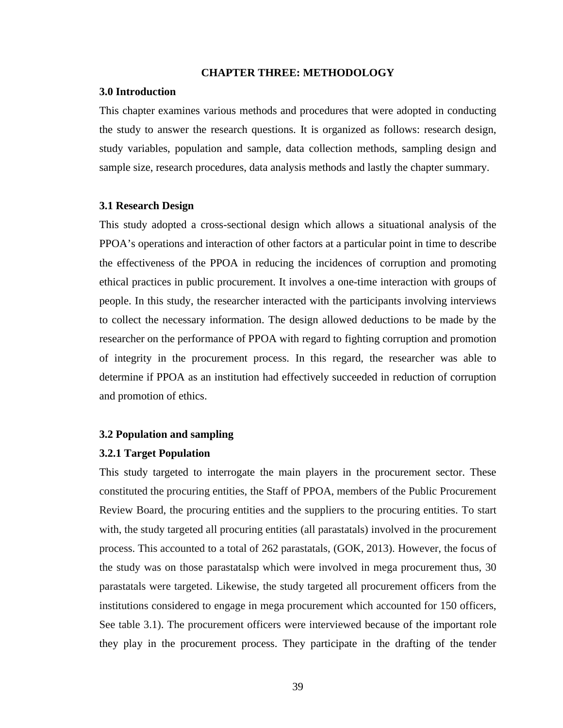#### **CHAPTER THREE: METHODOLOGY**

#### **3.0 Introduction**

This chapter examines various methods and procedures that were adopted in conducting the study to answer the research questions. It is organized as follows: research design, study variables, population and sample, data collection methods, sampling design and sample size, research procedures, data analysis methods and lastly the chapter summary.

#### **3.1 Research Design**

This study adopted a cross-sectional design which allows a situational analysis of the PPOA's operations and interaction of other factors at a particular point in time to describe the effectiveness of the PPOA in reducing the incidences of corruption and promoting ethical practices in public procurement. It involves a one-time interaction with groups of people. In this study, the researcher interacted with the participants involving interviews to collect the necessary information. The design allowed deductions to be made by the researcher on the performance of PPOA with regard to fighting corruption and promotion of integrity in the procurement process. In this regard, the researcher was able to determine if PPOA as an institution had effectively succeeded in reduction of corruption and promotion of ethics.

### **3.2 Population and sampling**

#### **3.2.1 Target Population**

This study targeted to interrogate the main players in the procurement sector. These constituted the procuring entities, the Staff of PPOA, members of the Public Procurement Review Board, the procuring entities and the suppliers to the procuring entities. To start with, the study targeted all procuring entities (all parastatals) involved in the procurement process. This accounted to a total of 262 parastatals, (GOK, 2013). However, the focus of the study was on those parastatalsp which were involved in mega procurement thus, 30 parastatals were targeted. Likewise, the study targeted all procurement officers from the institutions considered to engage in mega procurement which accounted for 150 officers, See table 3.1). The procurement officers were interviewed because of the important role they play in the procurement process. They participate in the drafting of the tender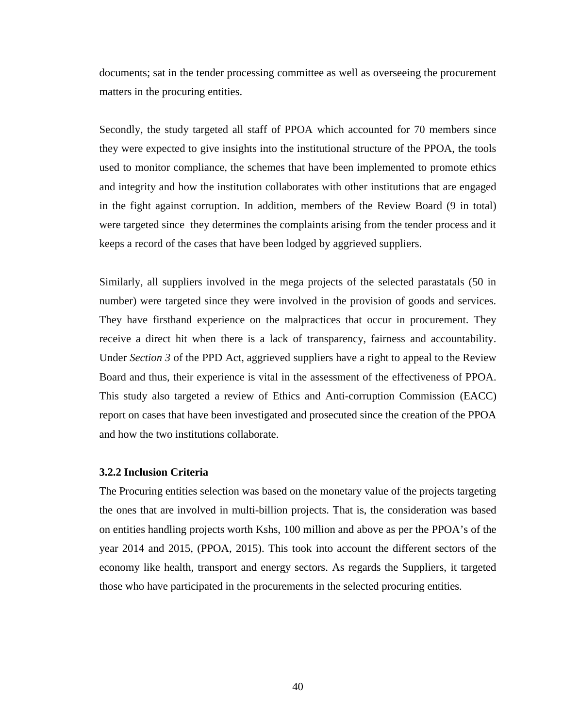documents; sat in the tender processing committee as well as overseeing the procurement matters in the procuring entities.

Secondly, the study targeted all staff of PPOA which accounted for 70 members since they were expected to give insights into the institutional structure of the PPOA, the tools used to monitor compliance, the schemes that have been implemented to promote ethics and integrity and how the institution collaborates with other institutions that are engaged in the fight against corruption. In addition, members of the Review Board (9 in total) were targeted since they determines the complaints arising from the tender process and it keeps a record of the cases that have been lodged by aggrieved suppliers.

Similarly, all suppliers involved in the mega projects of the selected parastatals (50 in number) were targeted since they were involved in the provision of goods and services. They have firsthand experience on the malpractices that occur in procurement. They receive a direct hit when there is a lack of transparency, fairness and accountability. Under *Section 3* of the PPD Act, aggrieved suppliers have a right to appeal to the Review Board and thus, their experience is vital in the assessment of the effectiveness of PPOA. This study also targeted a review of Ethics and Anti-corruption Commission (EACC) report on cases that have been investigated and prosecuted since the creation of the PPOA and how the two institutions collaborate.

#### **3.2.2 Inclusion Criteria**

The Procuring entities selection was based on the monetary value of the projects targeting the ones that are involved in multi-billion projects. That is, the consideration was based on entities handling projects worth Kshs, 100 million and above as per the PPOA's of the year 2014 and 2015, (PPOA, 2015). This took into account the different sectors of the economy like health, transport and energy sectors. As regards the Suppliers, it targeted those who have participated in the procurements in the selected procuring entities.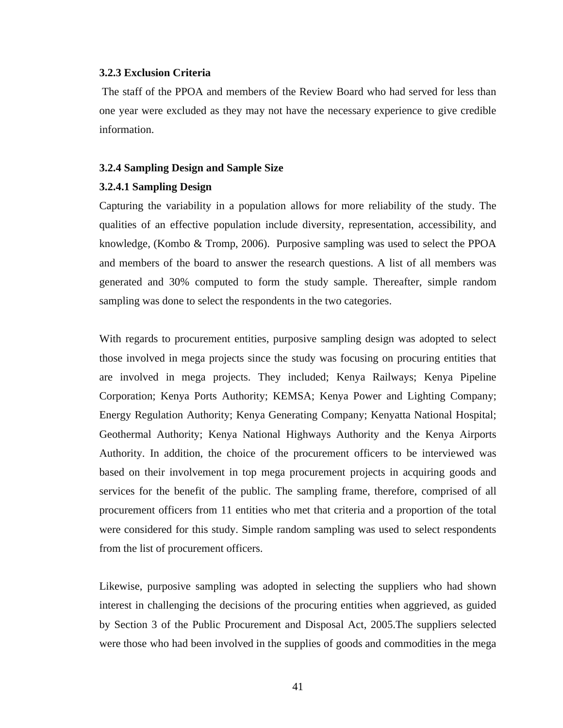#### **3.2.3 Exclusion Criteria**

The staff of the PPOA and members of the Review Board who had served for less than one year were excluded as they may not have the necessary experience to give credible information.

#### **3.2.4 Sampling Design and Sample Size**

#### **3.2.4.1 Sampling Design**

Capturing the variability in a population allows for more reliability of the study. The qualities of an effective population include diversity, representation, accessibility, and knowledge, (Kombo & Tromp, 2006). Purposive sampling was used to select the PPOA and members of the board to answer the research questions. A list of all members was generated and 30% computed to form the study sample. Thereafter, simple random sampling was done to select the respondents in the two categories.

With regards to procurement entities, purposive sampling design was adopted to select those involved in mega projects since the study was focusing on procuring entities that are involved in mega projects. They included; Kenya Railways; Kenya Pipeline Corporation; Kenya Ports Authority; KEMSA; Kenya Power and Lighting Company; Energy Regulation Authority; Kenya Generating Company; Kenyatta National Hospital; Geothermal Authority; Kenya National Highways Authority and the Kenya Airports Authority. In addition, the choice of the procurement officers to be interviewed was based on their involvement in top mega procurement projects in acquiring goods and services for the benefit of the public. The sampling frame, therefore, comprised of all procurement officers from 11 entities who met that criteria and a proportion of the total were considered for this study. Simple random sampling was used to select respondents from the list of procurement officers.

Likewise, purposive sampling was adopted in selecting the suppliers who had shown interest in challenging the decisions of the procuring entities when aggrieved, as guided by Section 3 of the Public Procurement and Disposal Act, 2005.The suppliers selected were those who had been involved in the supplies of goods and commodities in the mega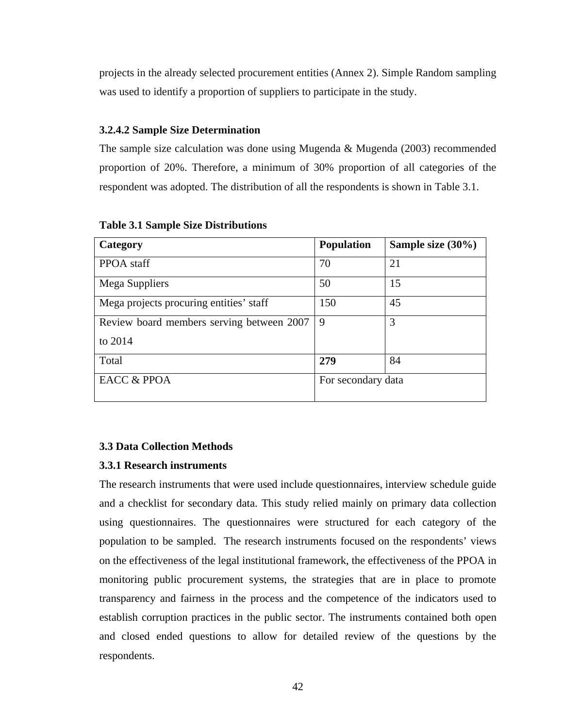projects in the already selected procurement entities (Annex 2). Simple Random sampling was used to identify a proportion of suppliers to participate in the study.

# **3.2.4.2 Sample Size Determination**

The sample size calculation was done using Mugenda & Mugenda (2003) recommended proportion of 20%. Therefore, a minimum of 30% proportion of all categories of the respondent was adopted. The distribution of all the respondents is shown in Table 3.1.

| Category                                  | <b>Population</b>  | Sample size $(30\%)$ |  |
|-------------------------------------------|--------------------|----------------------|--|
| PPOA staff                                | 70                 | 21                   |  |
| Mega Suppliers                            | 50                 | 15                   |  |
| Mega projects procuring entities' staff   | 150                | 45                   |  |
| Review board members serving between 2007 | 9                  | 3                    |  |
| to 2014                                   |                    |                      |  |
| Total                                     | 279                | 84                   |  |
| <b>EACC &amp; PPOA</b>                    | For secondary data |                      |  |

**Table 3.1 Sample Size Distributions**

# **3.3 Data Collection Methods**

# **3.3.1 Research instruments**

The research instruments that were used include questionnaires, interview schedule guide and a checklist for secondary data. This study relied mainly on primary data collection using questionnaires. The questionnaires were structured for each category of the population to be sampled. The research instruments focused on the respondents' views on the effectiveness of the legal institutional framework, the effectiveness of the PPOA in monitoring public procurement systems, the strategies that are in place to promote transparency and fairness in the process and the competence of the indicators used to establish corruption practices in the public sector. The instruments contained both open and closed ended questions to allow for detailed review of the questions by the respondents.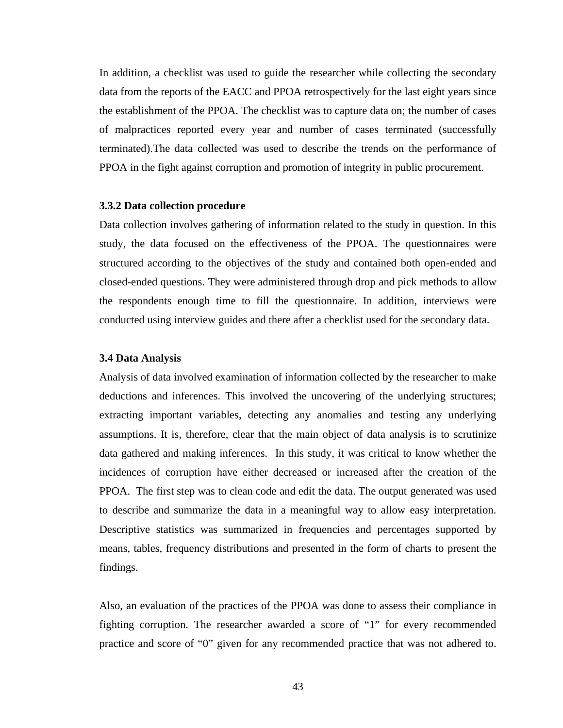In addition, a checklist was used to guide the researcher while collecting the secondary data from the reports of the EACC and PPOA retrospectively for the last eight years since the establishment of the PPOA. The checklist was to capture data on; the number of cases of malpractices reported every year and number of cases terminated (successfully terminated).The data collected was used to describe the trends on the performance of PPOA in the fight against corruption and promotion of integrity in public procurement.

#### **3.3.2 Data collection procedure**

Data collection involves gathering of information related to the study in question. In this study, the data focused on the effectiveness of the PPOA. The questionnaires were structured according to the objectives of the study and contained both open-ended and closed-ended questions. They were administered through drop and pick methods to allow the respondents enough time to fill the questionnaire. In addition, interviews were conducted using interview guides and there after a checklist used for the secondary data.

#### **3.4 Data Analysis**

Analysis of data involved examination of information collected by the researcher to make deductions and inferences. This involved the uncovering of the underlying structures; extracting important variables, detecting any anomalies and testing any underlying assumptions. It is, therefore, clear that the main object of data analysis is to scrutinize data gathered and making inferences. In this study, it was critical to know whether the incidences of corruption have either decreased or increased after the creation of the PPOA. The first step was to clean code and edit the data. The output generated was used to describe and summarize the data in a meaningful way to allow easy interpretation. Descriptive statistics was summarized in frequencies and percentages supported by means, tables, frequency distributions and presented in the form of charts to present the findings.

Also, an evaluation of the practices of the PPOA was done to assess their compliance in fighting corruption. The researcher awarded a score of "1" for every recommended practice and score of "0" given for any recommended practice that was not adhered to.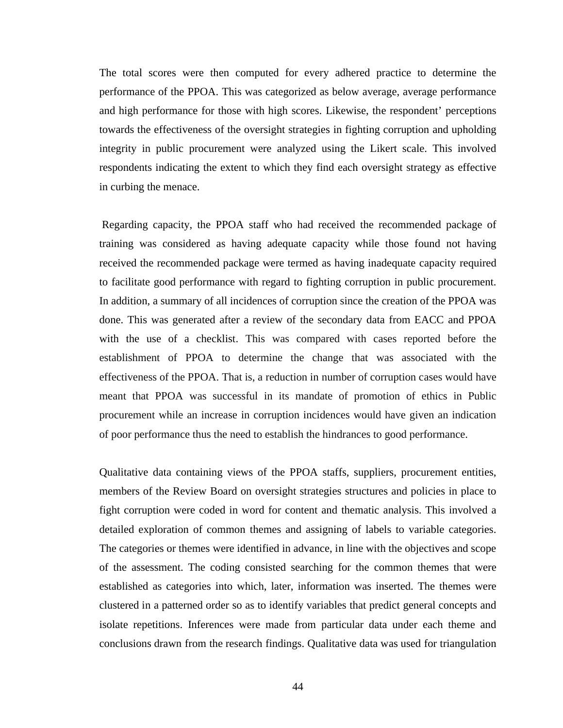The total scores were then computed for every adhered practice to determine the performance of the PPOA. This was categorized as below average, average performance and high performance for those with high scores. Likewise, the respondent' perceptions towards the effectiveness of the oversight strategies in fighting corruption and upholding integrity in public procurement were analyzed using the Likert scale. This involved respondents indicating the extent to which they find each oversight strategy as effective in curbing the menace.

Regarding capacity, the PPOA staff who had received the recommended package of training was considered as having adequate capacity while those found not having received the recommended package were termed as having inadequate capacity required to facilitate good performance with regard to fighting corruption in public procurement. In addition, a summary of all incidences of corruption since the creation of the PPOA was done. This was generated after a review of the secondary data from EACC and PPOA with the use of a checklist. This was compared with cases reported before the establishment of PPOA to determine the change that was associated with the effectiveness of the PPOA. That is, a reduction in number of corruption cases would have meant that PPOA was successful in its mandate of promotion of ethics in Public procurement while an increase in corruption incidences would have given an indication of poor performance thus the need to establish the hindrances to good performance.

Qualitative data containing views of the PPOA staffs, suppliers, procurement entities, members of the Review Board on oversight strategies structures and policies in place to fight corruption were coded in word for content and thematic analysis. This involved a detailed exploration of common themes and assigning of labels to variable categories. The categories or themes were identified in advance, in line with the objectives and scope of the assessment. The coding consisted searching for the common themes that were established as categories into which, later, information was inserted. The themes were clustered in a patterned order so as to identify variables that predict general concepts and isolate repetitions. Inferences were made from particular data under each theme and conclusions drawn from the research findings. Qualitative data was used for triangulation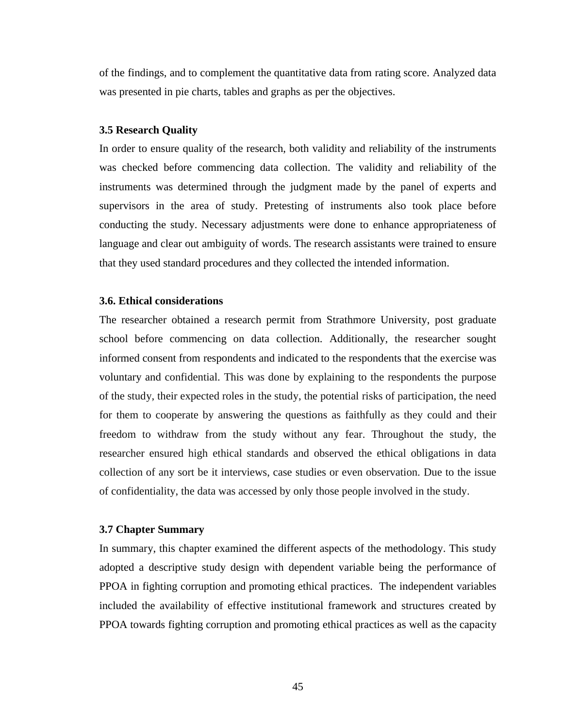of the findings, and to complement the quantitative data from rating score. Analyzed data was presented in pie charts, tables and graphs as per the objectives.

#### **3.5 Research Quality**

In order to ensure quality of the research, both validity and reliability of the instruments was checked before commencing data collection. The validity and reliability of the instruments was determined through the judgment made by the panel of experts and supervisors in the area of study. Pretesting of instruments also took place before conducting the study. Necessary adjustments were done to enhance appropriateness of language and clear out ambiguity of words. The research assistants were trained to ensure that they used standard procedures and they collected the intended information.

#### **3.6. Ethical considerations**

The researcher obtained a research permit from Strathmore University, post graduate school before commencing on data collection. Additionally, the researcher sought informed consent from respondents and indicated to the respondents that the exercise was voluntary and confidential. This was done by explaining to the respondents the purpose of the study, their expected roles in the study, the potential risks of participation, the need for them to cooperate by answering the questions as faithfully as they could and their freedom to withdraw from the study without any fear. Throughout the study, the researcher ensured high ethical standards and observed the ethical obligations in data collection of any sort be it interviews, case studies or even observation. Due to the issue of confidentiality, the data was accessed by only those people involved in the study.

#### **3.7 Chapter Summary**

In summary, this chapter examined the different aspects of the methodology. This study adopted a descriptive study design with dependent variable being the performance of PPOA in fighting corruption and promoting ethical practices. The independent variables included the availability of effective institutional framework and structures created by PPOA towards fighting corruption and promoting ethical practices as well as the capacity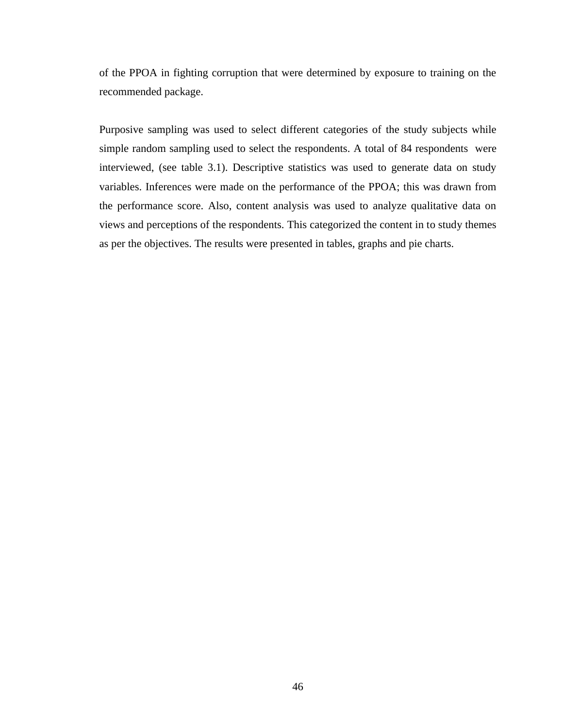of the PPOA in fighting corruption that were determined by exposure to training on the recommended package.

Purposive sampling was used to select different categories of the study subjects while simple random sampling used to select the respondents. A total of 84 respondents were interviewed, (see table 3.1). Descriptive statistics was used to generate data on study variables. Inferences were made on the performance of the PPOA; this was drawn from the performance score. Also, content analysis was used to analyze qualitative data on views and perceptions of the respondents. This categorized the content in to study themes as per the objectives. The results were presented in tables, graphs and pie charts.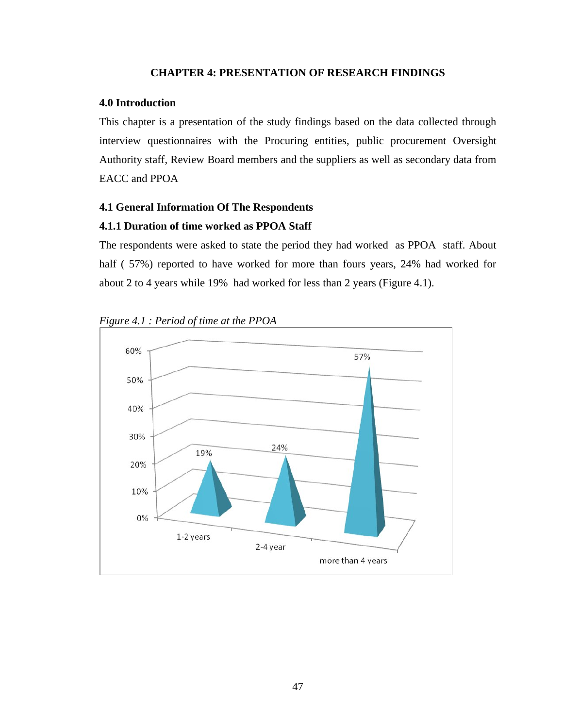# **CHAPTER 4: PRESENTATION OF RESEARCH FINDINGS**

#### **4.0 Introduction**

This chapter is a presentation of the study findings based on the data collected through interview questionnaires with the Procuring entities, public procurement Oversight Authority staff, Review Board members and the suppliers as well as secondary data from EACC and PPOA

# **4.1 General Information Of The Respondents**

### **4.1.1 Duration of time worked as PPOA Staff**

The respondents were asked to state the period they had worked as PPOA staff. About half ( 57%) reported to have worked for more than fours years, 24% had worked for about 2 to 4 years while 19% had worked for less than 2 years (Figure 4.1).



*Figure 4.1 : Period of time at the PPOA*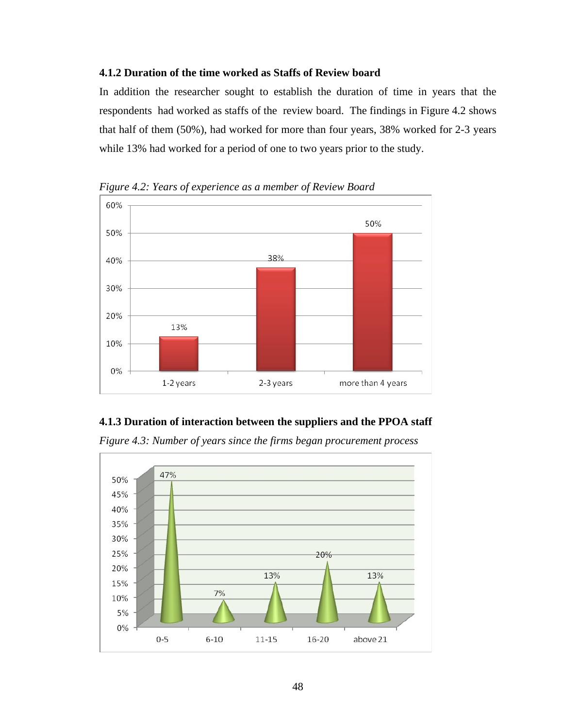# **4.1.2 Duration of the time worked as Staffs of Review board**

In addition the researcher sought to establish the duration of time in years that the respondents had worked as staffs of the review board. The findings in Figure 4.2 shows that half of them (50%), had worked for more than four years, 38% worked for 2-3 years while 13% had worked for a period of one to two years prior to the study.



*Figure 4.2: Years of experience as a member of Review Board*

# **4.1.3 Duration of interaction between the suppliers and the PPOA staff**

*Figure 4.3: Number of years since the firms began procurement process*

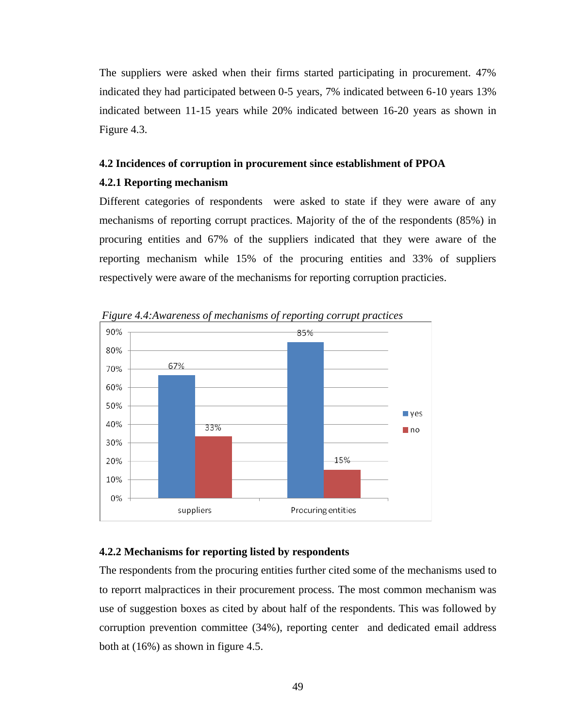The suppliers were asked when their firms started participating in procurement. 47% indicated they had participated between 0-5 years, 7% indicated between 6-10 years 13% indicated between 11-15 years while 20% indicated between 16-20 years as shown in Figure 4.3.

#### **4.2 Incidences of corruption in procurement since establishment of PPOA**

### **4.2.1 Reporting mechanism**

Different categories of respondents were asked to state if they were aware of any mechanisms of reporting corrupt practices. Majority of the of the respondents (85%) in procuring entities and 67% of the suppliers indicated that they were aware of the reporting mechanism while 15% of the procuring entities and 33% of suppliers respectively were aware of the mechanisms for reporting corruption practicies.



*Figure 4.4:Awareness of mechanisms of reporting corrupt practices*

# **4.2.2 Mechanisms for reporting listed by respondents**

The respondents from the procuring entities further cited some of the mechanisms used to to reporrt malpractices in their procurement process. The most common mechanism was use of suggestion boxes as cited by about half of the respondents. This was followed by corruption prevention committee (34%), reporting center and dedicated email address both at (16%) as shown in figure 4.5.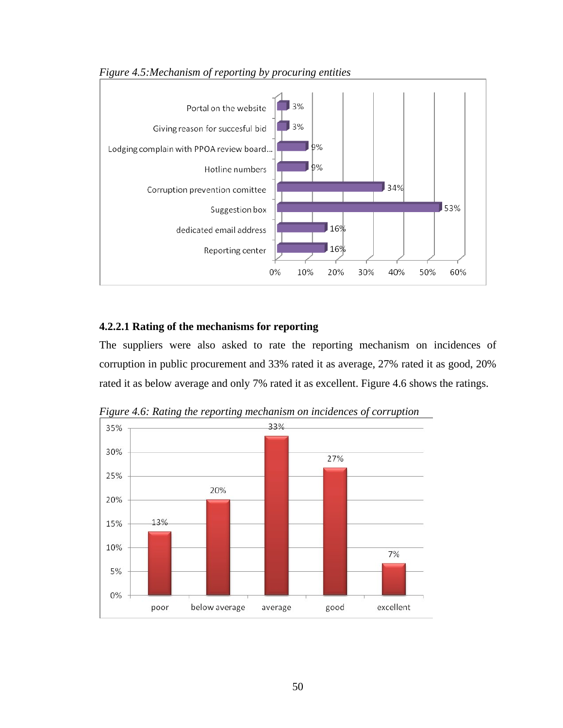

*Figure 4.5:Mechanism of reporting by procuring entities*

### **4.2.2.1 Rating of the mechanisms for reporting**

The suppliers were also asked to rate the reporting mechanism on incidences of corruption in public procurement and 33% rated it as average, 27% rated it as good, 20% rated it as below average and only 7% rated it as excellent. Figure 4.6 shows the ratings.



*Figure 4.6: Rating the reporting mechanism on incidences of corruption*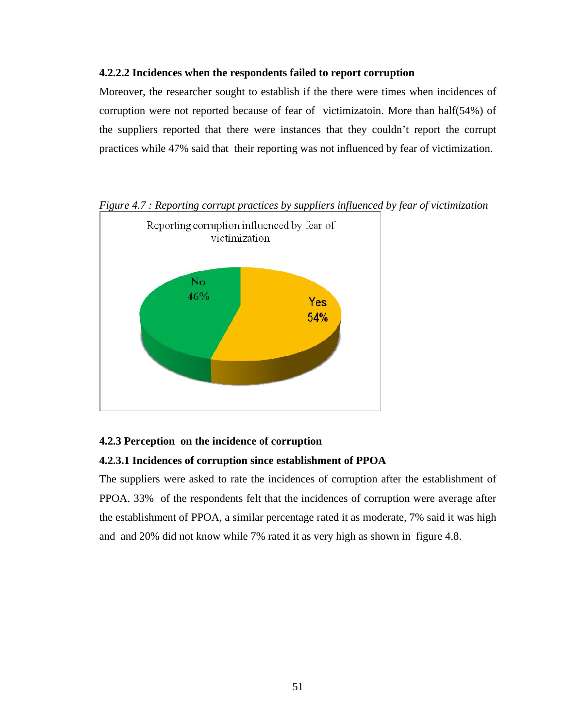### **4.2.2.2 Incidences when the respondents failed to report corruption**

Moreover, the researcher sought to establish if the there were times when incidences of corruption were not reported because of fear of victimizatoin. More than half(54%) of the suppliers reported that there were instances that they couldn't report the corrupt practices while 47% said that their reporting was not influenced by fear of victimization.



*Figure 4.7 : Reporting corrupt practices by suppliers influenced by fear of victimization* 

# **4.2.3 Perception on the incidence of corruption**

# **4.2.3.1 Incidences of corruption since establishment of PPOA**

The suppliers were asked to rate the incidences of corruption after the establishment of PPOA. 33% of the respondents felt that the incidences of corruption were average after the establishment of PPOA, a similar percentage rated it as moderate, 7% said it was high and and 20% did not know while 7% rated it as very high as shown in figure 4.8.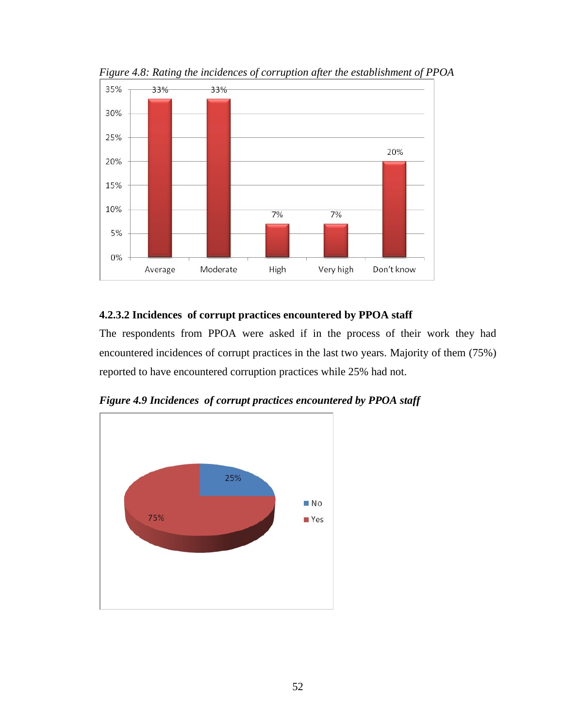

*Figure 4.8: Rating the incidences of corruption after the establishment of PPOA*

# **4.2.3.2 Incidences of corrupt practices encountered by PPOA staff**

The respondents from PPOA were asked if in the process of their work they had encountered incidences of corrupt practices in the last two years. Majority of them (75%) reported to have encountered corruption practices while 25% had not.



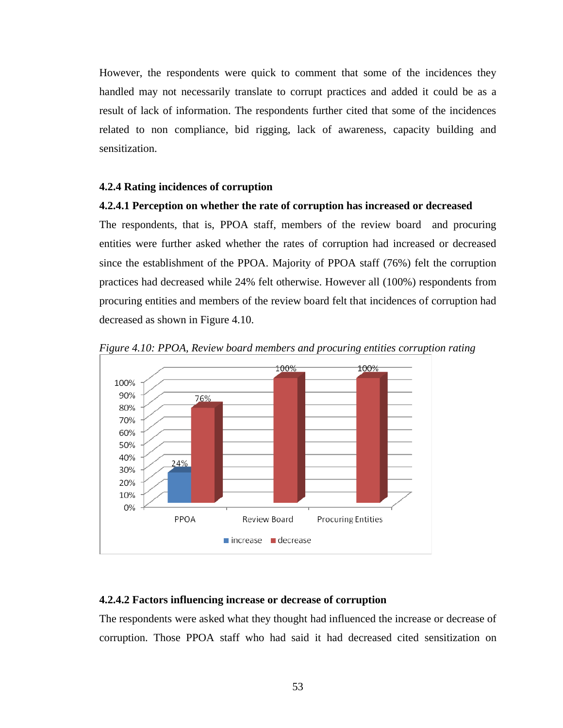However, the respondents were quick to comment that some of the incidences they handled may not necessarily translate to corrupt practices and added it could be as a result of lack of information. The respondents further cited that some of the incidences related to non compliance, bid rigging, lack of awareness, capacity building and sensitization.

#### **4.2.4 Rating incidences of corruption**

### **4.2.4.1 Perception on whether the rate of corruption has increased or decreased**

The respondents, that is, PPOA staff, members of the review board and procuring entities were further asked whether the rates of corruption had increased or decreased since the establishment of the PPOA. Majority of PPOA staff (76%) felt the corruption practices had decreased while 24% felt otherwise. However all (100%) respondents from procuring entities and members of the review board felt that incidences of corruption had decreased as shown in Figure 4.10.



*Figure 4.10: PPOA, Review board members and procuring entities corruption rating*

#### **4.2.4.2 Factors influencing increase or decrease of corruption**

The respondents were asked what they thought had influenced the increase or decrease of corruption. Those PPOA staff who had said it had decreased cited sensitization on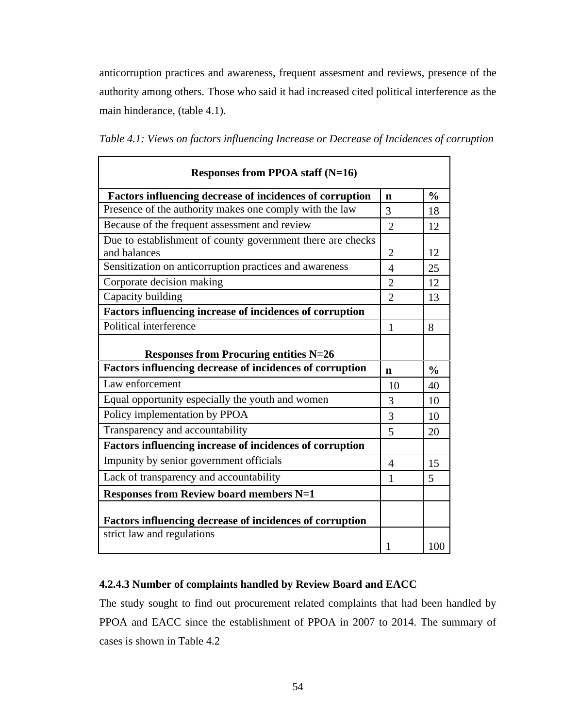anticorruption practices and awareness, frequent assesment and reviews, presence of the authority among others. Those who said it had increased cited political interference as the main hinderance, (table 4.1).

| Responses from PPOA staff $(N=16)$                                         |                |               |  |
|----------------------------------------------------------------------------|----------------|---------------|--|
| Factors influencing decrease of incidences of corruption                   | n              | $\frac{0}{0}$ |  |
| Presence of the authority makes one comply with the law                    |                | 18            |  |
| Because of the frequent assessment and review                              | $\overline{2}$ | 12            |  |
| Due to establishment of county government there are checks<br>and balances |                | 12            |  |
| Sensitization on anticorruption practices and awareness                    | $\overline{4}$ | 25            |  |
| Corporate decision making                                                  | $\overline{2}$ | 12            |  |
| Capacity building                                                          | $\overline{2}$ | 13            |  |
| <b>Factors influencing increase of incidences of corruption</b>            |                |               |  |
| Political interference                                                     | $\mathbf{1}$   | 8             |  |
| <b>Responses from Procuring entities N=26</b>                              |                |               |  |
| Factors influencing decrease of incidences of corruption                   |                | $\frac{0}{0}$ |  |
| Law enforcement                                                            | 10             | 40            |  |
| Equal opportunity especially the youth and women                           |                | 10            |  |
| Policy implementation by PPOA                                              |                | 10            |  |
| Transparency and accountability                                            | 5              | 20            |  |
| <b>Factors influencing increase of incidences of corruption</b>            |                |               |  |
| Impunity by senior government officials                                    | $\overline{4}$ | 15            |  |
| Lack of transparency and accountability                                    | 1              | 5             |  |
| <b>Responses from Review board members N=1</b>                             |                |               |  |
| <b>Factors influencing decrease of incidences of corruption</b>            |                |               |  |
| strict law and regulations                                                 |                | 100           |  |

# **4.2.4.3 Number of complaints handled by Review Board and EACC**

The study sought to find out procurement related complaints that had been handled by PPOA and EACC since the establishment of PPOA in 2007 to 2014. The summary of cases is shown in Table 4.2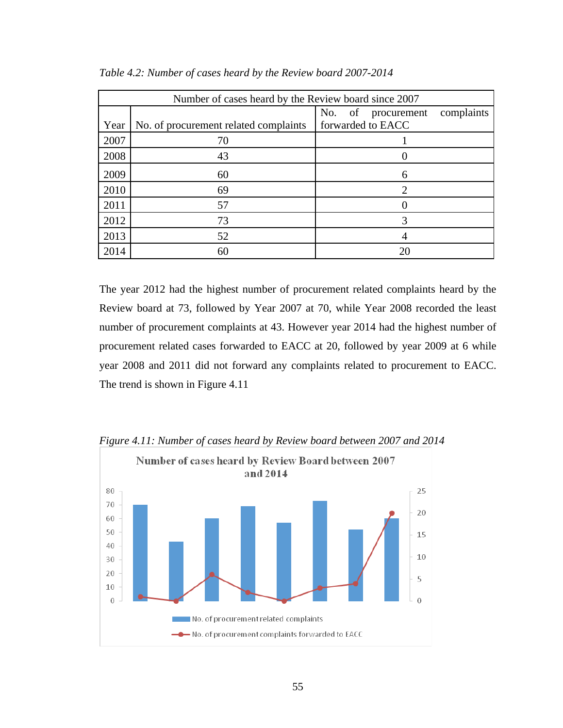| Number of cases heard by the Review board since 2007 |                                       |                                     |  |  |
|------------------------------------------------------|---------------------------------------|-------------------------------------|--|--|
|                                                      |                                       | No.<br>complaints<br>of procurement |  |  |
| Year                                                 | No. of procurement related complaints | forwarded to EACC                   |  |  |
| 2007                                                 | 70                                    |                                     |  |  |
| 2008                                                 | 43                                    |                                     |  |  |
| 2009                                                 | 60                                    | 6                                   |  |  |
| 2010                                                 | 69                                    | C                                   |  |  |
| 2011                                                 | 57                                    |                                     |  |  |
| 2012                                                 | 73                                    | 3                                   |  |  |
| 2013                                                 | 52                                    |                                     |  |  |
| 2014                                                 | 60                                    | 20                                  |  |  |

*Table 4.2: Number of cases heard by the Review board 2007-2014*

The year 2012 had the highest number of procurement related complaints heard by the Review board at 73, followed by Year 2007 at 70, while Year 2008 recorded the least number of procurement complaints at 43. However year 2014 had the highest number of procurement related cases forwarded to EACC at 20, followed by year 2009 at 6 while year 2008 and 2011 did not forward any complaints related to procurement to EACC. The trend is shown in Figure 4.11



*Figure 4.11: Number of cases heard by Review board between 2007 and 2014*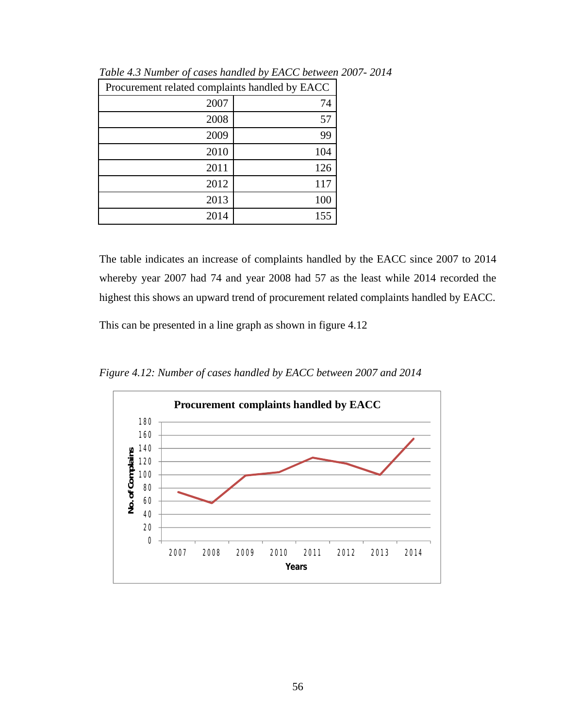| Procurement related complaints handled by EACC |     |  |
|------------------------------------------------|-----|--|
| 2007                                           | 74  |  |
| 2008                                           | 57  |  |
| 2009                                           | 99  |  |
| 2010                                           | 104 |  |
| 2011                                           | 126 |  |
| 2012                                           | 117 |  |
| 2013                                           | 100 |  |
| 2014                                           | 155 |  |

*Table 4.3 Number of cases handled by EACC between 2007- 2014*

The table indicates an increase of complaints handled by the EACC since 2007 to 2014 whereby year 2007 had 74 and year 2008 had 57 as the least while 2014 recorded the highest this shows an upward trend of procurement related complaints handled by EACC.

This can be presented in a line graph as shown in figure 4.12

*Figure 4.12: Number of cases handled by EACC between 2007 and 2014*

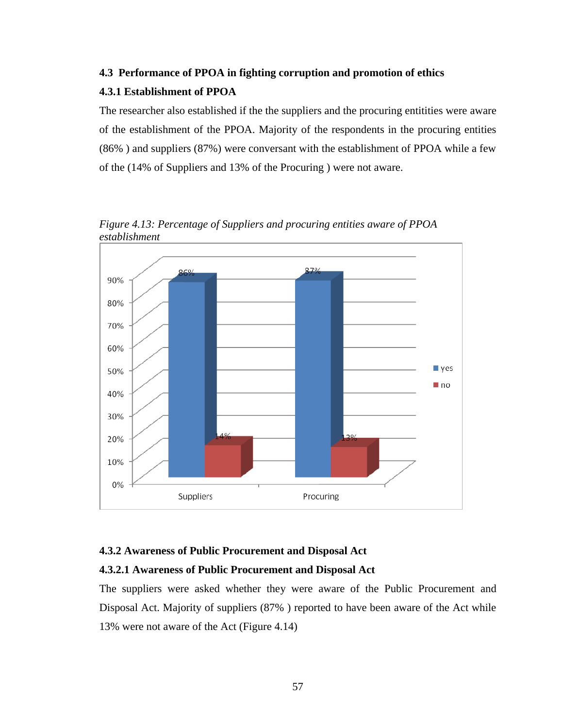# **4.3 Performance of PPOA in fighting corruption and promotion of ethics 4.3.1 Establishment of PPOA**

The researcher also established if the the suppliers and the procuring entitities were aware of the establishment of the PPOA. Majority of the respondents in the procuring entities (86% ) and suppliers (87%) were conversant with the establishment of PPOA while a few of the (14% of Suppliers and 13% of the Procuring ) were not aware.



*Figure 4.13: Percentage of Suppliers and procuring entities aware of PPOA establishment* 

# **4.3.2 Awareness of Public Procurement and Disposal Act**

# **4.3.2.1 Awareness of Public Procurement and Disposal Act**

The suppliers were asked whether they were aware of the Public Procurement and Disposal Act. Majority of suppliers (87% ) reported to have been aware of the Act while 13% were not aware of the Act (Figure 4.14)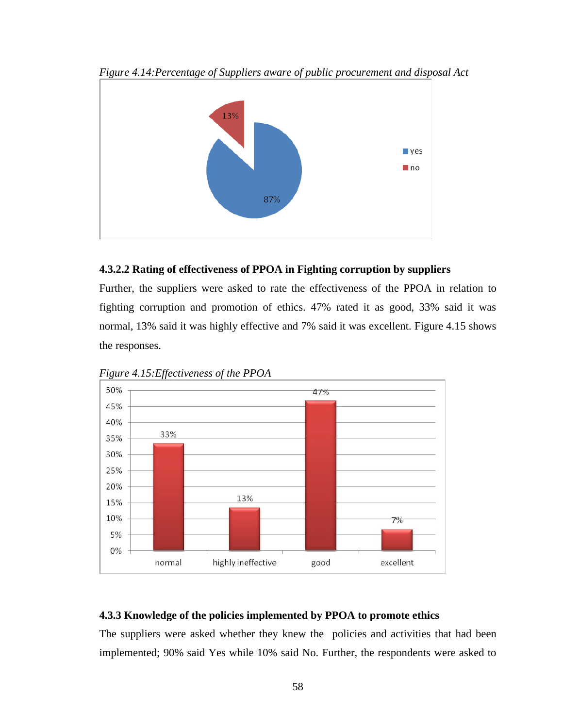

*Figure 4.14:Percentage of Suppliers aware of public procurement and disposal Act*

# **4.3.2.2 Rating of effectiveness of PPOA in Fighting corruption by suppliers**

Further, the suppliers were asked to rate the effectiveness of the PPOA in relation to fighting corruption and promotion of ethics. 47% rated it as good, 33% said it was normal, 13% said it was highly effective and 7% said it was excellent. Figure 4.15 shows the responses.



*Figure 4.15:Effectiveness of the PPOA* 

# **4.3.3 Knowledge of the policies implemented by PPOA to promote ethics**

The suppliers were asked whether they knew the policies and activities that had been implemented; 90% said Yes while 10% said No. Further, the respondents were asked to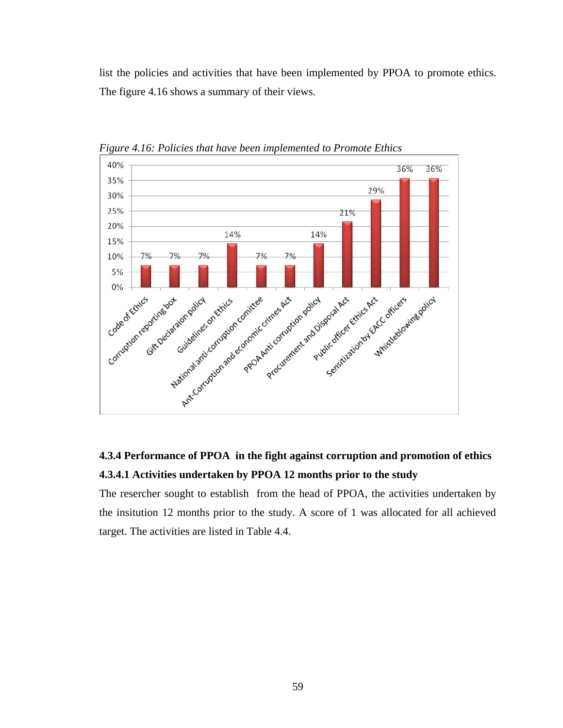list the policies and activities that have been implemented by PPOA to promote ethics. The figure 4.16 shows a summary of their views.



*Figure 4.16: Policies that have been implemented to Promote Ethics* 

# **4.3.4 Performance of PPOA in the fight against corruption and promotion of ethics 4.3.4.1 Activities undertaken by PPOA 12 months prior to the study**

The resercher sought to establish from the head of PPOA, the activities undertaken by the insitution 12 months prior to the study. A score of 1 was allocated for all achieved target. The activities are listed in Table 4.4.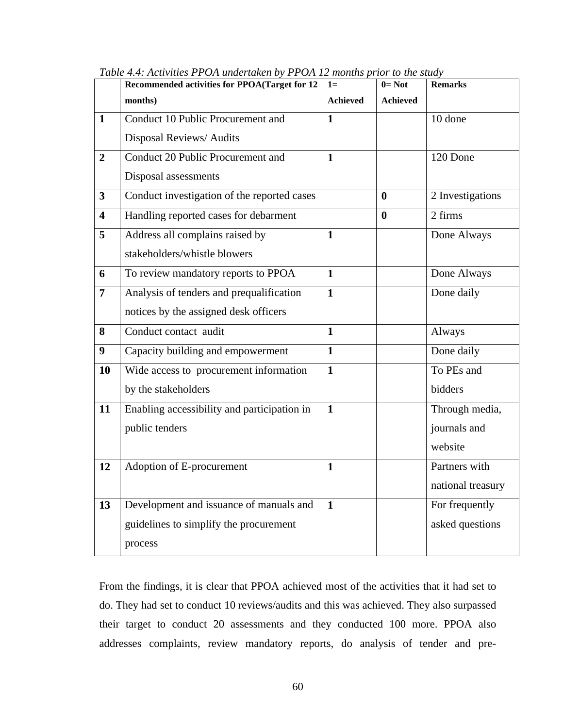|                         | $\frac{1}{1}$<br>Recommended activities for PPOA(Target for 12 | $1=$            | $0 = Not$       | <b>Remarks</b>    |
|-------------------------|----------------------------------------------------------------|-----------------|-----------------|-------------------|
|                         | months)                                                        | <b>Achieved</b> | <b>Achieved</b> |                   |
| $\mathbf{1}$            | Conduct 10 Public Procurement and                              | $\mathbf{1}$    |                 | 10 done           |
|                         | Disposal Reviews/Audits                                        |                 |                 |                   |
| $\overline{2}$          | Conduct 20 Public Procurement and                              | $\mathbf{1}$    |                 | 120 Done          |
|                         | Disposal assessments                                           |                 |                 |                   |
| $\overline{\mathbf{3}}$ | Conduct investigation of the reported cases                    |                 | $\bf{0}$        | 2 Investigations  |
| $\overline{\mathbf{4}}$ | Handling reported cases for debarment                          |                 | $\bf{0}$        | 2 firms           |
| 5                       | Address all complains raised by                                | $\mathbf{1}$    |                 | Done Always       |
|                         | stakeholders/whistle blowers                                   |                 |                 |                   |
| 6                       | To review mandatory reports to PPOA                            | $\mathbf{1}$    |                 | Done Always       |
| $\overline{7}$          | Analysis of tenders and prequalification                       | $\mathbf{1}$    |                 | Done daily        |
|                         | notices by the assigned desk officers                          |                 |                 |                   |
| 8                       | Conduct contact audit                                          | $\mathbf{1}$    |                 | Always            |
| $\boldsymbol{9}$        | Capacity building and empowerment                              | $\mathbf{1}$    |                 | Done daily        |
| 10                      | Wide access to procurement information                         | $\mathbf{1}$    |                 | To PEs and        |
|                         | by the stakeholders                                            |                 |                 | bidders           |
| 11                      | Enabling accessibility and participation in                    | $\mathbf{1}$    |                 | Through media,    |
|                         | public tenders                                                 |                 |                 | journals and      |
|                         |                                                                |                 |                 | website           |
| 12                      | Adoption of E-procurement                                      | $\mathbf{1}$    |                 | Partners with     |
|                         |                                                                |                 |                 | national treasury |
| 13                      | Development and issuance of manuals and                        | $\mathbf{1}$    |                 | For frequently    |
|                         | guidelines to simplify the procurement                         |                 |                 | asked questions   |
|                         | process                                                        |                 |                 |                   |

*Table 4.4: Activities PPOA undertaken by PPOA 12 months prior to the study*

From the findings, it is clear that PPOA achieved most of the activities that it had set to do. They had set to conduct 10 reviews/audits and this was achieved. They also surpassed their target to conduct 20 assessments and they conducted 100 more. PPOA also addresses complaints, review mandatory reports, do analysis of tender and pre-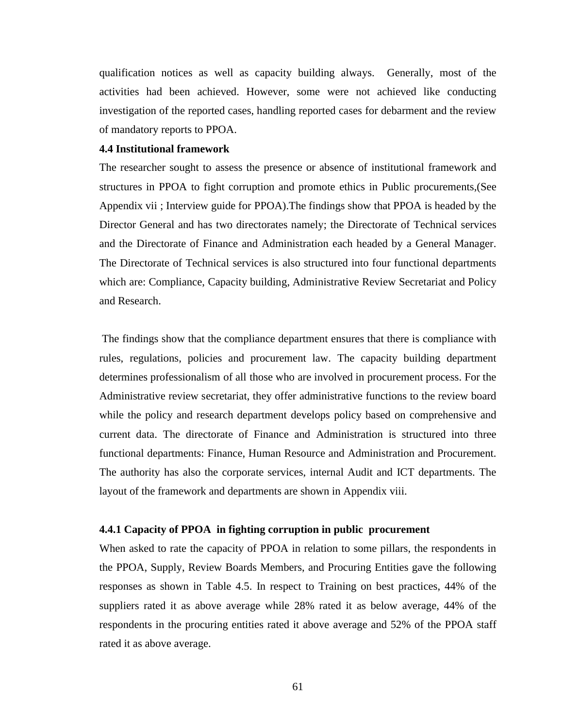qualification notices as well as capacity building always. Generally, most of the activities had been achieved. However, some were not achieved like conducting investigation of the reported cases, handling reported cases for debarment and the review of mandatory reports to PPOA.

### **4.4 Institutional framework**

The researcher sought to assess the presence or absence of institutional framework and structures in PPOA to fight corruption and promote ethics in Public procurements,(See Appendix vii ; Interview guide for PPOA).The findings show that PPOA is headed by the Director General and has two directorates namely; the Directorate of Technical services and the Directorate of Finance and Administration each headed by a General Manager. The Directorate of Technical services is also structured into four functional departments which are: Compliance, Capacity building, Administrative Review Secretariat and Policy and Research.

The findings show that the compliance department ensures that there is compliance with rules, regulations, policies and procurement law. The capacity building department determines professionalism of all those who are involved in procurement process. For the Administrative review secretariat, they offer administrative functions to the review board while the policy and research department develops policy based on comprehensive and current data. The directorate of Finance and Administration is structured into three functional departments: Finance, Human Resource and Administration and Procurement. The authority has also the corporate services, internal Audit and ICT departments. The layout of the framework and departments are shown in Appendix viii.

#### **4.4.1 Capacity of PPOA in fighting corruption in public procurement**

When asked to rate the capacity of PPOA in relation to some pillars, the respondents in the PPOA, Supply, Review Boards Members, and Procuring Entities gave the following responses as shown in Table 4.5. In respect to Training on best practices, 44% of the suppliers rated it as above average while 28% rated it as below average, 44% of the respondents in the procuring entities rated it above average and 52% of the PPOA staff rated it as above average.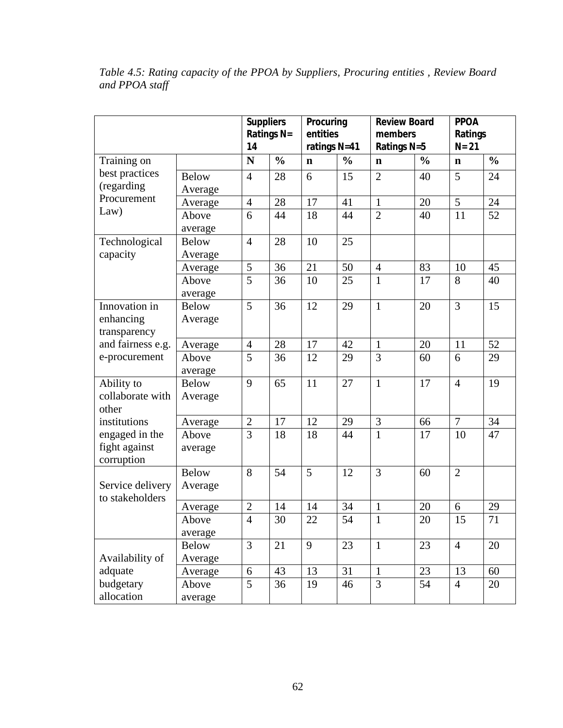|                   |              | <b>Suppliers</b> |               | Procuring      |               | <b>Review Board</b> |               | <b>PPOA</b>    |               |
|-------------------|--------------|------------------|---------------|----------------|---------------|---------------------|---------------|----------------|---------------|
|                   |              | Ratings N=       |               | entities       |               | members             |               | Ratings        |               |
|                   |              | 14               |               | ratings N=41   |               | Ratings N=5         |               | $N = 21$       |               |
| Training on       |              | N                | $\frac{0}{0}$ | $\mathbf n$    | $\frac{0}{0}$ | $\mathbf n$         | $\frac{0}{0}$ | $\mathbf n$    | $\frac{0}{0}$ |
| best practices    | <b>Below</b> | $\overline{4}$   | 28            | 6              | 15            | $\overline{2}$      | 40            | 5              | 24            |
| (regarding        | Average      |                  |               |                |               |                     |               |                |               |
| Procurement       | Average      | $\overline{4}$   | 28            | 17             | 41            | $\mathbf{1}$        | 20            | 5              | 24            |
| Law)              | Above        | 6                | 44            | 18             | 44            | $\overline{2}$      | 40            | 11             | 52            |
|                   | average      |                  |               |                |               |                     |               |                |               |
| Technological     | <b>Below</b> | $\overline{4}$   | 28            | 10             | 25            |                     |               |                |               |
| capacity          | Average      |                  |               |                |               |                     |               |                |               |
|                   | Average      | 5                | 36            | 21             | 50            | $\overline{4}$      | 83            | 10             | 45            |
|                   | Above        | $\overline{5}$   | 36            | 10             | 25            | $\mathbf{1}$        | 17            | 8              | 40            |
|                   | average      |                  |               |                |               |                     |               |                |               |
| Innovation in     | <b>Below</b> | 5                | 36            | 12             | 29            | $\mathbf{1}$        | 20            | 3              | 15            |
| enhancing         | Average      |                  |               |                |               |                     |               |                |               |
| transparency      |              |                  |               |                |               |                     |               |                |               |
| and fairness e.g. | Average      | $\overline{4}$   | 28            | 17             | 42            | $\mathbf{1}$        | 20            | 11             | 52            |
| e-procurement     | Above        | 5                | 36            | 12             | 29            | 3                   | 60            | 6              | 29            |
|                   | average      |                  |               |                |               |                     |               |                |               |
| Ability to        | <b>Below</b> | 9                | 65            | 11             | 27            | $\mathbf{1}$        | 17            | $\overline{4}$ | 19            |
| collaborate with  | Average      |                  |               |                |               |                     |               |                |               |
| other             |              |                  |               |                |               |                     |               |                |               |
| institutions      | Average      | $\overline{2}$   | 17            | 12             | 29            | 3                   | 66            | $\overline{7}$ | 34            |
| engaged in the    | Above        | $\overline{3}$   | 18            | 18             | 44            | $\mathbf{1}$        | 17            | 10             | 47            |
| fight against     | average      |                  |               |                |               |                     |               |                |               |
| corruption        |              |                  |               |                |               |                     |               |                |               |
|                   | <b>Below</b> | 8                | 54            | $\overline{5}$ | 12            | 3                   | 60            | $\overline{2}$ |               |
| Service delivery  | Average      |                  |               |                |               |                     |               |                |               |
| to stakeholders   | Average      | $\overline{2}$   | 14            | 14             | 34            | $\mathbf{1}$        | 20            | 6              | 29            |
|                   | Above        | $\overline{4}$   | 30            | 22             | 54            | $\mathbf{1}$        | 20            | 15             | 71            |
|                   | average      |                  |               |                |               |                     |               |                |               |
|                   | <b>Below</b> | 3                | 21            | 9              | 23            | $\mathbf{1}$        | 23            | $\overline{4}$ | 20            |
| Availability of   | Average      |                  |               |                |               |                     |               |                |               |
| adquate           | Average      | 6                | 43            | 13             | 31            | $\mathbf{1}$        | 23            | 13             | 60            |
| budgetary         | Above        | 5                | 36            | 19             | 46            | 3                   | 54            | $\overline{4}$ | 20            |
| allocation        | average      |                  |               |                |               |                     |               |                |               |

*Table 4.5: Rating capacity of the PPOA by Suppliers, Procuring entities , Review Board and PPOA staff*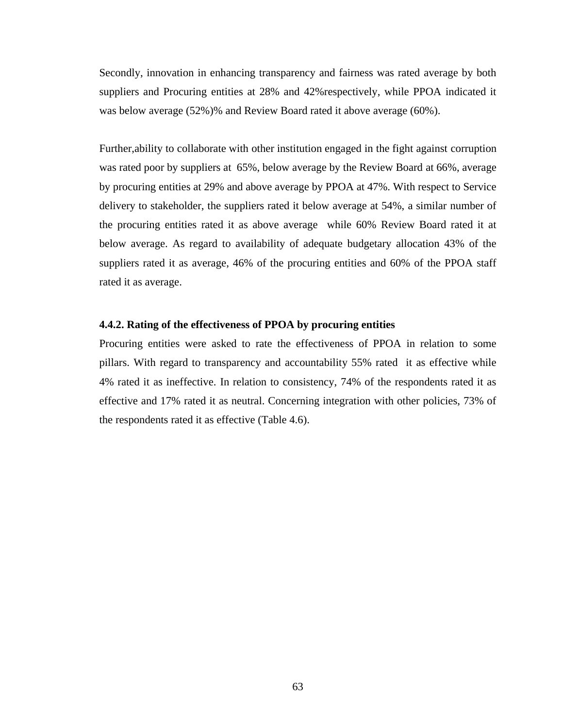Secondly, innovation in enhancing transparency and fairness was rated average by both suppliers and Procuring entities at 28% and 42%respectively, while PPOA indicated it was below average (52%)% and Review Board rated it above average (60%).

Further,ability to collaborate with other institution engaged in the fight against corruption was rated poor by suppliers at 65%, below average by the Review Board at 66%, average by procuring entities at 29% and above average by PPOA at 47%. With respect to Service delivery to stakeholder, the suppliers rated it below average at 54%, a similar number of the procuring entities rated it as above average while 60% Review Board rated it at below average. As regard to availability of adequate budgetary allocation 43% of the suppliers rated it as average, 46% of the procuring entities and 60% of the PPOA staff rated it as average.

### **4.4.2. Rating of the effectiveness of PPOA by procuring entities**

Procuring entities were asked to rate the effectiveness of PPOA in relation to some pillars. With regard to transparency and accountability 55% rated it as effective while 4% rated it as ineffective. In relation to consistency, 74% of the respondents rated it as effective and 17% rated it as neutral. Concerning integration with other policies, 73% of the respondents rated it as effective (Table 4.6).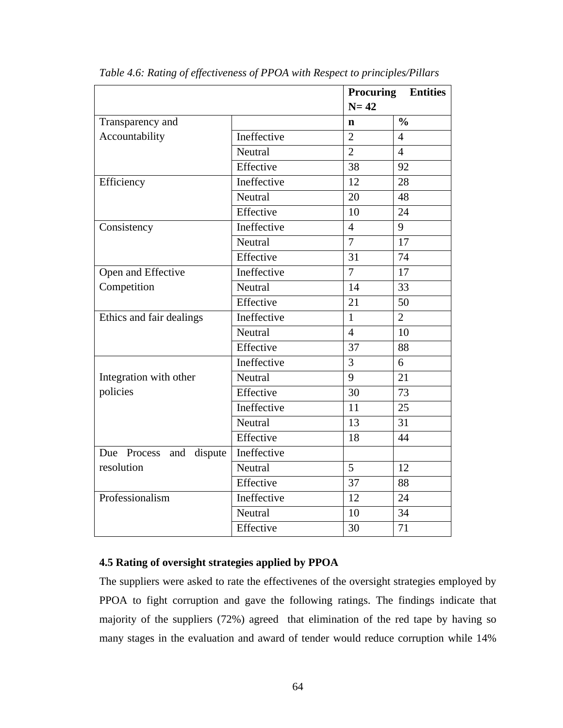|                            |             | Procuring       | <b>Entities</b> |  |
|----------------------------|-------------|-----------------|-----------------|--|
|                            |             | $N=42$          |                 |  |
| Transparency and           |             | $\mathbf n$     | $\frac{0}{0}$   |  |
| Accountability             | Ineffective | $\overline{2}$  | $\overline{4}$  |  |
|                            | Neutral     | $\overline{2}$  | $\overline{4}$  |  |
|                            | Effective   | 38              | 92              |  |
| Efficiency                 | Ineffective | 12              | 28              |  |
|                            | Neutral     | 20              | 48              |  |
|                            | Effective   | 10              | 24              |  |
| Consistency                | Ineffective | $\overline{4}$  | 9               |  |
|                            | Neutral     | $\overline{7}$  | 17              |  |
|                            | Effective   | $\overline{31}$ | 74              |  |
| Open and Effective         | Ineffective | $\overline{7}$  | 17              |  |
| Competition                | Neutral     | 14              | 33              |  |
|                            | Effective   | 21              | 50              |  |
| Ethics and fair dealings   | Ineffective | $\mathbf{1}$    | $\overline{2}$  |  |
|                            | Neutral     | $\overline{4}$  | 10              |  |
|                            | Effective   | 37              | 88              |  |
|                            | Ineffective | 3               | 6               |  |
| Integration with other     | Neutral     | 9               | 21              |  |
| policies                   | Effective   | 30              | 73              |  |
|                            | Ineffective | 11              | 25              |  |
|                            | Neutral     | 13              | 31              |  |
|                            | Effective   | 18              | 44              |  |
| Due Process<br>and dispute | Ineffective |                 |                 |  |
| resolution                 | Neutral     | 5               | 12              |  |
|                            | Effective   | 37              | 88              |  |
| Professionalism            | Ineffective | 12              | 24              |  |
|                            | Neutral     | 10              | 34              |  |
|                            | Effective   | 30              | 71              |  |

*Table 4.6: Rating of effectiveness of PPOA with Respect to principles/Pillars*

# **4.5 Rating of oversight strategies applied by PPOA**

The suppliers were asked to rate the effectivenes of the oversight strategies employed by PPOA to fight corruption and gave the following ratings. The findings indicate that majority of the suppliers (72%) agreed that elimination of the red tape by having so many stages in the evaluation and award of tender would reduce corruption while 14%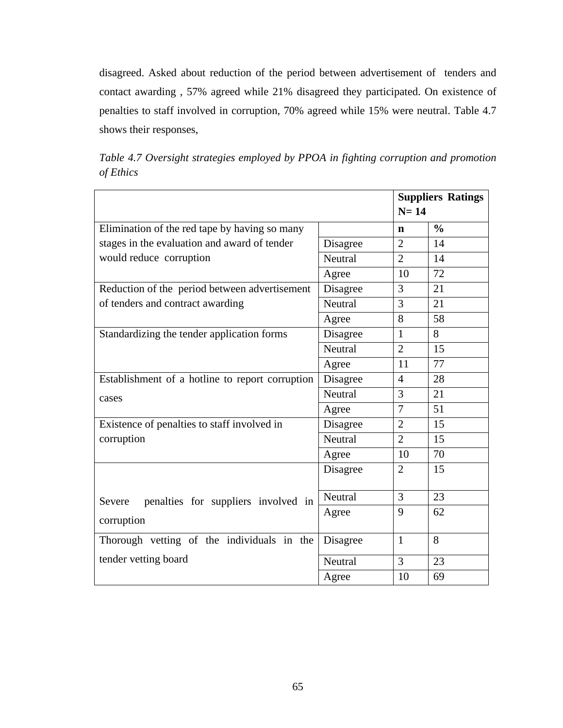disagreed. Asked about reduction of the period between advertisement of tenders and contact awarding , 57% agreed while 21% disagreed they participated. On existence of penalties to staff involved in corruption, 70% agreed while 15% were neutral. Table 4.7 shows their responses,

|           |  |  |  | Table 4.7 Oversight strategies employed by PPOA in fighting corruption and promotion |  |  |
|-----------|--|--|--|--------------------------------------------------------------------------------------|--|--|
| of Ethics |  |  |  |                                                                                      |  |  |

|                                                 | <b>Suppliers Ratings</b> |                |               |  |
|-------------------------------------------------|--------------------------|----------------|---------------|--|
|                                                 |                          | $N=14$         |               |  |
| Elimination of the red tape by having so many   |                          | n              | $\frac{0}{0}$ |  |
| stages in the evaluation and award of tender    | Disagree                 | $\overline{2}$ | 14            |  |
| would reduce corruption                         | Neutral                  | $\overline{2}$ | 14            |  |
|                                                 | Agree                    | 10             | 72            |  |
| Reduction of the period between advertisement   | Disagree                 | 3              | 21            |  |
| of tenders and contract awarding                | Neutral                  | 3              | 21            |  |
|                                                 | Agree                    | 8              | 58            |  |
| Standardizing the tender application forms      | Disagree                 | $\mathbf{1}$   | 8             |  |
|                                                 | Neutral                  | $\overline{2}$ | 15            |  |
|                                                 | Agree                    | 11             | 77            |  |
| Establishment of a hotline to report corruption | Disagree                 | 4              | 28            |  |
| cases                                           | Neutral                  | 3              | 21            |  |
|                                                 | Agree                    | 7              | 51            |  |
| Existence of penalties to staff involved in     | Disagree                 | $\overline{2}$ | 15            |  |
| corruption                                      | Neutral                  | $\overline{2}$ | 15            |  |
|                                                 | Agree                    | 10             | 70            |  |
|                                                 | Disagree                 | $\overline{2}$ | 15            |  |
| penalties for suppliers involved in<br>Severe   | Neutral                  | 3              | 23            |  |
| corruption                                      | Agree                    | 9              | 62            |  |
| Thorough vetting of the individuals in the      | Disagree                 | $\mathbf{1}$   | 8             |  |
| tender vetting board                            | Neutral                  | 3              | 23            |  |
|                                                 | Agree                    | 10             | 69            |  |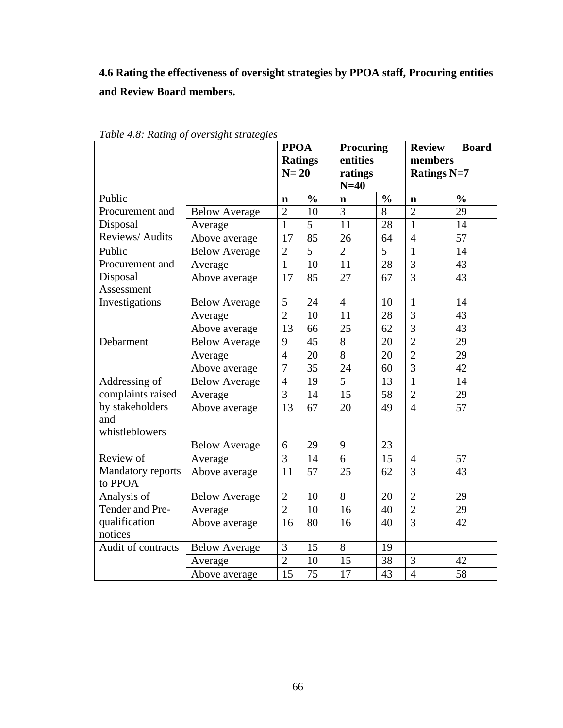**4.6 Rating the effectiveness of oversight strategies by PPOA staff, Procuring entities and Review Board members.**

|                    |                      | <b>PPOA</b>    |                | <b>Procuring</b><br>entities<br>ratings |                | <b>Review</b>                 | <b>Board</b>  |
|--------------------|----------------------|----------------|----------------|-----------------------------------------|----------------|-------------------------------|---------------|
|                    |                      |                | <b>Ratings</b> |                                         |                | members<br><b>Ratings N=7</b> |               |
|                    |                      | $N=20$         |                |                                         |                |                               |               |
|                    |                      |                |                | $N=40$                                  |                |                               |               |
| Public             |                      | n              | $\frac{0}{0}$  | $\mathbf n$                             | $\frac{0}{0}$  | $\mathbf n$                   | $\frac{0}{0}$ |
| Procurement and    | <b>Below Average</b> | $\overline{2}$ | 10             | 3                                       | $\overline{8}$ | $\overline{2}$                | 29            |
| Disposal           | Average              | $\mathbf{1}$   | 5              | 11                                      | 28             | 1                             | 14            |
| Reviews/Audits     | Above average        | 17             | 85             | 26                                      | 64             | $\overline{4}$                | 57            |
| Public             | <b>Below Average</b> | $\overline{2}$ | 5              | $\overline{2}$                          | 5              | $\mathbf{1}$                  | 14            |
| Procurement and    | Average              | $\mathbf{1}$   | 10             | 11                                      | 28             | $\overline{3}$                | 43            |
| Disposal           | Above average        | 17             | 85             | 27                                      | 67             | $\overline{3}$                | 43            |
| Assessment         |                      |                |                |                                         |                |                               |               |
| Investigations     | <b>Below Average</b> | 5              | 24             | $\overline{4}$                          | 10             | 1                             | 14            |
|                    | Average              | $\overline{2}$ | 10             | 11                                      | 28             | $\overline{3}$                | 43            |
|                    | Above average        | 13             | 66             | 25                                      | 62             | $\overline{3}$                | 43            |
| Debarment          | <b>Below Average</b> | 9              | 45             | 8                                       | 20             | $\overline{2}$                | 29            |
|                    | Average              | $\overline{4}$ | 20             | 8                                       | 20             | $\overline{2}$                | 29            |
|                    | Above average        | $\overline{7}$ | 35             | 24                                      | 60             | $\overline{3}$                | 42            |
| Addressing of      | <b>Below Average</b> | $\overline{4}$ | 19             | $\overline{5}$                          | 13             | $\mathbf{1}$                  | 14            |
| complaints raised  | Average              | $\overline{3}$ | 14             | 15                                      | 58             | $\overline{2}$                | 29            |
| by stakeholders    | Above average        | 13             | 67             | 20                                      | 49             | $\overline{4}$                | 57            |
| and                |                      |                |                |                                         |                |                               |               |
| whistleblowers     |                      |                |                |                                         |                |                               |               |
|                    | <b>Below Average</b> | 6              | 29             | 9                                       | 23             |                               |               |
| Review of          | Average              | $\overline{3}$ | 14             | $\overline{6}$                          | 15             | $\overline{4}$                | 57            |
| Mandatory reports  | Above average        | 11             | 57             | 25                                      | 62             | 3                             | 43            |
| to PPOA            |                      |                |                |                                         |                |                               |               |
| Analysis of        | <b>Below Average</b> | $\overline{2}$ | 10             | 8                                       | 20             | $\overline{2}$                | 29            |
| Tender and Pre-    | Average              | $\overline{2}$ | 10             | 16                                      | 40             | $\overline{2}$                | 29            |
| qualification      | Above average        | 16             | 80             | 16                                      | 40             | $\overline{3}$                | 42            |
| notices            |                      |                |                |                                         |                |                               |               |
| Audit of contracts | <b>Below Average</b> | 3              | 15             | $\overline{8}$                          | 19             |                               |               |
|                    | Average              | $\overline{2}$ | 10             | 15                                      | 38             | 3                             | 42            |
|                    | Above average        | 15             | 75             | 17                                      | 43             | $\overline{4}$                | 58            |

*Table 4.8: Rating of oversight strategies*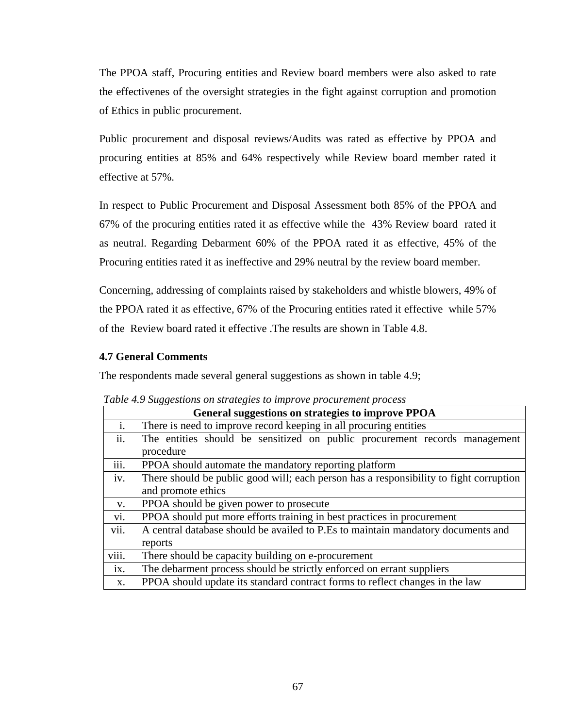The PPOA staff, Procuring entities and Review board members were also asked to rate the effectivenes of the oversight strategies in the fight against corruption and promotion of Ethics in public procurement.

Public procurement and disposal reviews/Audits was rated as effective by PPOA and procuring entities at 85% and 64% respectively while Review board member rated it effective at 57%.

In respect to Public Procurement and Disposal Assessment both 85% of the PPOA and 67% of the procuring entities rated it as effective while the 43% Review board rated it as neutral. Regarding Debarment 60% of the PPOA rated it as effective, 45% of the Procuring entities rated it as ineffective and 29% neutral by the review board member.

Concerning, addressing of complaints raised by stakeholders and whistle blowers, 49% of the PPOA rated it as effective, 67% of the Procuring entities rated it effective while 57% of the Review board rated it effective .The results are shown in Table 4.8.

# **4.7 General Comments**

The respondents made several general suggestions as shown in table 4.9;

|                | General suggestions on strategies to improve PPOA                                      |  |  |  |  |  |  |
|----------------|----------------------------------------------------------------------------------------|--|--|--|--|--|--|
| $\mathbf{i}$ . | There is need to improve record keeping in all procuring entities                      |  |  |  |  |  |  |
| ii.            | The entities should be sensitized on public procurement records management             |  |  |  |  |  |  |
|                | procedure                                                                              |  |  |  |  |  |  |
| iii.           | PPOA should automate the mandatory reporting platform                                  |  |  |  |  |  |  |
| iv.            | There should be public good will; each person has a responsibility to fight corruption |  |  |  |  |  |  |
|                | and promote ethics                                                                     |  |  |  |  |  |  |
| V.             | PPOA should be given power to prosecute                                                |  |  |  |  |  |  |
| vi.            | PPOA should put more efforts training in best practices in procurement                 |  |  |  |  |  |  |
| vii.           | A central database should be availed to P.Es to maintain mandatory documents and       |  |  |  |  |  |  |
|                | reports                                                                                |  |  |  |  |  |  |
| viii.          | There should be capacity building on e-procurement                                     |  |  |  |  |  |  |
| ix.            | The debarment process should be strictly enforced on errant suppliers                  |  |  |  |  |  |  |
| X.             | PPOA should update its standard contract forms to reflect changes in the law           |  |  |  |  |  |  |

*Table 4.9 Suggestions on strategies to improve procurement process*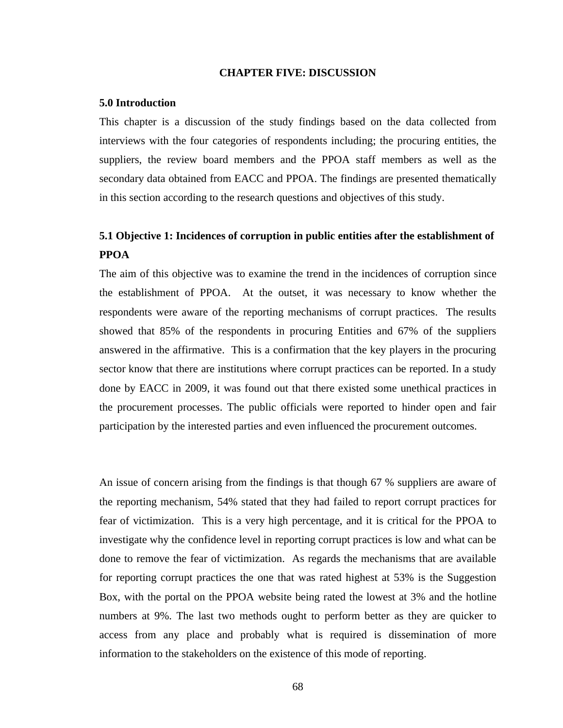### **CHAPTER FIVE: DISCUSSION**

#### **5.0 Introduction**

This chapter is a discussion of the study findings based on the data collected from interviews with the four categories of respondents including; the procuring entities, the suppliers, the review board members and the PPOA staff members as well as the secondary data obtained from EACC and PPOA. The findings are presented thematically in this section according to the research questions and objectives of this study.

# **5.1 Objective 1: Incidences of corruption in public entities after the establishment of PPOA**

The aim of this objective was to examine the trend in the incidences of corruption since the establishment of PPOA. At the outset, it was necessary to know whether the respondents were aware of the reporting mechanisms of corrupt practices. The results showed that 85% of the respondents in procuring Entities and 67% of the suppliers answered in the affirmative. This is a confirmation that the key players in the procuring sector know that there are institutions where corrupt practices can be reported. In a study done by EACC in 2009, it was found out that there existed some unethical practices in the procurement processes. The public officials were reported to hinder open and fair participation by the interested parties and even influenced the procurement outcomes.

An issue of concern arising from the findings is that though 67 % suppliers are aware of the reporting mechanism, 54% stated that they had failed to report corrupt practices for fear of victimization. This is a very high percentage, and it is critical for the PPOA to investigate why the confidence level in reporting corrupt practices is low and what can be done to remove the fear of victimization. As regards the mechanisms that are available for reporting corrupt practices the one that was rated highest at 53% is the Suggestion Box, with the portal on the PPOA website being rated the lowest at 3% and the hotline numbers at 9%. The last two methods ought to perform better as they are quicker to access from any place and probably what is required is dissemination of more information to the stakeholders on the existence of this mode of reporting.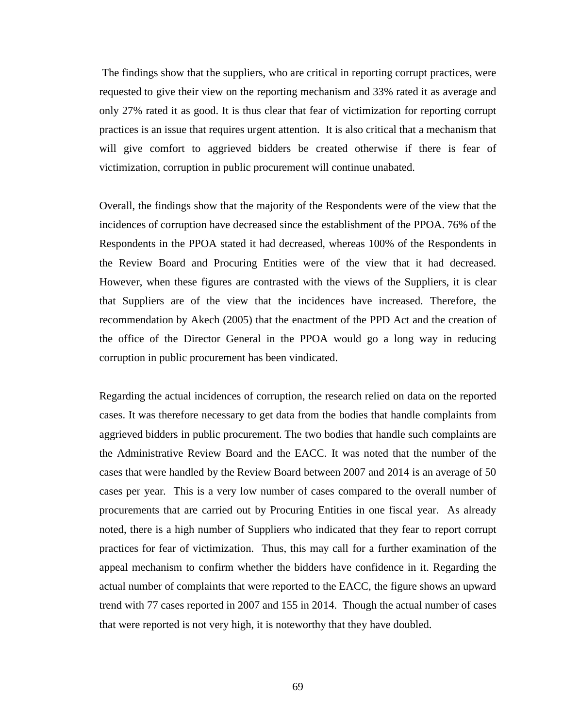The findings show that the suppliers, who are critical in reporting corrupt practices, were requested to give their view on the reporting mechanism and 33% rated it as average and only 27% rated it as good. It is thus clear that fear of victimization for reporting corrupt practices is an issue that requires urgent attention. It is also critical that a mechanism that will give comfort to aggrieved bidders be created otherwise if there is fear of victimization, corruption in public procurement will continue unabated.

Overall, the findings show that the majority of the Respondents were of the view that the incidences of corruption have decreased since the establishment of the PPOA. 76% of the Respondents in the PPOA stated it had decreased, whereas 100% of the Respondents in the Review Board and Procuring Entities were of the view that it had decreased. However, when these figures are contrasted with the views of the Suppliers, it is clear that Suppliers are of the view that the incidences have increased. Therefore, the recommendation by Akech (2005) that the enactment of the PPD Act and the creation of the office of the Director General in the PPOA would go a long way in reducing corruption in public procurement has been vindicated.

Regarding the actual incidences of corruption, the research relied on data on the reported cases. It was therefore necessary to get data from the bodies that handle complaints from aggrieved bidders in public procurement. The two bodies that handle such complaints are the Administrative Review Board and the EACC. It was noted that the number of the cases that were handled by the Review Board between 2007 and 2014 is an average of 50 cases per year. This is a very low number of cases compared to the overall number of procurements that are carried out by Procuring Entities in one fiscal year. As already noted, there is a high number of Suppliers who indicated that they fear to report corrupt practices for fear of victimization. Thus, this may call for a further examination of the appeal mechanism to confirm whether the bidders have confidence in it. Regarding the actual number of complaints that were reported to the EACC, the figure shows an upward trend with 77 cases reported in 2007 and 155 in 2014. Though the actual number of cases that were reported is not very high, it is noteworthy that they have doubled.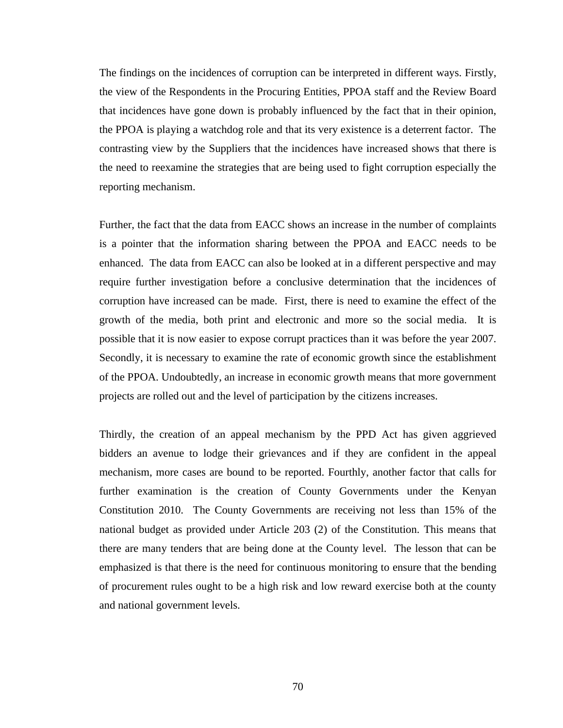The findings on the incidences of corruption can be interpreted in different ways. Firstly, the view of the Respondents in the Procuring Entities, PPOA staff and the Review Board that incidences have gone down is probably influenced by the fact that in their opinion, the PPOA is playing a watchdog role and that its very existence is a deterrent factor. The contrasting view by the Suppliers that the incidences have increased shows that there is the need to reexamine the strategies that are being used to fight corruption especially the reporting mechanism.

Further, the fact that the data from EACC shows an increase in the number of complaints is a pointer that the information sharing between the PPOA and EACC needs to be enhanced. The data from EACC can also be looked at in a different perspective and may require further investigation before a conclusive determination that the incidences of corruption have increased can be made. First, there is need to examine the effect of the growth of the media, both print and electronic and more so the social media. It is possible that it is now easier to expose corrupt practices than it was before the year 2007. Secondly, it is necessary to examine the rate of economic growth since the establishment of the PPOA. Undoubtedly, an increase in economic growth means that more government projects are rolled out and the level of participation by the citizens increases.

Thirdly, the creation of an appeal mechanism by the PPD Act has given aggrieved bidders an avenue to lodge their grievances and if they are confident in the appeal mechanism, more cases are bound to be reported. Fourthly, another factor that calls for further examination is the creation of County Governments under the Kenyan Constitution 2010. The County Governments are receiving not less than 15% of the national budget as provided under Article 203 (2) of the Constitution. This means that there are many tenders that are being done at the County level. The lesson that can be emphasized is that there is the need for continuous monitoring to ensure that the bending of procurement rules ought to be a high risk and low reward exercise both at the county and national government levels.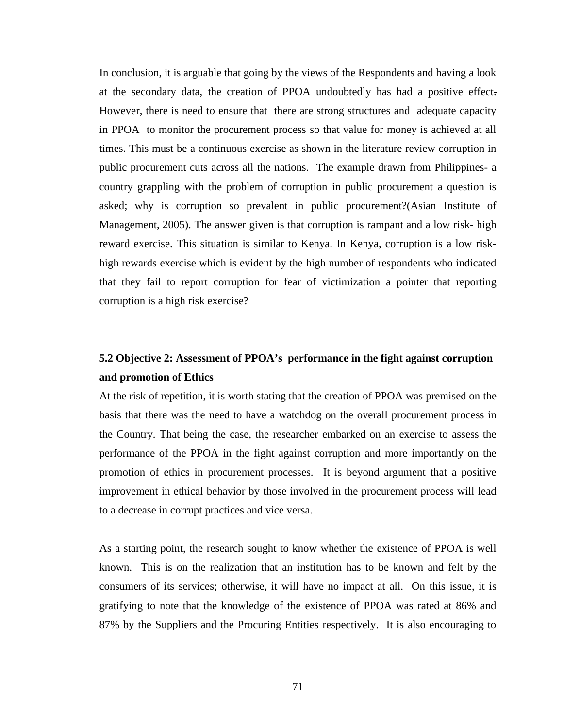In conclusion, it is arguable that going by the views of the Respondents and having a look at the secondary data, the creation of PPOA undoubtedly has had a positive effect. However, there is need to ensure that there are strong structures and adequate capacity in PPOA to monitor the procurement process so that value for money is achieved at all times. This must be a continuous exercise as shown in the literature review corruption in public procurement cuts across all the nations. The example drawn from Philippines- a country grappling with the problem of corruption in public procurement a question is asked; why is corruption so prevalent in public procurement?(Asian Institute of Management, 2005). The answer given is that corruption is rampant and a low risk- high reward exercise. This situation is similar to Kenya. In Kenya, corruption is a low riskhigh rewards exercise which is evident by the high number of respondents who indicated that they fail to report corruption for fear of victimization a pointer that reporting corruption is a high risk exercise?

# **5.2 Objective 2: Assessment of PPOA's performance in the fight against corruption and promotion of Ethics**

At the risk of repetition, it is worth stating that the creation of PPOA was premised on the basis that there was the need to have a watchdog on the overall procurement process in the Country. That being the case, the researcher embarked on an exercise to assess the performance of the PPOA in the fight against corruption and more importantly on the promotion of ethics in procurement processes. It is beyond argument that a positive improvement in ethical behavior by those involved in the procurement process will lead to a decrease in corrupt practices and vice versa.

As a starting point, the research sought to know whether the existence of PPOA is well known. This is on the realization that an institution has to be known and felt by the consumers of its services; otherwise, it will have no impact at all. On this issue, it is gratifying to note that the knowledge of the existence of PPOA was rated at 86% and 87% by the Suppliers and the Procuring Entities respectively. It is also encouraging to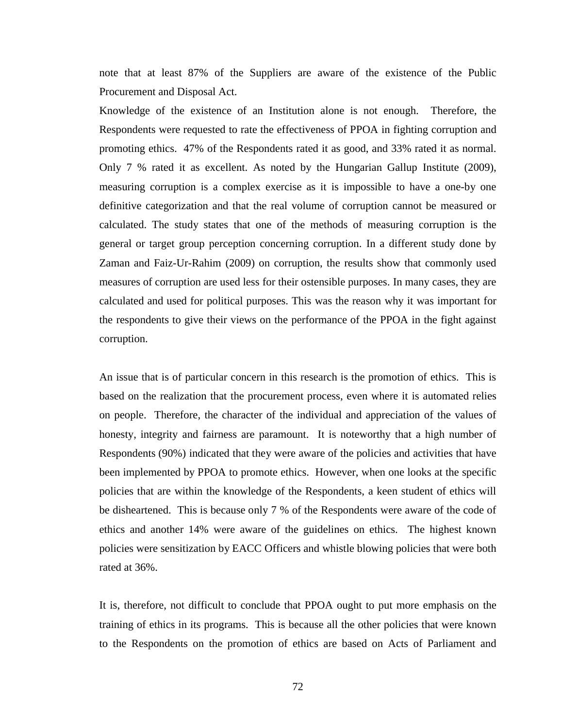note that at least 87% of the Suppliers are aware of the existence of the Public Procurement and Disposal Act.

Knowledge of the existence of an Institution alone is not enough. Therefore, the Respondents were requested to rate the effectiveness of PPOA in fighting corruption and promoting ethics. 47% of the Respondents rated it as good, and 33% rated it as normal. Only 7 % rated it as excellent. As noted by the Hungarian Gallup Institute (2009), measuring corruption is a complex exercise as it is impossible to have a one-by one definitive categorization and that the real volume of corruption cannot be measured or calculated. The study states that one of the methods of measuring corruption is the general or target group perception concerning corruption. In a different study done by Zaman and Faiz-Ur-Rahim (2009) on corruption, the results show that commonly used measures of corruption are used less for their ostensible purposes. In many cases, they are calculated and used for political purposes. This was the reason why it was important for the respondents to give their views on the performance of the PPOA in the fight against corruption.

An issue that is of particular concern in this research is the promotion of ethics. This is based on the realization that the procurement process, even where it is automated relies on people. Therefore, the character of the individual and appreciation of the values of honesty, integrity and fairness are paramount. It is noteworthy that a high number of Respondents (90%) indicated that they were aware of the policies and activities that have been implemented by PPOA to promote ethics. However, when one looks at the specific policies that are within the knowledge of the Respondents, a keen student of ethics will be disheartened. This is because only 7 % of the Respondents were aware of the code of ethics and another 14% were aware of the guidelines on ethics. The highest known policies were sensitization by EACC Officers and whistle blowing policies that were both rated at 36%.

It is, therefore, not difficult to conclude that PPOA ought to put more emphasis on the training of ethics in its programs. This is because all the other policies that were known to the Respondents on the promotion of ethics are based on Acts of Parliament and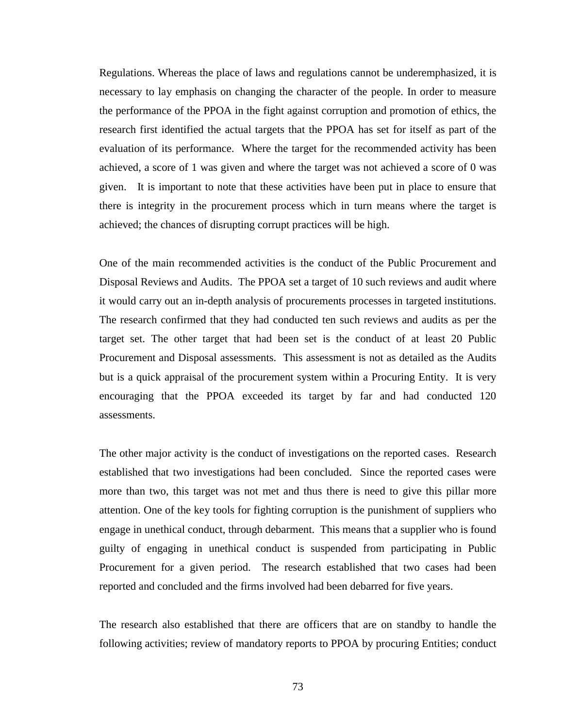Regulations. Whereas the place of laws and regulations cannot be underemphasized, it is necessary to lay emphasis on changing the character of the people. In order to measure the performance of the PPOA in the fight against corruption and promotion of ethics, the research first identified the actual targets that the PPOA has set for itself as part of the evaluation of its performance. Where the target for the recommended activity has been achieved, a score of 1 was given and where the target was not achieved a score of 0 was given. It is important to note that these activities have been put in place to ensure that there is integrity in the procurement process which in turn means where the target is achieved; the chances of disrupting corrupt practices will be high.

One of the main recommended activities is the conduct of the Public Procurement and Disposal Reviews and Audits. The PPOA set a target of 10 such reviews and audit where it would carry out an in-depth analysis of procurements processes in targeted institutions. The research confirmed that they had conducted ten such reviews and audits as per the target set. The other target that had been set is the conduct of at least 20 Public Procurement and Disposal assessments. This assessment is not as detailed as the Audits but is a quick appraisal of the procurement system within a Procuring Entity. It is very encouraging that the PPOA exceeded its target by far and had conducted 120 assessments.

The other major activity is the conduct of investigations on the reported cases. Research established that two investigations had been concluded. Since the reported cases were more than two, this target was not met and thus there is need to give this pillar more attention. One of the key tools for fighting corruption is the punishment of suppliers who engage in unethical conduct, through debarment. This means that a supplier who is found guilty of engaging in unethical conduct is suspended from participating in Public Procurement for a given period. The research established that two cases had been reported and concluded and the firms involved had been debarred for five years.

The research also established that there are officers that are on standby to handle the following activities; review of mandatory reports to PPOA by procuring Entities; conduct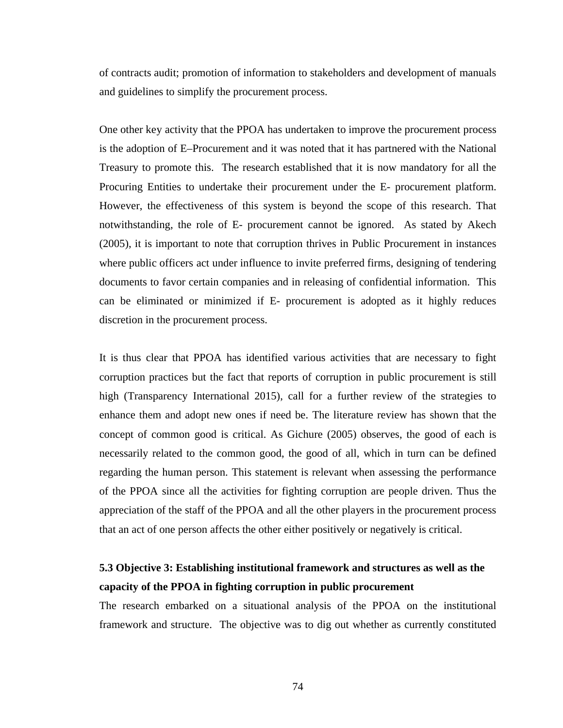of contracts audit; promotion of information to stakeholders and development of manuals and guidelines to simplify the procurement process.

One other key activity that the PPOA has undertaken to improve the procurement process is the adoption of E–Procurement and it was noted that it has partnered with the National Treasury to promote this. The research established that it is now mandatory for all the Procuring Entities to undertake their procurement under the E- procurement platform. However, the effectiveness of this system is beyond the scope of this research. That notwithstanding, the role of E- procurement cannot be ignored. As stated by Akech (2005), it is important to note that corruption thrives in Public Procurement in instances where public officers act under influence to invite preferred firms, designing of tendering documents to favor certain companies and in releasing of confidential information. This can be eliminated or minimized if E- procurement is adopted as it highly reduces discretion in the procurement process.

It is thus clear that PPOA has identified various activities that are necessary to fight corruption practices but the fact that reports of corruption in public procurement is still high (Transparency International 2015), call for a further review of the strategies to enhance them and adopt new ones if need be. The literature review has shown that the concept of common good is critical. As Gichure (2005) observes, the good of each is necessarily related to the common good, the good of all, which in turn can be defined regarding the human person. This statement is relevant when assessing the performance of the PPOA since all the activities for fighting corruption are people driven. Thus the appreciation of the staff of the PPOA and all the other players in the procurement process that an act of one person affects the other either positively or negatively is critical.

# **5.3 Objective 3: Establishing institutional framework and structures as well as the capacity of the PPOA in fighting corruption in public procurement**

The research embarked on a situational analysis of the PPOA on the institutional framework and structure. The objective was to dig out whether as currently constituted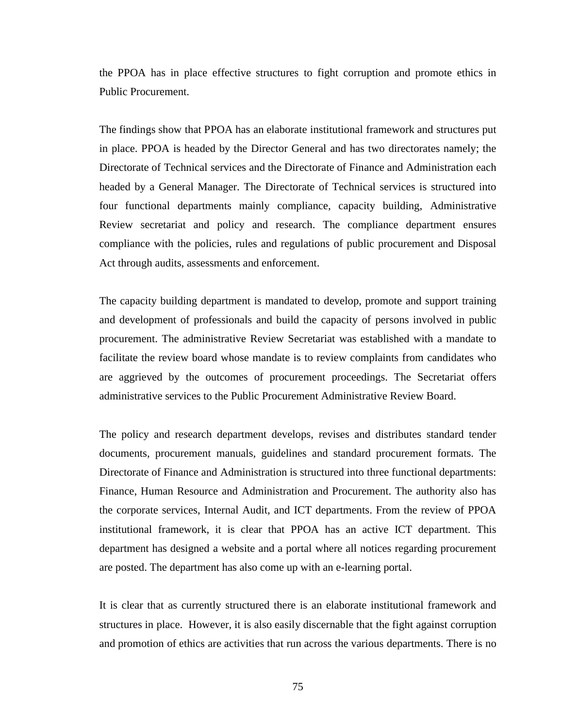the PPOA has in place effective structures to fight corruption and promote ethics in Public Procurement.

The findings show that PPOA has an elaborate institutional framework and structures put in place. PPOA is headed by the Director General and has two directorates namely; the Directorate of Technical services and the Directorate of Finance and Administration each headed by a General Manager. The Directorate of Technical services is structured into four functional departments mainly compliance, capacity building, Administrative Review secretariat and policy and research. The compliance department ensures compliance with the policies, rules and regulations of public procurement and Disposal Act through audits, assessments and enforcement.

The capacity building department is mandated to develop, promote and support training and development of professionals and build the capacity of persons involved in public procurement. The administrative Review Secretariat was established with a mandate to facilitate the review board whose mandate is to review complaints from candidates who are aggrieved by the outcomes of procurement proceedings. The Secretariat offers administrative services to the Public Procurement Administrative Review Board.

The policy and research department develops, revises and distributes standard tender documents, procurement manuals, guidelines and standard procurement formats. The Directorate of Finance and Administration is structured into three functional departments: Finance, Human Resource and Administration and Procurement. The authority also has the corporate services, Internal Audit, and ICT departments. From the review of PPOA institutional framework, it is clear that PPOA has an active ICT department. This department has designed a website and a portal where all notices regarding procurement are posted. The department has also come up with an e-learning portal.

It is clear that as currently structured there is an elaborate institutional framework and structures in place. However, it is also easily discernable that the fight against corruption and promotion of ethics are activities that run across the various departments. There is no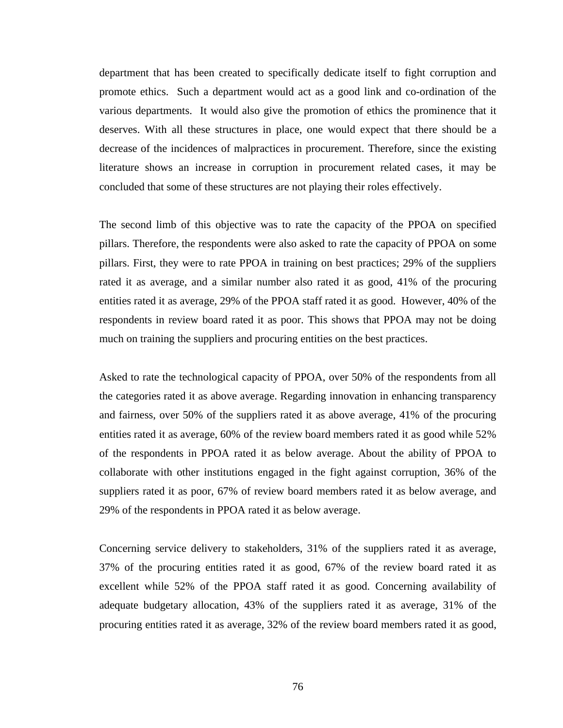department that has been created to specifically dedicate itself to fight corruption and promote ethics. Such a department would act as a good link and co-ordination of the various departments. It would also give the promotion of ethics the prominence that it deserves. With all these structures in place, one would expect that there should be a decrease of the incidences of malpractices in procurement. Therefore, since the existing literature shows an increase in corruption in procurement related cases, it may be concluded that some of these structures are not playing their roles effectively.

The second limb of this objective was to rate the capacity of the PPOA on specified pillars. Therefore, the respondents were also asked to rate the capacity of PPOA on some pillars. First, they were to rate PPOA in training on best practices; 29% of the suppliers rated it as average, and a similar number also rated it as good, 41% of the procuring entities rated it as average, 29% of the PPOA staff rated it as good. However, 40% of the respondents in review board rated it as poor. This shows that PPOA may not be doing much on training the suppliers and procuring entities on the best practices.

Asked to rate the technological capacity of PPOA, over 50% of the respondents from all the categories rated it as above average. Regarding innovation in enhancing transparency and fairness, over 50% of the suppliers rated it as above average, 41% of the procuring entities rated it as average, 60% of the review board members rated it as good while 52% of the respondents in PPOA rated it as below average. About the ability of PPOA to collaborate with other institutions engaged in the fight against corruption, 36% of the suppliers rated it as poor, 67% of review board members rated it as below average, and 29% of the respondents in PPOA rated it as below average.

Concerning service delivery to stakeholders, 31% of the suppliers rated it as average, 37% of the procuring entities rated it as good, 67% of the review board rated it as excellent while 52% of the PPOA staff rated it as good. Concerning availability of adequate budgetary allocation, 43% of the suppliers rated it as average, 31% of the procuring entities rated it as average, 32% of the review board members rated it as good,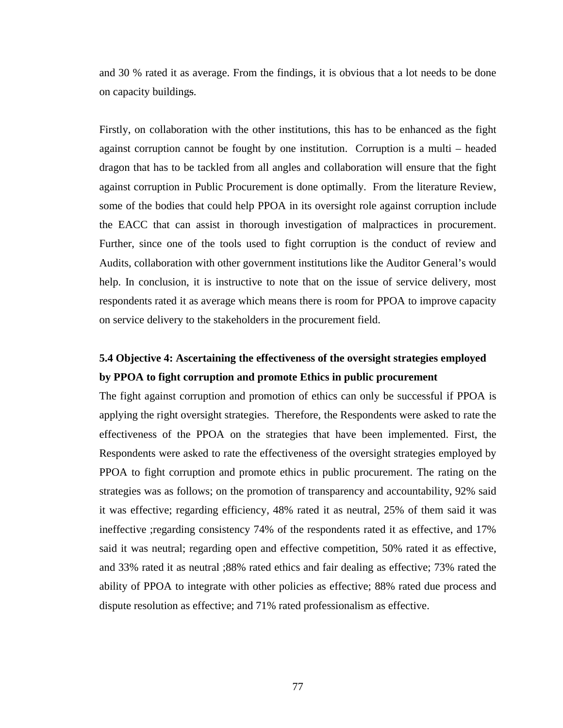and 30 % rated it as average. From the findings, it is obvious that a lot needs to be done on capacity buildings.

Firstly, on collaboration with the other institutions, this has to be enhanced as the fight against corruption cannot be fought by one institution. Corruption is a multi – headed dragon that has to be tackled from all angles and collaboration will ensure that the fight against corruption in Public Procurement is done optimally. From the literature Review, some of the bodies that could help PPOA in its oversight role against corruption include the EACC that can assist in thorough investigation of malpractices in procurement. Further, since one of the tools used to fight corruption is the conduct of review and Audits, collaboration with other government institutions like the Auditor General's would help. In conclusion, it is instructive to note that on the issue of service delivery, most respondents rated it as average which means there is room for PPOA to improve capacity on service delivery to the stakeholders in the procurement field.

# **5.4 Objective 4: Ascertaining the effectiveness of the oversight strategies employed by PPOA to fight corruption and promote Ethics in public procurement**

The fight against corruption and promotion of ethics can only be successful if PPOA is applying the right oversight strategies. Therefore, the Respondents were asked to rate the effectiveness of the PPOA on the strategies that have been implemented. First, the Respondents were asked to rate the effectiveness of the oversight strategies employed by PPOA to fight corruption and promote ethics in public procurement. The rating on the strategies was as follows; on the promotion of transparency and accountability, 92% said it was effective; regarding efficiency, 48% rated it as neutral, 25% of them said it was ineffective ;regarding consistency 74% of the respondents rated it as effective, and 17% said it was neutral; regarding open and effective competition, 50% rated it as effective, and 33% rated it as neutral ;88% rated ethics and fair dealing as effective; 73% rated the ability of PPOA to integrate with other policies as effective; 88% rated due process and dispute resolution as effective; and 71% rated professionalism as effective.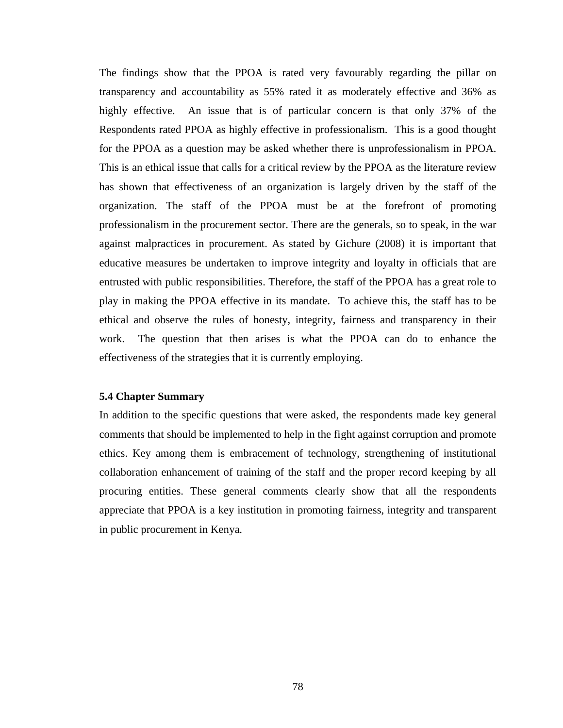The findings show that the PPOA is rated very favourably regarding the pillar on transparency and accountability as 55% rated it as moderately effective and 36% as highly effective. An issue that is of particular concern is that only 37% of the Respondents rated PPOA as highly effective in professionalism. This is a good thought for the PPOA as a question may be asked whether there is unprofessionalism in PPOA. This is an ethical issue that calls for a critical review by the PPOA as the literature review has shown that effectiveness of an organization is largely driven by the staff of the organization. The staff of the PPOA must be at the forefront of promoting professionalism in the procurement sector. There are the generals, so to speak, in the war against malpractices in procurement. As stated by Gichure (2008) it is important that educative measures be undertaken to improve integrity and loyalty in officials that are entrusted with public responsibilities. Therefore, the staff of the PPOA has a great role to play in making the PPOA effective in its mandate. To achieve this, the staff has to be ethical and observe the rules of honesty, integrity, fairness and transparency in their work. The question that then arises is what the PPOA can do to enhance the effectiveness of the strategies that it is currently employing.

### **5.4 Chapter Summary**

In addition to the specific questions that were asked, the respondents made key general comments that should be implemented to help in the fight against corruption and promote ethics. Key among them is embracement of technology, strengthening of institutional collaboration enhancement of training of the staff and the proper record keeping by all procuring entities. These general comments clearly show that all the respondents appreciate that PPOA is a key institution in promoting fairness, integrity and transparent in public procurement in Kenya.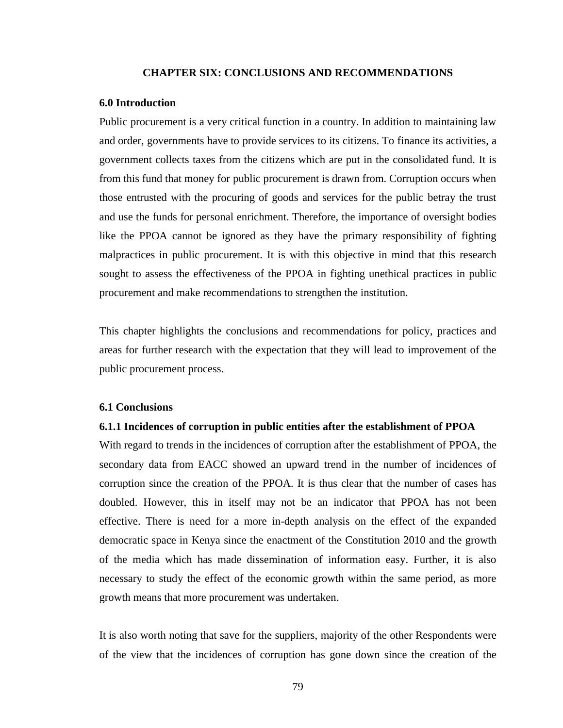### **CHAPTER SIX: CONCLUSIONS AND RECOMMENDATIONS**

#### **6.0 Introduction**

Public procurement is a very critical function in a country. In addition to maintaining law and order, governments have to provide services to its citizens. To finance its activities, a government collects taxes from the citizens which are put in the consolidated fund. It is from this fund that money for public procurement is drawn from. Corruption occurs when those entrusted with the procuring of goods and services for the public betray the trust and use the funds for personal enrichment. Therefore, the importance of oversight bodies like the PPOA cannot be ignored as they have the primary responsibility of fighting malpractices in public procurement. It is with this objective in mind that this research sought to assess the effectiveness of the PPOA in fighting unethical practices in public procurement and make recommendations to strengthen the institution.

This chapter highlights the conclusions and recommendations for policy, practices and areas for further research with the expectation that they will lead to improvement of the public procurement process.

#### **6.1 Conclusions**

#### **6.1.1 Incidences of corruption in public entities after the establishment of PPOA**

With regard to trends in the incidences of corruption after the establishment of PPOA, the secondary data from EACC showed an upward trend in the number of incidences of corruption since the creation of the PPOA. It is thus clear that the number of cases has doubled. However, this in itself may not be an indicator that PPOA has not been effective. There is need for a more in-depth analysis on the effect of the expanded democratic space in Kenya since the enactment of the Constitution 2010 and the growth of the media which has made dissemination of information easy. Further, it is also necessary to study the effect of the economic growth within the same period, as more growth means that more procurement was undertaken.

It is also worth noting that save for the suppliers, majority of the other Respondents were of the view that the incidences of corruption has gone down since the creation of the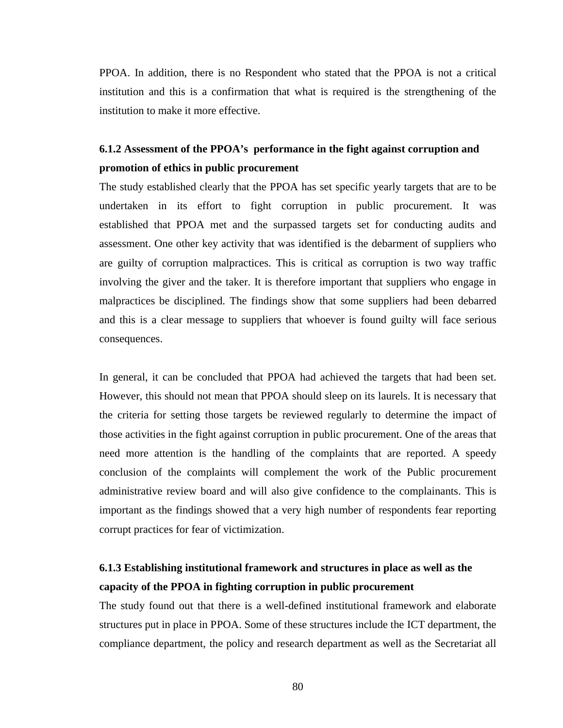PPOA. In addition, there is no Respondent who stated that the PPOA is not a critical institution and this is a confirmation that what is required is the strengthening of the institution to make it more effective.

# **6.1.2 Assessment of the PPOA's performance in the fight against corruption and promotion of ethics in public procurement**

The study established clearly that the PPOA has set specific yearly targets that are to be undertaken in its effort to fight corruption in public procurement. It was established that PPOA met and the surpassed targets set for conducting audits and assessment. One other key activity that was identified is the debarment of suppliers who are guilty of corruption malpractices. This is critical as corruption is two way traffic involving the giver and the taker. It is therefore important that suppliers who engage in malpractices be disciplined. The findings show that some suppliers had been debarred and this is a clear message to suppliers that whoever is found guilty will face serious consequences.

In general, it can be concluded that PPOA had achieved the targets that had been set. However, this should not mean that PPOA should sleep on its laurels. It is necessary that the criteria for setting those targets be reviewed regularly to determine the impact of those activities in the fight against corruption in public procurement. One of the areas that need more attention is the handling of the complaints that are reported. A speedy conclusion of the complaints will complement the work of the Public procurement administrative review board and will also give confidence to the complainants. This is important as the findings showed that a very high number of respondents fear reporting corrupt practices for fear of victimization.

# **6.1.3 Establishing institutional framework and structures in place as well as the capacity of the PPOA in fighting corruption in public procurement**

The study found out that there is a well-defined institutional framework and elaborate structures put in place in PPOA. Some of these structures include the ICT department, the compliance department, the policy and research department as well as the Secretariat all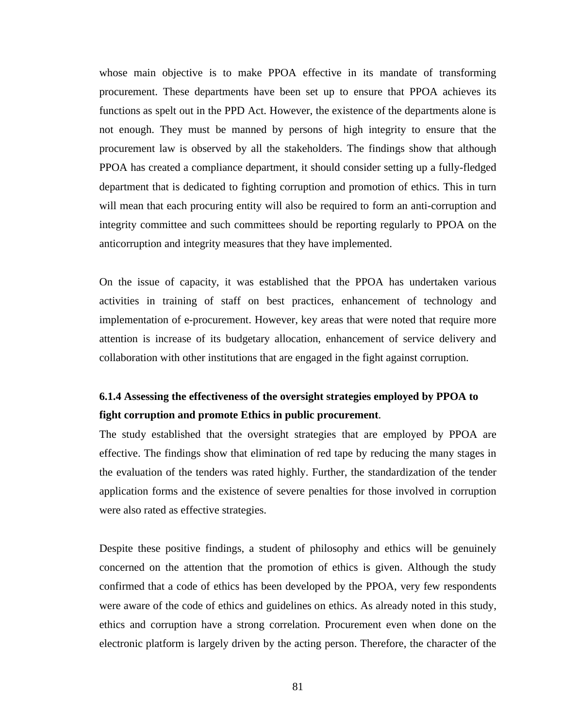whose main objective is to make PPOA effective in its mandate of transforming procurement. These departments have been set up to ensure that PPOA achieves its functions as spelt out in the PPD Act. However, the existence of the departments alone is not enough. They must be manned by persons of high integrity to ensure that the procurement law is observed by all the stakeholders. The findings show that although PPOA has created a compliance department, it should consider setting up a fully-fledged department that is dedicated to fighting corruption and promotion of ethics. This in turn will mean that each procuring entity will also be required to form an anti-corruption and integrity committee and such committees should be reporting regularly to PPOA on the anticorruption and integrity measures that they have implemented.

On the issue of capacity, it was established that the PPOA has undertaken various activities in training of staff on best practices, enhancement of technology and implementation of e-procurement. However, key areas that were noted that require more attention is increase of its budgetary allocation, enhancement of service delivery and collaboration with other institutions that are engaged in the fight against corruption.

# **6.1.4 Assessing the effectiveness of the oversight strategies employed by PPOA to fight corruption and promote Ethics in public procurement**.

The study established that the oversight strategies that are employed by PPOA are effective. The findings show that elimination of red tape by reducing the many stages in the evaluation of the tenders was rated highly. Further, the standardization of the tender application forms and the existence of severe penalties for those involved in corruption were also rated as effective strategies.

Despite these positive findings, a student of philosophy and ethics will be genuinely concerned on the attention that the promotion of ethics is given. Although the study confirmed that a code of ethics has been developed by the PPOA, very few respondents were aware of the code of ethics and guidelines on ethics. As already noted in this study, ethics and corruption have a strong correlation. Procurement even when done on the electronic platform is largely driven by the acting person. Therefore, the character of the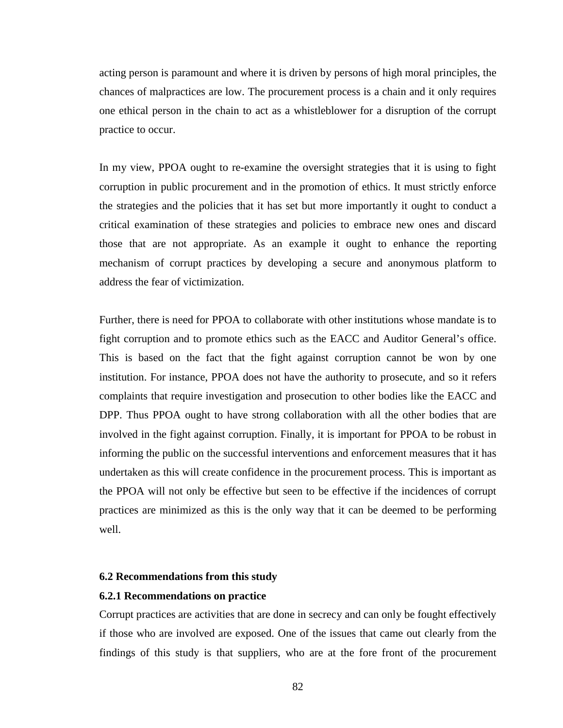acting person is paramount and where it is driven by persons of high moral principles, the chances of malpractices are low. The procurement process is a chain and it only requires one ethical person in the chain to act as a whistleblower for a disruption of the corrupt practice to occur.

In my view, PPOA ought to re-examine the oversight strategies that it is using to fight corruption in public procurement and in the promotion of ethics. It must strictly enforce the strategies and the policies that it has set but more importantly it ought to conduct a critical examination of these strategies and policies to embrace new ones and discard those that are not appropriate. As an example it ought to enhance the reporting mechanism of corrupt practices by developing a secure and anonymous platform to address the fear of victimization.

Further, there is need for PPOA to collaborate with other institutions whose mandate is to fight corruption and to promote ethics such as the EACC and Auditor General's office. This is based on the fact that the fight against corruption cannot be won by one institution. For instance, PPOA does not have the authority to prosecute, and so it refers complaints that require investigation and prosecution to other bodies like the EACC and DPP. Thus PPOA ought to have strong collaboration with all the other bodies that are involved in the fight against corruption. Finally, it is important for PPOA to be robust in informing the public on the successful interventions and enforcement measures that it has undertaken as this will create confidence in the procurement process. This is important as the PPOA will not only be effective but seen to be effective if the incidences of corrupt practices are minimized as this is the only way that it can be deemed to be performing well.

### **6.2 Recommendations from this study**

#### **6.2.1 Recommendations on practice**

Corrupt practices are activities that are done in secrecy and can only be fought effectively if those who are involved are exposed. One of the issues that came out clearly from the findings of this study is that suppliers, who are at the fore front of the procurement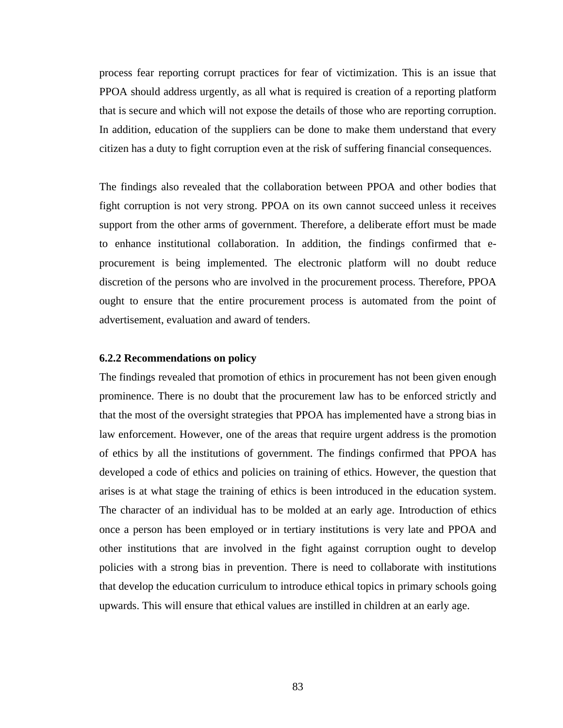process fear reporting corrupt practices for fear of victimization. This is an issue that PPOA should address urgently, as all what is required is creation of a reporting platform that is secure and which will not expose the details of those who are reporting corruption. In addition, education of the suppliers can be done to make them understand that every citizen has a duty to fight corruption even at the risk of suffering financial consequences.

The findings also revealed that the collaboration between PPOA and other bodies that fight corruption is not very strong. PPOA on its own cannot succeed unless it receives support from the other arms of government. Therefore, a deliberate effort must be made to enhance institutional collaboration. In addition, the findings confirmed that eprocurement is being implemented. The electronic platform will no doubt reduce discretion of the persons who are involved in the procurement process. Therefore, PPOA ought to ensure that the entire procurement process is automated from the point of advertisement, evaluation and award of tenders.

## **6.2.2 Recommendations on policy**

The findings revealed that promotion of ethics in procurement has not been given enough prominence. There is no doubt that the procurement law has to be enforced strictly and that the most of the oversight strategies that PPOA has implemented have a strong bias in law enforcement. However, one of the areas that require urgent address is the promotion of ethics by all the institutions of government. The findings confirmed that PPOA has developed a code of ethics and policies on training of ethics. However, the question that arises is at what stage the training of ethics is been introduced in the education system. The character of an individual has to be molded at an early age. Introduction of ethics once a person has been employed or in tertiary institutions is very late and PPOA and other institutions that are involved in the fight against corruption ought to develop policies with a strong bias in prevention. There is need to collaborate with institutions that develop the education curriculum to introduce ethical topics in primary schools going upwards. This will ensure that ethical values are instilled in children at an early age.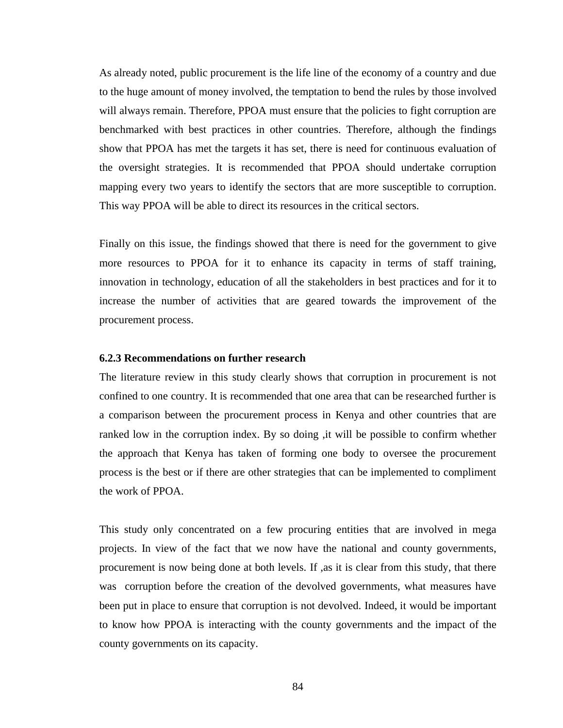As already noted, public procurement is the life line of the economy of a country and due to the huge amount of money involved, the temptation to bend the rules by those involved will always remain. Therefore, PPOA must ensure that the policies to fight corruption are benchmarked with best practices in other countries. Therefore, although the findings show that PPOA has met the targets it has set, there is need for continuous evaluation of the oversight strategies. It is recommended that PPOA should undertake corruption mapping every two years to identify the sectors that are more susceptible to corruption. This way PPOA will be able to direct its resources in the critical sectors.

Finally on this issue, the findings showed that there is need for the government to give more resources to PPOA for it to enhance its capacity in terms of staff training, innovation in technology, education of all the stakeholders in best practices and for it to increase the number of activities that are geared towards the improvement of the procurement process.

### **6.2.3 Recommendations on further research**

The literature review in this study clearly shows that corruption in procurement is not confined to one country. It is recommended that one area that can be researched further is a comparison between the procurement process in Kenya and other countries that are ranked low in the corruption index. By so doing ,it will be possible to confirm whether the approach that Kenya has taken of forming one body to oversee the procurement process is the best or if there are other strategies that can be implemented to compliment the work of PPOA.

This study only concentrated on a few procuring entities that are involved in mega projects. In view of the fact that we now have the national and county governments, procurement is now being done at both levels. If ,as it is clear from this study, that there was corruption before the creation of the devolved governments, what measures have been put in place to ensure that corruption is not devolved. Indeed, it would be important to know how PPOA is interacting with the county governments and the impact of the county governments on its capacity.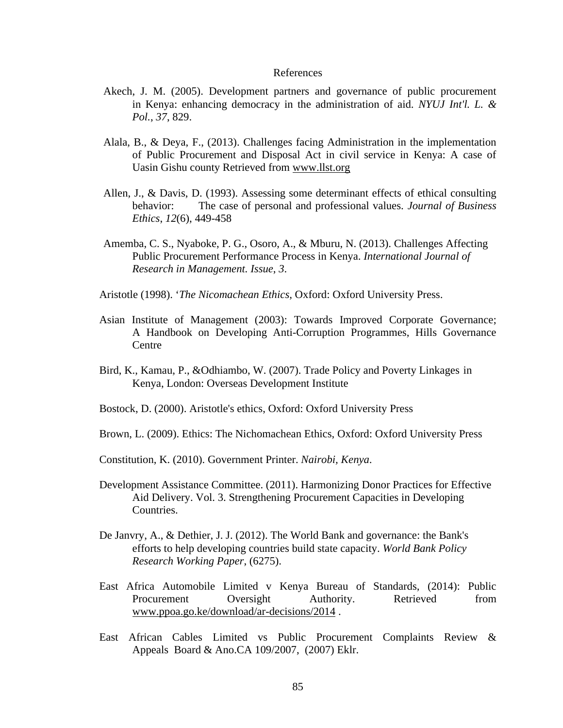### References

- Akech, J. M. (2005). Development partners and governance of public procurement in Kenya: enhancing democracy in the administration of aid. *NYUJ Int'l. L. & Pol.*, *37*, 829.
- Alala, B., & Deya, F., (2013). Challenges facing Administration in the implementation of Public Procurement and Disposal Act in civil service in Kenya: A case of Uasin Gishu county Retrieved from www.llst.org
- Allen, J., & Davis, D. (1993). Assessing some determinant effects of ethical consulting behavior: The case of personal and professional values. *Journal of Business Ethics*, *12*(6), 449-458
- Amemba, C. S., Nyaboke, P. G., Osoro, A., & Mburu, N. (2013). Challenges Affecting Public Procurement Performance Process in Kenya. *International Journal of Research in Management. Issue*, *3*.
- Aristotle (1998). '*The Nicomachean Ethics,* Oxford: Oxford University Press.
- Asian Institute of Management (2003): Towards Improved Corporate Governance; A Handbook on Developing Anti-Corruption Programmes, Hills Governance Centre
- Bird, K., Kamau, P., &Odhiambo, W. (2007). Trade Policy and Poverty Linkages in Kenya, London: Overseas Development Institute
- Bostock, D. (2000). Aristotle's ethics, Oxford: Oxford University Press
- Brown, L. (2009). Ethics: The Nichomachean Ethics, Oxford: Oxford University Press
- Constitution, K. (2010). Government Printer. *Nairobi, Kenya*.
- Development Assistance Committee. (2011). Harmonizing Donor Practices for Effective Aid Delivery. Vol. 3. Strengthening Procurement Capacities in Developing Countries.
- De Janvry, A., & Dethier, J. J. (2012). The World Bank and governance: the Bank's efforts to help developing countries build state capacity. *World Bank Policy Research Working Paper*, (6275).
- East Africa Automobile Limited v Kenya Bureau of Standards, (2014): Public Procurement Oversight Authority. Retrieved from [www.ppoa.go.ke/download/ar-decisions/2014](http://www.ppoa.go.ke/download/ar-decisions/2014) .
- East African Cables Limited vs Public Procurement Complaints Review & Appeals Board & Ano.CA 109/2007, (2007) Eklr.